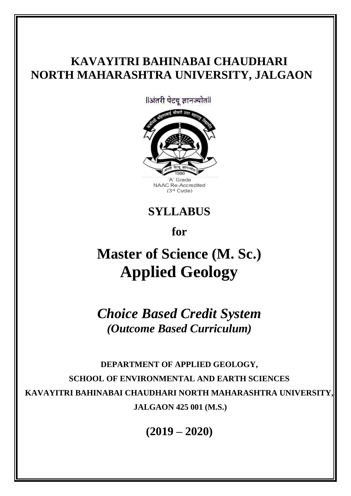## **KAVAYITRI BAHINABAI CHAUDHARI NORTH MAHARASHTRA UNIVERSITY, JALGAON**

llअंतरी पेटवू ज्ञानज्योतll



NAAC Re-Accredited (3<sup>rd</sup> Cycle)

**SYLLABUS** 

**for**

# **Master of Science (M. Sc.) Applied Geology**

*Choice Based Credit System (Outcome Based Curriculum)*

**DEPARTMENT OF APPLIED GEOLOGY, SCHOOL OF ENVIRONMENTAL AND EARTH SCIENCES KAVAYITRI BAHINABAI CHAUDHARI NORTH MAHARASHTRA UNIVERSITY, JALGAON 425 001 (M.S.)**

**(2019 – 2020)**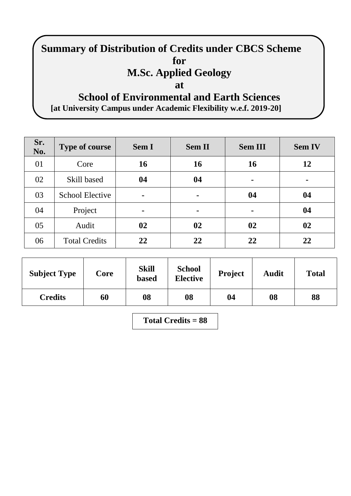## **Summary of Distribution of Credits under CBCS Scheme for M.Sc. Applied Geology at School of Environmental and Earth Sciences**

**[at University Campus under Academic Flexibility w.e.f. 2019-20]**

| Sr.<br>No. | <b>Type of course</b>  | <b>Sem I</b>   | <b>Sem II</b> | <b>Sem III</b> | <b>Sem IV</b> |
|------------|------------------------|----------------|---------------|----------------|---------------|
| 01         | Core                   | 16             | 16            | <b>16</b>      | 12            |
| 02         | Skill based            | 04             | 04            | $\blacksquare$ |               |
| 03         | <b>School Elective</b> | $\blacksquare$ | ۰             | 04             | 04            |
| 04         | Project                | $\blacksquare$ | ۰             | $\blacksquare$ | 04            |
| 05         | Audit                  | 02             | 02            | 02             | 02            |
| 06         | <b>Total Credits</b>   | 22             | 22            | 22             | 22            |

| <b>Subject Type</b> | Core | <b>Skill</b><br><b>based</b> | <b>School</b><br><b>Elective</b> | <b>Project</b> | <b>Audit</b> | <b>Total</b> |  |
|---------------------|------|------------------------------|----------------------------------|----------------|--------------|--------------|--|
| <b>Credits</b>      | 60   | 08                           | 08                               | 04             | 08           | 88           |  |

**Total Credits = 88**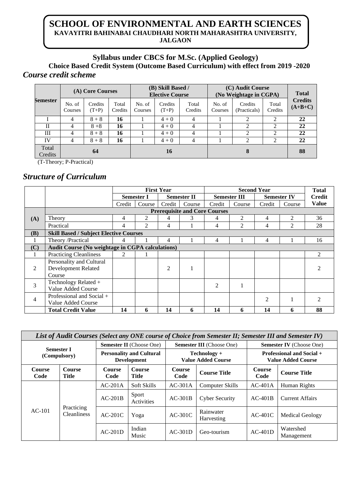## **SCHOOL OF ENVIRONMENTAL AND EARTH SCIENCES KAVAYITRI BAHINABAI CHAUDHARI NORTH MAHARASHTRA UNIVERSITY, JALGAON**

## **Syllabus under CBCS for M.Sc. (Applied Geology)**

**Choice Based Credit System (Outcome Based Curriculum) with effect from 2019 -2020** *Course credit scheme*

|                  | (A) Core Courses  |                    |                  | (B) Skill Based /<br><b>Elective Course</b> |                    |                  |                   | (C) Audit Course<br>(No Weightage in CGPA) | <b>Total</b>     |                             |
|------------------|-------------------|--------------------|------------------|---------------------------------------------|--------------------|------------------|-------------------|--------------------------------------------|------------------|-----------------------------|
| <b>Semester</b>  | No. of<br>Courses | Credits<br>$(T+P)$ | Total<br>Credits | No. of<br>Courses                           | Credits<br>$(T+P)$ | Total<br>Credits | No. of<br>Courses | Credits<br>(Practicals)                    | Total<br>Credits | <b>Credits</b><br>$(A+B+C)$ |
|                  | 4                 | $8 + 8$            | 16               |                                             | $4 + 0$            | 4                |                   | 2                                          | 2                | 22                          |
| Н                | 4                 | $8 + 8$            | 16               |                                             | $4 + 0$            | 4                |                   | $\overline{c}$                             | 2                | 22                          |
| Ш                | 4                 | $8 + 8$            | 16               |                                             | $4 + 0$            | 4                |                   | $\mathfrak{D}$                             | 2                | 22                          |
| IV               | 4                 | $8 + 8$            | 16               |                                             | $4 + 0$            | 4                |                   | $\overline{c}$                             | 2                | 22                          |
| Total<br>Credits | 64                |                    |                  | 16                                          |                    |                  |                   | 88                                         |                  |                             |

(T-Theory; P-Practical)

## *Structure of Curriculum*

|     |                                                         |        |                   | <b>First Year</b> |                                      |                |                     | <b>Total</b>   |                    |               |  |
|-----|---------------------------------------------------------|--------|-------------------|-------------------|--------------------------------------|----------------|---------------------|----------------|--------------------|---------------|--|
|     |                                                         |        | <b>Semester I</b> |                   | <b>Semester II</b>                   |                | <b>Semester III</b> |                | <b>Semester IV</b> | <b>Credit</b> |  |
|     |                                                         | Credit | Course            | Credit            | Course                               | Credit         | Course              | Credit         | Course             | <b>Value</b>  |  |
|     |                                                         |        |                   |                   | <b>Prerequisite and Core Courses</b> |                |                     |                |                    |               |  |
| (A) | Theory                                                  | 4      | $\mathfrak{D}$    | 4                 | 3                                    | 4              | $\mathfrak{D}$      | 4              | $\mathfrak{D}$     | 36            |  |
|     | Practical                                               | 4      | $\mathfrak{D}$    | 4                 |                                      | 4              | $\mathfrak{D}$      | 4              | 2                  | 28            |  |
| (B) | <b>Skill Based / Subject Elective Courses</b>           |        |                   |                   |                                      |                |                     |                |                    |               |  |
|     | Theory /Practical                                       | 4      |                   | 4                 |                                      | 4              |                     | 4              |                    | 16            |  |
| (C) | <b>Audit Course (No weightage in CGPA calculations)</b> |        |                   |                   |                                      |                |                     |                |                    |               |  |
|     | <b>Practicing Cleanliness</b>                           | 2      |                   |                   |                                      |                |                     |                |                    | 2             |  |
|     | Personality and Cultural                                |        |                   |                   |                                      |                |                     |                |                    |               |  |
| 2   | Development Related                                     |        |                   | 2                 | 1                                    |                |                     |                |                    |               |  |
|     | Course                                                  |        |                   |                   |                                      |                |                     |                |                    |               |  |
| 3   | Technology Related +                                    |        |                   |                   |                                      | $\overline{2}$ |                     |                |                    |               |  |
|     | Value Added Course                                      |        |                   |                   |                                      |                |                     |                |                    |               |  |
| 4   | Professional and Social $+$                             |        |                   |                   |                                      |                |                     | $\mathfrak{D}$ |                    | っ             |  |
|     | Value Added Course                                      |        |                   |                   |                                      |                |                     |                |                    |               |  |
|     | <b>Total Credit Value</b>                               | 14     | 6                 | 14                | 6                                    | 14             | 6                   | 14             | 6                  | 88            |  |

|                                   | List of Audit Courses (Select any ONE course of Choice from Semester II; Semester III and Semester IV) |                                                       |                                 |                |                                           |                                                               |                         |  |  |  |  |  |  |
|-----------------------------------|--------------------------------------------------------------------------------------------------------|-------------------------------------------------------|---------------------------------|----------------|-------------------------------------------|---------------------------------------------------------------|-------------------------|--|--|--|--|--|--|
|                                   |                                                                                                        |                                                       | <b>Semester II</b> (Choose One) |                | <b>Semester III</b> (Choose One)          | <b>Semester IV</b> (Choose One)                               |                         |  |  |  |  |  |  |
| <b>Semester I</b><br>(Compulsory) |                                                                                                        | <b>Personality and Cultural</b><br><b>Development</b> |                                 |                | Technology +<br><b>Value Added Course</b> | <b>Professional and Social +</b><br><b>Value Added Course</b> |                         |  |  |  |  |  |  |
| <b>Course</b><br>Code             | <b>Course</b><br>Title                                                                                 | <b>Course</b><br>Code                                 | <b>Course</b><br>Title          | Course<br>Code | <b>Course Title</b>                       | <b>Course</b><br>Code                                         | <b>Course Title</b>     |  |  |  |  |  |  |
|                                   | Practicing<br><b>Cleanliness</b>                                                                       | $AC-201A$                                             | Soft Skills                     | $AC-301A$      | <b>Computer Skills</b>                    | $AC-401A$                                                     | Human Rights            |  |  |  |  |  |  |
|                                   |                                                                                                        | $AC-201B$                                             | Sport<br>Activities             | $AC-301B$      | <b>Cyber Security</b>                     | $AC-401B$                                                     | <b>Current Affairs</b>  |  |  |  |  |  |  |
| $AC-101$                          |                                                                                                        | $AC-201C$                                             | Yoga                            | $AC-301C$      | Rainwater<br>Harvesting                   | $AC-401C$                                                     | <b>Medical Geology</b>  |  |  |  |  |  |  |
|                                   |                                                                                                        | $AC-201D$                                             | Indian<br>Music                 | $AC-301D$      | Geo-tourism                               | $AC-401D$                                                     | Watershed<br>Management |  |  |  |  |  |  |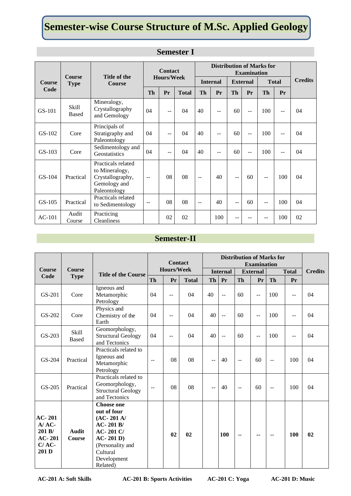## **Semester-wise Course Structure of M.Sc. Applied Geology**

|               | <b>Course</b>                | Title of the                                                                             |     | <b>Contact</b><br><b>Hours/Week</b> |              |                 | <b>Distribution of Marks for</b><br><b>Examination</b> |                 |     |              |     |                |
|---------------|------------------------------|------------------------------------------------------------------------------------------|-----|-------------------------------------|--------------|-----------------|--------------------------------------------------------|-----------------|-----|--------------|-----|----------------|
| <b>Course</b> | <b>Type</b>                  | <b>Course</b>                                                                            |     |                                     |              | <b>Internal</b> |                                                        | <b>External</b> |     | <b>Total</b> |     | <b>Credits</b> |
| Code          |                              |                                                                                          | Th  | Pr                                  | <b>Total</b> | <b>Th</b>       | Pr                                                     | Th              | Pr  | <b>Th</b>    | Pr  |                |
| $GS-101$      | <b>Skill</b><br><b>Based</b> | Mineralogy,<br>Crystallography<br>and Gemology                                           | 04  | $-$                                 | 04           | 40              | $-1$                                                   | 60              | $-$ | 100          | $-$ | 04             |
| $GS-102$      | Core                         | Principals of<br>Stratigraphy and<br>Paleontology                                        | 04  | ٠.                                  | 04           | 40              | --                                                     | 60              | $-$ | 100          |     | 04             |
| $GS-103$      | Core                         | Sedimentology and<br>Geostatistics                                                       | 04  | $-$                                 | 04           | 40              | $-$                                                    | 60              | $-$ | 100          | $-$ | 04             |
| GS-104        | Practical                    | Practicals related<br>to Mineralogy,<br>Crystallography,<br>Gemology and<br>Paleontology | $-$ | 08                                  | 08           | $\sim$          | 40                                                     | --              | 60  | $-$          | 100 | 04             |
| $GS-105$      | Practical                    | Practicals related<br>to Sedimentology                                                   | $-$ | 08                                  | 08           | $-$             | 40                                                     | $-1$            | 60  | --           | 100 | 04             |
| $AC-101$      | Audit<br>Course              | Practicing<br><b>Cleanliness</b>                                                         |     | 02                                  | 02           |                 | 100                                                    |                 |     |              | 100 | 02             |

## **Semester I**

## **Semester-II**

| <b>Course</b>                                                   | <b>Course</b>                |                                                                                                                                                      |              | <b>Contact</b><br><b>Hours/Week</b> |              | <b>Distribution of Marks for</b><br><b>Examination</b><br><b>Internal</b><br><b>Total</b><br><b>External</b> |                |                |                |                          |              |                |
|-----------------------------------------------------------------|------------------------------|------------------------------------------------------------------------------------------------------------------------------------------------------|--------------|-------------------------------------|--------------|--------------------------------------------------------------------------------------------------------------|----------------|----------------|----------------|--------------------------|--------------|----------------|
| Code                                                            | <b>Type</b>                  | <b>Title of the Course</b>                                                                                                                           | Th           | Pr                                  | <b>Total</b> | Th                                                                                                           | Pr             | Th             | Pr             | <b>Th</b>                | Pr           | <b>Credits</b> |
| GS-201                                                          | Core                         | Igneous and<br>Metamorphic<br>Petrology                                                                                                              | 04           | $-$                                 | 04           | 40                                                                                                           | $-$            | 60             | $\mathbf{u}$   | 100                      | $\mathbf{u}$ | 04             |
| GS-202                                                          | Core                         | Physics and<br>Chemistry of the<br>Earth                                                                                                             | 04           | $-$                                 | 04           | 40                                                                                                           | $\mathbb{L}$ . | 60             | $\overline{a}$ | 100                      | $\mathbf{u}$ | 04             |
| GS-203                                                          | <b>Skill</b><br><b>Based</b> | Geomorphology,<br><b>Structural Geology</b><br>and Tectonics                                                                                         | 04           | $-$                                 | 04           | 40                                                                                                           | $\mathbf{u}$   | 60             | $-$            | 100                      | $\mathbf{u}$ | 04             |
| GS-204                                                          | Practical                    | Practicals related to<br>Igneous and<br>Metamorphic<br>Petrology                                                                                     | $\sim$       | 08                                  | 08           | $-$                                                                                                          | 40             | $\sim$         | 60             | $\sim$                   | 100          | 04             |
| GS-205                                                          | Practical                    | Practicals related to<br>Geomorphology,<br><b>Structural Geology</b><br>and Tectonics                                                                | $\mathbf{u}$ | 08                                  | 08           | $-$                                                                                                          | 40             | $\overline{a}$ | 60             | $\overline{\phantom{a}}$ | 100          | 04             |
| $AC-201$<br>$A/AC$ -<br>201 B/<br>$AC-201$<br>$C/AC$ -<br>201 D | <b>Audit</b><br>Course       | <b>Choose one</b><br>out of four<br>$(AC-201 A)$<br>$AC-201B/$<br>AC-201 C/<br>$AC-201 D$<br>(Personality and<br>Cultural<br>Development<br>Related) |              | 02                                  | 02           |                                                                                                              | 100            | --             | $-$            | $\sim$                   | 100          | 02             |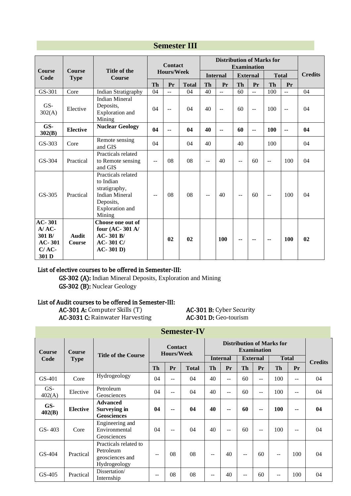|                                                                      |                               |                                                                                                                     |           | <b>Contact</b> |              | <b>Distribution of Marks for</b><br><b>Examination</b> |                 |           |                 |           |                |                |
|----------------------------------------------------------------------|-------------------------------|---------------------------------------------------------------------------------------------------------------------|-----------|----------------|--------------|--------------------------------------------------------|-----------------|-----------|-----------------|-----------|----------------|----------------|
| <b>Course</b><br>Code                                                | <b>Course</b><br><b>Type</b>  | Title of the<br><b>Course</b>                                                                                       |           | Hours/Week     |              |                                                        | <b>Internal</b> |           | <b>External</b> |           | <b>Total</b>   | <b>Credits</b> |
|                                                                      |                               |                                                                                                                     | <b>Th</b> | Pr             | <b>Total</b> | <b>Th</b>                                              | Pr              | <b>Th</b> | Pr              | <b>Th</b> | Pr             |                |
| GS-301                                                               | Core                          | Indian Stratigraphy                                                                                                 | 04        | $-$            | 04           | 40                                                     | $\overline{a}$  | 60        | $\mathbf{u}$    | 100       | $\overline{a}$ | 04             |
| GS-<br>302(A)                                                        | Elective                      | <b>Indian Mineral</b><br>Deposits,<br>Exploration and<br>Mining                                                     | 04        | $-$            | 04           | 40                                                     | $\overline{a}$  | 60        | $-$             | 100       | $\mathbf{u}$   | 04             |
| GS-<br>302(B)                                                        | <b>Elective</b>               | <b>Nuclear Geology</b>                                                                                              | 04        |                | 04           | 40                                                     | --              | 60        | --              | 100       |                | 04             |
| GS-303                                                               | Core                          | Remote sensing<br>and GIS                                                                                           | 04        |                | 04           | 40                                                     |                 | 40        |                 | 100       |                | 04             |
| $GS-304$                                                             | Practical                     | Practicals related<br>to Remote sensing<br>and GIS                                                                  | $-$       | 08             | 08           | --                                                     | 40              | $-$       | 60              | $-$       | 100            | 04             |
| $GS-305$                                                             | Practical                     | Practicals related<br>to Indian<br>stratigraphy,<br><b>Indian Mineral</b><br>Deposits,<br>Exploration and<br>Mining | $-$       | 08             | 08           | $\sim$ $\sim$                                          | 40              | $-$       | 60              | $-$       | 100            | 04             |
| <b>AC-301</b><br>$A/AC$ -<br>301 B/<br>$AC-301$<br>$C/AC$ -<br>301 D | <b>Audit</b><br><b>Course</b> | Choose one out of<br>four (AC-301 A/<br>$AC-301B/$<br>$AC-301C/$<br>$AC-301D$                                       |           | 02             | 02           |                                                        | <b>100</b>      | --        | --              | --        | 100            | 02             |

### **Semester III**

#### List of elective courses to be offered in Semester-III:

GS-302 (A): Indian Mineral Deposits, Exploration and Mining GS-302 (B): Nuclear Geology

#### List of Audit courses to be offered in Semester-III:

AC-301 A: Computer Skills (T) <br>
AC-301 B: Cyber Security<br>
AC-301 D: Geo-tourism<br>
AC-301 D: Geo-tourism AC-3031 C: Rainwater Harvesting

| <b>Course</b>   | Course          | <b>Title of the Course</b>                                            |    | <b>Contact</b><br><b>Hours/Week</b> |                 | <b>Distribution of Marks for</b><br><b>Examination</b> |                 |           |              |           |                |    |
|-----------------|-----------------|-----------------------------------------------------------------------|----|-------------------------------------|-----------------|--------------------------------------------------------|-----------------|-----------|--------------|-----------|----------------|----|
| Code            | <b>Type</b>     |                                                                       |    |                                     | <b>Internal</b> |                                                        | <b>External</b> |           | <b>Total</b> |           | <b>Credits</b> |    |
|                 |                 |                                                                       | Th | Pr                                  | <b>Total</b>    | Th                                                     | Pr              | <b>Th</b> | Pr           | <b>Th</b> | Pr             |    |
| $GS-401$        | Core            | Hydrogeology                                                          | 04 | $-$                                 | 04              | 40                                                     | $- -$           | 60        | $-$          | 100       | --             | 04 |
| $GS-$<br>402(A) | Elective        | Petroleum<br>Geosciences                                              | 04 | $-$                                 | 04              | 40                                                     | $-$             | 60        | $-$          | 100       | $-1$           | 04 |
| GS-<br>402(B)   | <b>Elective</b> | <b>Advanced</b><br><b>Surveying in</b><br><b>Geosciences</b>          | 04 | $-$                                 | 04              | 40                                                     | --              | 60        | $-$          | 100       | --             | 04 |
| $GS - 403$      | Core            | Engineering and<br>Environmental<br>Geosciences                       | 04 | $-$                                 | 04              | 40                                                     | $-$             | 60        | $ -$         | 100       | --             | 04 |
| $GS-404$        | Practical       | Practicals related to<br>Petroleum<br>geosciences and<br>Hydrogeology | -- | 08                                  | 08              | $ -$                                                   | 40              | $-$       | 60           | --        | 100            | 04 |
| $GS-405$        | Practical       | Dissertation/<br>Internship                                           | -- | 08                                  | 08              | --                                                     | 40              |           | 60           | $-$       | 100            | 04 |

**Semester-IV**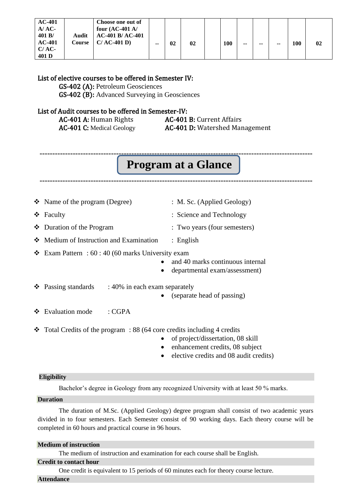| $AC-401$<br>$A/AC$ -<br>401 B/<br>$AC-401$<br>C/AC<br>401 D | Audit<br>Course | Choose one out of<br>four $(AC-401 A)$<br><b>AC-401 B/AC-401</b><br>$C/AC-401 D$ | $- -$ | 02 | 02 |  | <b>100</b> | -- | -- | -- | 100 | 02 |
|-------------------------------------------------------------|-----------------|----------------------------------------------------------------------------------|-------|----|----|--|------------|----|----|----|-----|----|
|-------------------------------------------------------------|-----------------|----------------------------------------------------------------------------------|-------|----|----|--|------------|----|----|----|-----|----|

#### List of elective courses to be offered in Semester IV:

GS-402 (A): Petroleum Geosciences GS-402 (B): Advanced Surveying in Geosciences

#### List of Audit courses to be offered in Semester-IV:

AC-401 A: Human Rights **AC-401 B:** Current Affairs AC-401 C: Medical Geology AC-401 D: Watershed Management

## **Program at a Glance**

**-----------------------------------------------------------------------------------------------------------**

**-----------------------------------------------------------------------------------------------------------**

| $\bullet$ Name of the program (Degree)  | $\therefore$ M. Sc. (Applied Geology) |
|-----------------------------------------|---------------------------------------|
| $\div$ Faculty                          | : Science and Technology              |
| $\bullet$ Duration of the Program       | : Two years (four semesters)          |
| ❖ Medium of Instruction and Examination | : English                             |

❖ Exam Pattern : 60 : 40 (60 marks University exam

- and 40 marks continuous internal
- departmental exam/assessment)
- $\div$  Passing standards : 40% in each exam separately
	- (separate head of passing)
- ❖ Evaluation mode : CGPA
- $\div$  Total Credits of the program : 88 (64 core credits including 4 credits
	- of project/dissertation, 08 skill
	- enhancement credits, 08 subject
	- elective credits and 08 audit credits)

#### **Eligibility**

Bachelor's degree in Geology from any recognized University with at least 50 % marks.

#### **Duration**

The duration of M.Sc. (Applied Geology) degree program shall consist of two academic years divided in to four semesters. Each Semester consist of 90 working days. Each theory course will be completed in 60 hours and practical course in 96 hours.

#### **Medium of instruction**

The medium of instruction and examination for each course shall be English.

#### **Credit to contact hour**

One credit is equivalent to 15 periods of 60 minutes each for theory course lecture.

#### **Attendance**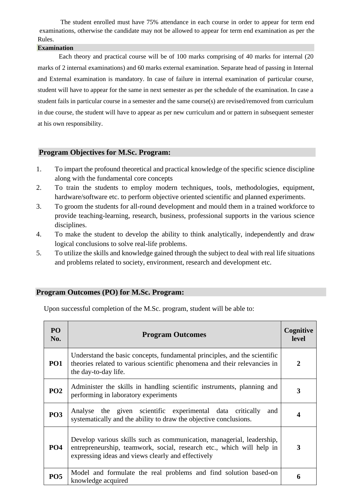The student enrolled must have 75% attendance in each course in order to appear for term end examinations, otherwise the candidate may not be allowed to appear for term end examination as per the Rules.

#### **Examination**

Each theory and practical course will be of 100 marks comprising of 40 marks for internal (20 marks of 2 internal examinations) and 60 marks external examination. Separate head of passing in Internal and External examination is mandatory. In case of failure in internal examination of particular course, student will have to appear for the same in next semester as per the schedule of the examination. In case a student fails in particular course in a semester and the same course(s) are revised/removed from curriculum in due course, the student will have to appear as per new curriculum and or pattern in subsequent semester at his own responsibility.

#### **Program Objectives for M.Sc. Program:**

- 1. To impart the profound theoretical and practical knowledge of the specific science discipline along with the fundamental core concepts
- 2. To train the students to employ modern techniques, tools, methodologies, equipment, hardware/software etc. to perform objective oriented scientific and planned experiments.
- 3. To groom the students for all-round development and mould them in a trained workforce to provide teaching-learning, research, business, professional supports in the various science disciplines.
- 4. To make the student to develop the ability to think analytically, independently and draw logical conclusions to solve real-life problems.
- 5. To utilize the skills and knowledge gained through the subject to deal with real life situations and problems related to society, environment, research and development etc.

#### **Program Outcomes (PO) for M.Sc. Program:**

Upon successful completion of the M.Sc. program, student will be able to:

| PO <sub>1</sub><br>No. | <b>Program Outcomes</b>                                                                                                                                                                              | Cognitive<br><b>level</b> |
|------------------------|------------------------------------------------------------------------------------------------------------------------------------------------------------------------------------------------------|---------------------------|
| PO <sub>1</sub>        | Understand the basic concepts, fundamental principles, and the scientific<br>theories related to various scientific phenomena and their relevancies in<br>the day-to-day life.                       |                           |
| <b>PO2</b>             | Administer the skills in handling scientific instruments, planning and<br>performing in laboratory experiments                                                                                       | 3                         |
| <b>PO3</b>             | Analyse the given scientific experimental data critically<br>and<br>systematically and the ability to draw the objective conclusions.                                                                |                           |
| <b>PO4</b>             | Develop various skills such as communication, managerial, leadership,<br>entrepreneurship, teamwork, social, research etc., which will help in<br>expressing ideas and views clearly and effectively | 3                         |
| <b>PO5</b>             | Model and formulate the real problems and find solution based-on<br>knowledge acquired                                                                                                               | 6                         |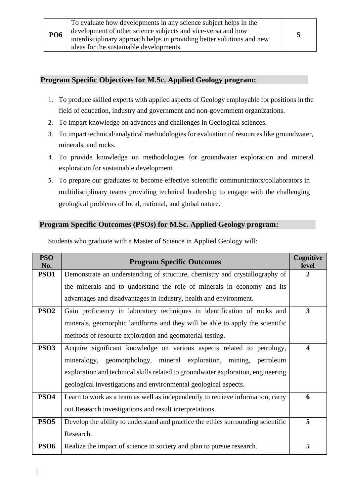| development of other science subjects and vice-versa and how<br><b>PO6</b><br>interdisciplinary approach helps in providing better solutions and new<br>ideas for the sustainable developments. |  |
|-------------------------------------------------------------------------------------------------------------------------------------------------------------------------------------------------|--|
|-------------------------------------------------------------------------------------------------------------------------------------------------------------------------------------------------|--|

#### **Program Specific Objectives for M.Sc. Applied Geology program:**

- 1. To produce skilled experts with applied aspects of Geology employable for positions in the field of education, industry and government and non-government organizations.
- 2. To impart knowledge on advances and challenges in Geological sciences.
- 3. To impart technical/analytical methodologies for evaluation of resources like groundwater, minerals, and rocks.
- 4. To provide knowledge on methodologies for groundwater exploration and mineral exploration for sustainable development
- 5. To prepare our graduates to become effective scientific communicators/collaborators in multidisciplinary teams providing technical leadership to engage with the challenging geological problems of local, national, and global nature.

#### **Program Specific Outcomes (PSOs) for M.Sc. Applied Geology program:**

| <b>PSO</b><br>No. | <b>Program Specific Outcomes</b>                                                 | Cognitive<br>level      |
|-------------------|----------------------------------------------------------------------------------|-------------------------|
| <b>PSO1</b>       | Demonstrate an understanding of structure, chemistry and crystallography of      | 2                       |
|                   | the minerals and to understand the role of minerals in economy and its           |                         |
|                   | advantages and disadvantages in industry, health and environment.                |                         |
| PSO <sub>2</sub>  | Gain proficiency in laboratory techniques in identification of rocks and         | 3                       |
|                   | minerals, geomorphic landforms and they will be able to apply the scientific     |                         |
|                   | methods of resource exploration and geomaterial testing.                         |                         |
| <b>PSO3</b>       | Acquire significant knowledge on various aspects related to petrology,           | $\overline{\mathbf{4}}$ |
|                   | mineralogy, geomorphology, mineral exploration, mining, petroleum                |                         |
|                   | exploration and technical skills related to groundwater exploration, engineering |                         |
|                   | geological investigations and environmental geological aspects.                  |                         |
| PSO <sub>4</sub>  | Learn to work as a team as well as independently to retrieve information, carry  | 6                       |
|                   | out Research investigations and result interpretations.                          |                         |
| <b>PSO5</b>       | Develop the ability to understand and practice the ethics surrounding scientific | 5                       |
|                   | Research.                                                                        |                         |
| <b>PSO6</b>       | Realize the impact of science in society and plan to pursue research.            | 5                       |

Students who graduate with a Master of Science in Applied Geology will: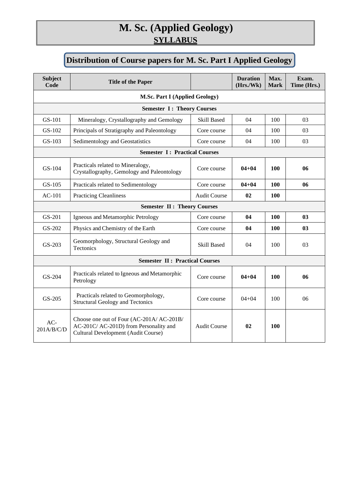## **M. Sc. (Applied Geology) SYLLABUS**

## **Distribution of Course papers for M. Sc. Part I Applied Geology**

| <b>Subject</b><br>Code             | <b>Title of the Paper</b>                                                                                                  |                     | <b>Duration</b><br>(Hrs./Wk) | Max.<br><b>Mark</b> | Exam.<br>Time (Hrs.) |
|------------------------------------|----------------------------------------------------------------------------------------------------------------------------|---------------------|------------------------------|---------------------|----------------------|
|                                    | <b>M.Sc. Part I (Applied Geology)</b>                                                                                      |                     |                              |                     |                      |
| <b>Semester I: Theory Courses</b>  |                                                                                                                            |                     |                              |                     |                      |
| GS-101                             | Mineralogy, Crystallography and Gemology                                                                                   | <b>Skill Based</b>  | 04                           | 100                 | 03                   |
| GS-102                             | Principals of Stratigraphy and Paleontology                                                                                | Core course         | 04                           | 100                 | 03                   |
| GS-103                             | Sedimentology and Geostatistics                                                                                            | Core course         | 04                           | 100                 | 03                   |
|                                    | <b>Semester I: Practical Courses</b>                                                                                       |                     |                              |                     |                      |
| GS-104                             | Practicals related to Mineralogy,<br>Crystallography, Gemology and Paleontology                                            | Core course         | $04 + 04$                    | 100                 | 06                   |
| $GS-105$                           | Practicals related to Sedimentology                                                                                        | Core course         | $04 + 04$                    | <b>100</b>          | 06                   |
| $AC-101$                           | <b>Practicing Cleanliness</b>                                                                                              | <b>Audit Course</b> | 02                           | 100                 |                      |
| <b>Semester II: Theory Courses</b> |                                                                                                                            |                     |                              |                     |                      |
| GS-201                             | Igneous and Metamorphic Petrology                                                                                          | Core course         | 04                           | 100                 | 0 <sub>3</sub>       |
| GS-202                             | Physics and Chemistry of the Earth                                                                                         | Core course         | 04                           | 100                 | 0 <sub>3</sub>       |
| GS-203                             | Geomorphology, Structural Geology and<br>Tectonics                                                                         | <b>Skill Based</b>  | 04                           | 100                 | 03                   |
|                                    | <b>Semester II: Practical Courses</b>                                                                                      |                     |                              |                     |                      |
| GS-204                             | Practicals related to Igneous and Metamorphic<br>Petrology                                                                 | Core course         | $04 + 04$                    | 100                 | 06                   |
| GS-205                             | Practicals related to Geomorphology,<br><b>Structural Geology and Tectonics</b>                                            | Core course         | $04 + 04$                    | 100                 | 06                   |
| $AC-$<br>201A/B/C/D                | Choose one out of Four (AC-201A/ AC-201B/<br>AC-201C/ AC-201D) from Personality and<br>Cultural Development (Audit Course) | <b>Audit Course</b> | 02                           | 100                 |                      |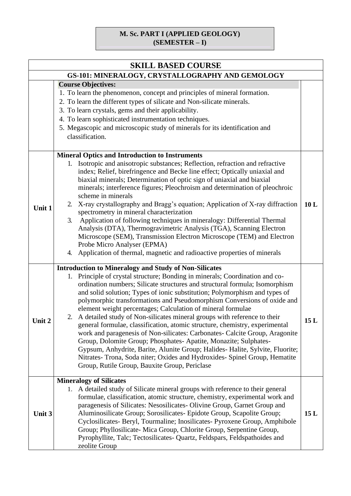## **M. Sc. PART I (APPLIED GEOLOGY) (SEMESTER – I)**

| <b>SKILL BASED COURSE</b> |                                                                                                                                                                                                                                                                                                                                                                                                                                                                                                                                                                                                                                                                                                                                                                                                                                                                                                                                                                                        |      |  |  |
|---------------------------|----------------------------------------------------------------------------------------------------------------------------------------------------------------------------------------------------------------------------------------------------------------------------------------------------------------------------------------------------------------------------------------------------------------------------------------------------------------------------------------------------------------------------------------------------------------------------------------------------------------------------------------------------------------------------------------------------------------------------------------------------------------------------------------------------------------------------------------------------------------------------------------------------------------------------------------------------------------------------------------|------|--|--|
|                           | GS-101: MINERALOGY, CRYSTALLOGRAPHY AND GEMOLOGY                                                                                                                                                                                                                                                                                                                                                                                                                                                                                                                                                                                                                                                                                                                                                                                                                                                                                                                                       |      |  |  |
|                           | <b>Course Objectives:</b><br>1. To learn the phenomenon, concept and principles of mineral formation.<br>2. To learn the different types of silicate and Non-silicate minerals.<br>3. To learn crystals, gems and their applicability.<br>4. To learn sophisticated instrumentation techniques.<br>5. Megascopic and microscopic study of minerals for its identification and<br>classification.                                                                                                                                                                                                                                                                                                                                                                                                                                                                                                                                                                                       |      |  |  |
| Unit 1                    | <b>Mineral Optics and Introduction to Instruments</b><br>1. Isotropic and anisotropic substances; Reflection, refraction and refractive<br>index; Relief, birefringence and Becke line effect; Optically uniaxial and<br>biaxial minerals; Determination of optic sign of uniaxial and biaxial<br>minerals; interference figures; Pleochroism and determination of pleochroic<br>scheme in minerals<br>X-ray crystallography and Bragg's equation; Application of X-ray diffraction<br>2.<br>spectrometry in mineral characterization<br>Application of following techniques in mineralogy: Differential Thermal<br>3.<br>Analysis (DTA), Thermogravimetric Analysis (TGA), Scanning Electron<br>Microscope (SEM), Transmission Electron Microscope (TEM) and Electron<br>Probe Micro Analyser (EPMA)<br>4. Application of thermal, magnetic and radioactive properties of minerals                                                                                                    | 10L  |  |  |
| Unit 2                    | <b>Introduction to Mineralogy and Study of Non-Silicates</b><br>1. Principle of crystal structure; Bonding in minerals; Coordination and co-<br>ordination numbers; Silicate structures and structural formula; Isomorphism<br>and solid solution; Types of ionic substitution; Polymorphism and types of<br>polymorphic transformations and Pseudomorphism Conversions of oxide and<br>element weight percentages; Calculation of mineral formulae<br>A detailed study of Non-silicates mineral groups with reference to their<br>2.<br>general formulae, classification, atomic structure, chemistry, experimental<br>work and paragenesis of Non-silicates: Carbonates- Calcite Group, Aragonite<br>Group, Dolomite Group; Phosphates-Apatite, Monazite; Sulphates-<br>Gypsum, Anhydrite, Barite, Alunite Group; Halides- Halite, Sylvite, Fluorite;<br>Nitrates- Trona, Soda niter; Oxides and Hydroxides- Spinel Group, Hematite<br>Group, Rutile Group, Bauxite Group, Periclase | 15 L |  |  |
| Unit 3                    | <b>Mineralogy of Silicates</b><br>A detailed study of Silicate mineral groups with reference to their general<br>1.<br>formulae, classification, atomic structure, chemistry, experimental work and<br>paragenesis of Silicates: Nesosilicates- Olivine Group, Garnet Group and<br>Aluminosilicate Group; Sorosilicates- Epidote Group, Scapolite Group;<br>Cyclosilicates- Beryl, Tourmaline; Inosilicates- Pyroxene Group, Amphibole<br>Group; Phyllosilicate- Mica Group, Chlorite Group, Serpentine Group,<br>Pyrophyllite, Talc; Tectosilicates- Quartz, Feldspars, Feldspathoides and<br>zeolite Group                                                                                                                                                                                                                                                                                                                                                                           | 15L  |  |  |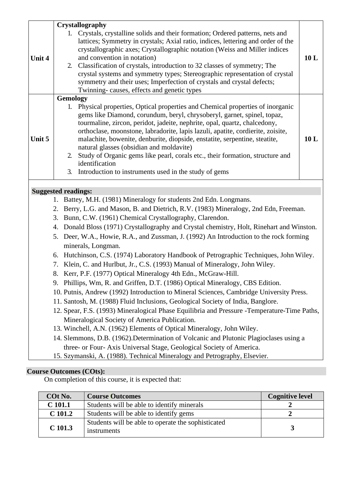|                                                                                                                                                                                                                                          |                                                                                                                                              | Crystallography                                                                                                                                                                                                                                                                                                                                                                                                                                                                                                                                                 |     |  |
|------------------------------------------------------------------------------------------------------------------------------------------------------------------------------------------------------------------------------------------|----------------------------------------------------------------------------------------------------------------------------------------------|-----------------------------------------------------------------------------------------------------------------------------------------------------------------------------------------------------------------------------------------------------------------------------------------------------------------------------------------------------------------------------------------------------------------------------------------------------------------------------------------------------------------------------------------------------------------|-----|--|
| <b>Unit 4</b>                                                                                                                                                                                                                            | 2.                                                                                                                                           | Crystals, crystalline solids and their formation; Ordered patterns, nets and<br>lattices; Symmetry in crystals; Axial ratio, indices, lettering and order of the<br>crystallographic axes; Crystallographic notation (Weiss and Miller indices<br>and convention in notation)<br>Classification of crystals, introduction to 32 classes of symmetry; The<br>crystal systems and symmetry types; Stereographic representation of crystal<br>symmetry and their uses; Imperfection of crystals and crystal defects;<br>Twinning-causes, effects and genetic types | 10L |  |
|                                                                                                                                                                                                                                          | Gemology                                                                                                                                     |                                                                                                                                                                                                                                                                                                                                                                                                                                                                                                                                                                 |     |  |
| Unit 5                                                                                                                                                                                                                                   | 2.                                                                                                                                           | 1. Physical properties, Optical properties and Chemical properties of inorganic<br>gems like Diamond, corundum, beryl, chrysoberyl, garnet, spinel, topaz,<br>tourmaline, zircon, peridot, jadeite, nephrite, opal, quartz, chalcedony,<br>orthoclase, moonstone, labradorite, lapis lazuli, apatite, cordierite, zoisite,<br>malachite, bowenite, denburite, diopside, enstatite, serpentine, steatite,<br>natural glasses (obsidian and moldavite)<br>Study of Organic gems like pearl, corals etc., their formation, structure and<br>identification         | 10L |  |
|                                                                                                                                                                                                                                          | 3.                                                                                                                                           | Introduction to instruments used in the study of gems                                                                                                                                                                                                                                                                                                                                                                                                                                                                                                           |     |  |
|                                                                                                                                                                                                                                          |                                                                                                                                              |                                                                                                                                                                                                                                                                                                                                                                                                                                                                                                                                                                 |     |  |
| <b>Suggested readings:</b>                                                                                                                                                                                                               |                                                                                                                                              |                                                                                                                                                                                                                                                                                                                                                                                                                                                                                                                                                                 |     |  |
| 1. Battey, M.H. (1981) Mineralogy for students 2nd Edn. Longmans.                                                                                                                                                                        |                                                                                                                                              |                                                                                                                                                                                                                                                                                                                                                                                                                                                                                                                                                                 |     |  |
| 2. Berry, L.G. and Mason, B. and Dietrich, R.V. (1983) Mineralogy, 2nd Edn, Freeman.                                                                                                                                                     |                                                                                                                                              |                                                                                                                                                                                                                                                                                                                                                                                                                                                                                                                                                                 |     |  |
| Bunn, C.W. (1961) Chemical Crystallography, Clarendon.<br>3.                                                                                                                                                                             |                                                                                                                                              |                                                                                                                                                                                                                                                                                                                                                                                                                                                                                                                                                                 |     |  |
| 4. Donald Bloss (1971) Crystallography and Crystal chemistry, Holt, Rinehart and Winston.<br>5. Deer, W.A., Howie, R.A., and Zussman, J. (1992) An Introduction to the rock forming<br>minerals, Longman.                                |                                                                                                                                              |                                                                                                                                                                                                                                                                                                                                                                                                                                                                                                                                                                 |     |  |
| 6. Hutchinson, C.S. (1974) Laboratory Handbook of Petrographic Techniques, John Wiley.<br>7. Klein, C. and Hurlbut, Jr., C.S. (1993) Manual of Mineralogy, John Wiley.<br>8. Kerr, P.F. (1977) Optical Mineralogy 4th Edn., McGraw-Hill. |                                                                                                                                              |                                                                                                                                                                                                                                                                                                                                                                                                                                                                                                                                                                 |     |  |
|                                                                                                                                                                                                                                          |                                                                                                                                              | 9. Phillips, Wm, R. and Griffen, D.T. (1986) Optical Mineralogy, CBS Edition.                                                                                                                                                                                                                                                                                                                                                                                                                                                                                   |     |  |
|                                                                                                                                                                                                                                          |                                                                                                                                              | 10. Putnis, Andrew (1992) Introduction to Mineral Sciences, Cambridge University Press.                                                                                                                                                                                                                                                                                                                                                                                                                                                                         |     |  |
|                                                                                                                                                                                                                                          |                                                                                                                                              | 11. Santosh, M. (1988) Fluid Inclusions, Geological Society of India, Banglore.                                                                                                                                                                                                                                                                                                                                                                                                                                                                                 |     |  |
|                                                                                                                                                                                                                                          | 12. Spear, F.S. (1993) Mineralogical Phase Equilibria and Pressure -Temperature-Time Paths,<br>Mineralogical Society of America Publication. |                                                                                                                                                                                                                                                                                                                                                                                                                                                                                                                                                                 |     |  |
|                                                                                                                                                                                                                                          |                                                                                                                                              | 13. Winchell, A.N. (1962) Elements of Optical Mineralogy, John Wiley.                                                                                                                                                                                                                                                                                                                                                                                                                                                                                           |     |  |
|                                                                                                                                                                                                                                          |                                                                                                                                              | 14. Slemmons, D.B. (1962). Determination of Volcanic and Plutonic Plagioclases using a                                                                                                                                                                                                                                                                                                                                                                                                                                                                          |     |  |
|                                                                                                                                                                                                                                          |                                                                                                                                              | three- or Four- Axis Universal Stage, Geological Society of America.                                                                                                                                                                                                                                                                                                                                                                                                                                                                                            |     |  |
|                                                                                                                                                                                                                                          |                                                                                                                                              | 15. Szymanski, A. (1988). Technical Mineralogy and Petrography, Elsevier.                                                                                                                                                                                                                                                                                                                                                                                                                                                                                       |     |  |
|                                                                                                                                                                                                                                          |                                                                                                                                              |                                                                                                                                                                                                                                                                                                                                                                                                                                                                                                                                                                 |     |  |

| COt No.     | <b>Course Outcomes</b>                                            | <b>Cognitive level</b> |
|-------------|-------------------------------------------------------------------|------------------------|
| $C$ 101.1   | Students will be able to identify minerals                        |                        |
| $C_{101.2}$ | Students will be able to identify gems                            |                        |
| $C$ 101.3   | Students will be able to operate the sophisticated<br>instruments |                        |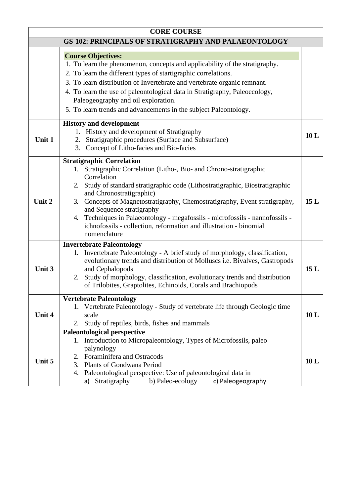|        | <b>CORE COURSE</b>                                                                                                                                                                                                                                                                                                                                                                                                                                                                                                         |                 |
|--------|----------------------------------------------------------------------------------------------------------------------------------------------------------------------------------------------------------------------------------------------------------------------------------------------------------------------------------------------------------------------------------------------------------------------------------------------------------------------------------------------------------------------------|-----------------|
|        | <b>GS-102: PRINCIPALS OF STRATIGRAPHY AND PALAEONTOLOGY</b>                                                                                                                                                                                                                                                                                                                                                                                                                                                                |                 |
|        | <b>Course Objectives:</b><br>1. To learn the phenomenon, concepts and applicability of the stratigraphy.<br>2. To learn the different types of startigraphic correlations.<br>3. To learn distribution of Invertebrate and vertebrate organic remnant.<br>4. To learn the use of paleontological data in Stratigraphy, Paleoecology,<br>Paleogeography and oil exploration.<br>5. To learn trends and advancements in the subject Paleontology.                                                                            |                 |
| Unit 1 | <b>History and development</b><br>History and development of Stratigraphy<br>1.<br>Stratigraphic procedures (Surface and Subsurface)<br>2.<br>Concept of Litho-facies and Bio-facies<br>3.                                                                                                                                                                                                                                                                                                                                 | 10 <sub>L</sub> |
| Unit 2 | <b>Stratigraphic Correlation</b><br>Stratigraphic Correlation (Litho-, Bio- and Chrono-stratigraphic<br>Correlation<br>Study of standard stratigraphic code (Lithostratigraphic, Biostratigraphic<br>2.<br>and Chronostratigraphic)<br>Concepts of Magnetostratigraphy, Chemostratigraphy, Event stratigraphy,<br>3.<br>and Sequence stratigraphy<br>Techniques in Palaeontology - megafossils - microfossils - nannofossils -<br>4.<br>ichnofossils - collection, reformation and illustration - binomial<br>nomenclature | 15L             |
| Unit 3 | <b>Invertebrate Paleontology</b><br>Invertebrate Paleontology - A brief study of morphology, classification,<br>1.<br>evolutionary trends and distribution of Molluscs i.e. Bivalves, Gastropods<br>and Cephalopods<br>Study of morphology, classification, evolutionary trends and distribution<br>2.<br>of Trilobites, Graptolites, Echinoids, Corals and Brachiopods                                                                                                                                                    | 15L             |
| Unit 4 | <b>Vertebrate Paleontology</b><br>Vertebrate Paleontology - Study of vertebrate life through Geologic time<br>1.<br>scale<br>Study of reptiles, birds, fishes and mammals<br>2.                                                                                                                                                                                                                                                                                                                                            | 10L             |
| Unit 5 | <b>Paleontological perspective</b><br>1. Introduction to Micropaleontology, Types of Microfossils, paleo<br>palynology<br>2. Foraminifera and Ostracods<br>3.<br><b>Plants of Gondwana Period</b><br>Paleontological perspective: Use of paleontological data in<br>4.<br>b) Paleo-ecology<br>Stratigraphy<br>c) Paleogeography<br>a)                                                                                                                                                                                      | 10 <sub>L</sub> |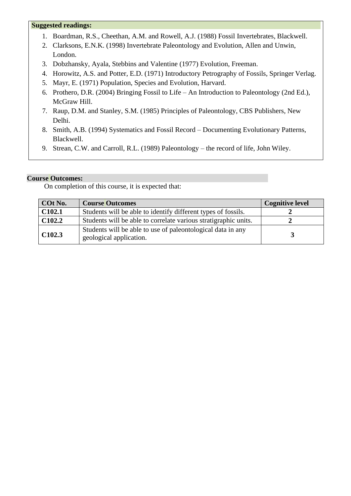#### **Suggested readings:**

- 1. Boardman, R.S., Cheethan, A.M. and Rowell, A.J. (1988) Fossil Invertebrates, Blackwell.
- 2. Clarksons, E.N.K. (1998) Invertebrate Paleontology and Evolution, Allen and Unwin, London.
- 3. Dobzhansky, Ayala, Stebbins and Valentine (1977) Evolution, Freeman.
- 4. Horowitz, A.S. and Potter, E.D. (1971) Introductory Petrography of Fossils, Springer Verlag.
- 5. Mayr, E. (1971) Population, Species and Evolution, Harvard.
- 6. Prothero, D.R. (2004) Bringing Fossil to Life An Introduction to Paleontology (2nd Ed.), McGraw Hill.
- 7. Raup, D.M. and Stanley, S.M. (1985) Principles of Paleontology, CBS Publishers, New Delhi.
- 8. Smith, A.B. (1994) Systematics and Fossil Record Documenting Evolutionary Patterns, Blackwell.
- 9. Strean, C.W. and Carroll, R.L. (1989) Paleontology the record of life, John Wiley.

#### **Course Outcomes:**

| COt No.            | <b>Course Outcomes</b>                                                                 | <b>Cognitive level</b> |
|--------------------|----------------------------------------------------------------------------------------|------------------------|
| C <sub>102.1</sub> | Students will be able to identify different types of fossils.                          |                        |
| C <sub>102.2</sub> | Students will be able to correlate various stratigraphic units.                        |                        |
| C <sub>102.3</sub> | Students will be able to use of paleontological data in any<br>geological application. |                        |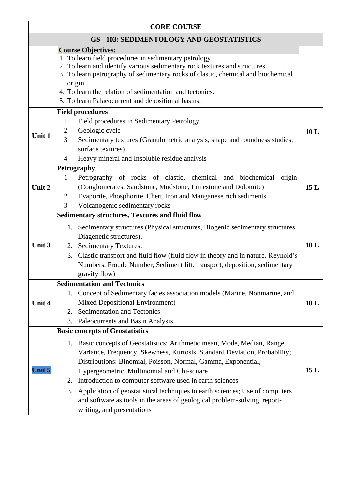| <b>CORE COURSE</b>                               |                                                                                                                                                                                                                                                                                                                                                                                                                                                                                                                                                                                       |     |  |  |
|--------------------------------------------------|---------------------------------------------------------------------------------------------------------------------------------------------------------------------------------------------------------------------------------------------------------------------------------------------------------------------------------------------------------------------------------------------------------------------------------------------------------------------------------------------------------------------------------------------------------------------------------------|-----|--|--|
| <b>GS - 103: SEDIMENTOLOGY AND GEOSTATISTICS</b> |                                                                                                                                                                                                                                                                                                                                                                                                                                                                                                                                                                                       |     |  |  |
|                                                  | <b>Course Objectives:</b><br>1. To learn field procedures in sedimentary petrology<br>2. To learn and identify various sedimentary rock textures and structures<br>3. To learn petrography of sedimentary rocks of clastic, chemical and biochemical<br>origin.<br>4. To learn the relation of sedimentation and tectonics.<br>5. To learn Palaeocurrent and depositional basins.                                                                                                                                                                                                     |     |  |  |
| Unit 1                                           | <b>Field procedures</b><br>Field procedures in Sedimentary Petrology<br>1<br>Geologic cycle<br>2<br>$\overline{3}$<br>Sedimentary textures (Granulometric analysis, shape and roundness studies,<br>surface textures)<br>Heavy mineral and Insoluble residue analysis<br>4                                                                                                                                                                                                                                                                                                            | 10L |  |  |
| Unit 2                                           | Petrography<br>Petrography of rocks of clastic, chemical and biochemical<br>1<br>origin<br>(Conglomerates, Sandstone, Mudstone, Limestone and Dolomite)<br>Evaporite, Phosphorite, Chert, Iron and Manganese rich sediments<br>$\overline{2}$<br>Volcanogenic sedimentary rocks<br>3                                                                                                                                                                                                                                                                                                  | 15L |  |  |
| Unit 3                                           | <b>Sedimentary structures, Textures and fluid flow</b><br>Sedimentary structures (Physical structures, Biogenic sedimentary structures,<br>1.<br>Diagenetic structures).<br>Sedimentary Textures.<br>2.<br>3.<br>Clastic transport and fluid flow (fluid flow in theory and in nature, Reynold's<br>Numbers, Froude Number, Sediment lift, transport, deposition, sedimentary<br>gravity flow)                                                                                                                                                                                        | 10L |  |  |
| Unit 4                                           | <b>Sedimentation and Tectonics</b><br>1. Concept of Sedimentary facies association models (Marine, Nonmarine, and<br>Mixed Depositional Environment)<br>Sedimentation and Tectonics<br>2.<br>3.<br>Paleocurrents and Basin Analysis.                                                                                                                                                                                                                                                                                                                                                  | 10L |  |  |
| Unit 5                                           | <b>Basic concepts of Geostatistics</b><br>Basic concepts of Geostatistics; Arithmetic mean, Mode, Median, Range,<br>1.<br>Variance, Frequency, Skewness, Kurtosis, Standard Deviation, Probability;<br>Distributions: Binomial, Poisson, Normal, Gamma, Exponential,<br>Hypergeometric, Multinomial and Chi-square<br>Introduction to computer software used in earth sciences<br>2.<br>Application of geostatistical techniques to earth sciences; Use of computers<br>3.<br>and software as tools in the areas of geological problem-solving, report-<br>writing, and presentations | 15L |  |  |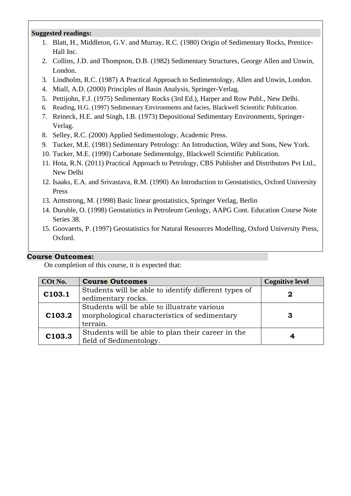#### **Suggested readings:**

- 1. Blatt, H., Middleton, G.V. and Murray, R.C. (1980) Origin of Sedimentary Rocks, Prentice-Hall Inc.
- 2. Collins, J.D. and Thompson, D.B. (1982) Sedimentary Structures, George Allen and Unwin, London.
- 3. Lindholm, R.C. (1987) A Practical Approach to Sedimentology, Allen and Unwin, London.
- 4. Miall, A.D. (2000) Principles of Basin Analysis, Springer-Verlag.
- 5. Pettijohn, F.J. (1975) Sedimentary Rocks (3rd Ed.), Harper and Row Publ., New Delhi.
- 6. Reading, H.G. (1997) Sedimentary Environments and facies, Blackwell Scientific Publication.
- 7. Reineck, H.E. and Singh, I.B. (1973) Depositional Sedimentary Environments, Springer-Verlag.
- 8. Selley, R.C. (2000) Applied Sedimentology, Academic Press.
- 9. Tucker, M.E. (1981) Sedimentary Petrology: An Introduction, Wiley and Sons, New York.
- 10. Tucker, M.E. (1990) Carbonate Sedimentolgy, Blackwell Scientific Publication.
- 11. Hota, R.N. (2011) Practical Approach to Petrology, CBS Publisher and Distributors Pvt Ltd., New Delhi
- 12. Isaaks, E.A. and Srivastava, R.M. (1990) An Introduction to Geostatistics, Oxford University Press
- 13. Armstrong, M. (1998) Basic linear geostatistics, Springer Verlag, Berlin
- 14. Duruble, O. (1998) Geostatistics in Petroleum Geology, AAPG Cont. Education Course Note Series 38.
- 15. Goovaerts, P. (1997) Geostatistics for Natural Resources Modelling, Oxford University Press, Oxford.

### **Course Outcomes:**

| COt No. | <b>Course Outcomes</b>                                                                                  | <b>Cognitive level</b> |
|---------|---------------------------------------------------------------------------------------------------------|------------------------|
| C103.1  | Students will be able to identify different types of<br>sedimentary rocks.                              | 2                      |
| C103.2  | Students will be able to illustrate various<br>morphological characteristics of sedimentary<br>terrain. | З                      |
| C103.3  | Students will be able to plan their career in the<br>field of Sedimentology.                            | 4                      |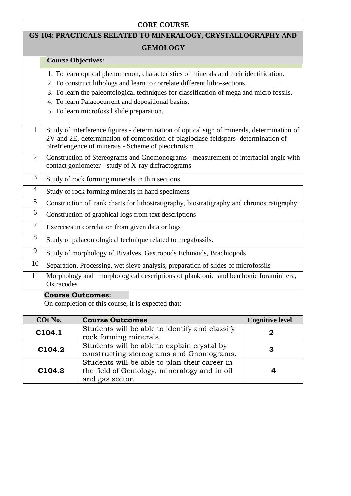## **CORE COURSE**

## **GS-104: PRACTICALS RELATED TO MINERALOGY, CRYSTALLOGRAPHY AND**

### **GEMOLOGY**

|                | <b>Course Objectives:</b>                                                                                                                                                                                                              |
|----------------|----------------------------------------------------------------------------------------------------------------------------------------------------------------------------------------------------------------------------------------|
|                |                                                                                                                                                                                                                                        |
|                | 1. To learn optical phenomenon, characteristics of minerals and their identification.                                                                                                                                                  |
|                | 2. To construct lithologs and learn to correlate different litho-sections.                                                                                                                                                             |
|                | 3. To learn the paleontological techniques for classification of mega and micro fossils.                                                                                                                                               |
|                | 4. To learn Palaeocurrent and depositional basins.                                                                                                                                                                                     |
|                | 5. To learn microfossil slide preparation.                                                                                                                                                                                             |
|                |                                                                                                                                                                                                                                        |
| $\mathbf{1}$   | Study of interference figures - determination of optical sign of minerals, determination of<br>2V and 2E, determination of composition of plagioclase feldspars-determination of<br>birefriengence of minerals - Scheme of pleochroism |
| $\overline{2}$ | Construction of Stereograms and Gnomonograms - measurement of interfacial angle with<br>contact goniometer - study of X-ray diffractograms                                                                                             |
| 3              | Study of rock forming minerals in thin sections                                                                                                                                                                                        |
| 4              | Study of rock forming minerals in hand specimens                                                                                                                                                                                       |
| 5              | Construction of rank charts for lithostratigraphy, biostratigraphy and chronostratigraphy                                                                                                                                              |
| 6              | Construction of graphical logs from text descriptions                                                                                                                                                                                  |
| 7              | Exercises in correlation from given data or logs                                                                                                                                                                                       |
| 8              | Study of palaeontological technique related to megafossils.                                                                                                                                                                            |
| 9              | Study of morphology of Bivalves, Gastropods Echinoids, Brachiopods                                                                                                                                                                     |
| 10             | Separation, Processing, wet sieve analysis, preparation of slides of microfossils                                                                                                                                                      |
| 11             | Morphology and morphological descriptions of planktonic and benthonic foraminifera,<br>Ostracodes                                                                                                                                      |

## **Course Outcomes:**

| COt No.            | <b>Course Outcomes</b>                         | <b>Cognitive level</b> |
|--------------------|------------------------------------------------|------------------------|
| C104.1             | Students will be able to identify and classify |                        |
|                    | rock forming minerals.                         |                        |
| C <sub>104.2</sub> | Students will be able to explain crystal by    |                        |
|                    | constructing stereograms and Gnomograms.       | З                      |
|                    | Students will be able to plan their career in  |                        |
| C104.3             | the field of Gemology, mineralogy and in oil   |                        |
|                    | and gas sector.                                |                        |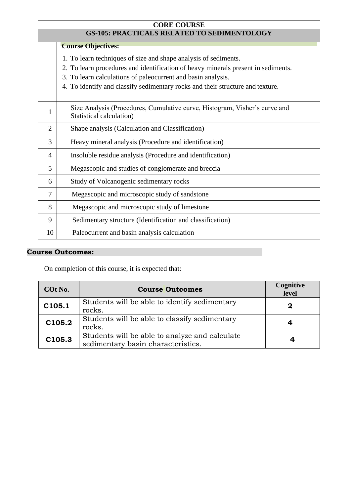|                | <b>CORE COURSE</b>                                                                                     |  |  |
|----------------|--------------------------------------------------------------------------------------------------------|--|--|
|                | <b>GS-105: PRACTICALS RELATED TO SEDIMENTOLOGY</b>                                                     |  |  |
|                | <b>Course Objectives:</b>                                                                              |  |  |
|                | 1. To learn techniques of size and shape analysis of sediments.                                        |  |  |
|                | 2. To learn procedures and identification of heavy minerals present in sediments.                      |  |  |
|                | 3. To learn calculations of paleocurrent and basin analysis.                                           |  |  |
|                | 4. To identify and classify sedimentary rocks and their structure and texture.                         |  |  |
| 1              | Size Analysis (Procedures, Cumulative curve, Histogram, Visher's curve and<br>Statistical calculation) |  |  |
| $\overline{2}$ | Shape analysis (Calculation and Classification)                                                        |  |  |
| 3              | Heavy mineral analysis (Procedure and identification)                                                  |  |  |
| 4              | Insoluble residue analysis (Procedure and identification)                                              |  |  |
| 5              | Megascopic and studies of conglomerate and breccia                                                     |  |  |
| 6              | Study of Volcanogenic sedimentary rocks                                                                |  |  |
| $\overline{7}$ | Megascopic and microscopic study of sandstone                                                          |  |  |
| 8              | Megascopic and microscopic study of limestone                                                          |  |  |
| 9              | Sedimentary structure (Identification and classification)                                              |  |  |
| 10             | Paleocurrent and basin analysis calculation                                                            |  |  |

| COt No. | <b>Course Outcomes</b>                                                               | Cognitive<br>level |
|---------|--------------------------------------------------------------------------------------|--------------------|
| C105.1  | Students will be able to identify sedimentary<br>rocks.                              | 2                  |
| C105.2  | Students will be able to classify sedimentary<br>rocks.                              |                    |
| C105.3  | Students will be able to analyze and calculate<br>sedimentary basin characteristics. |                    |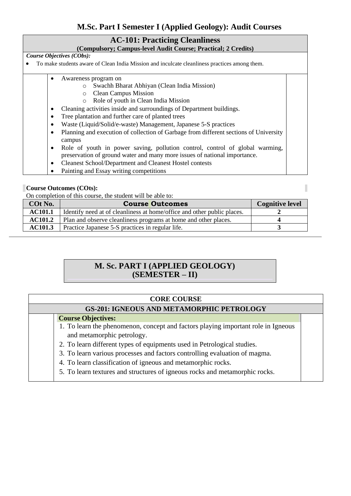## **M.Sc. Part I Semester I (Applied Geology): Audit Courses**

#### **AC-101: Practicing Cleanliness**

#### **(Compulsory; Campus-level Audit Course; Practical; 2 Credits)**

*Course Objectives (CObs):* 

- To make students aware of Clean India Mission and inculcate cleanliness practices among them.
	- Awareness program on
		- o Swachh Bharat Abhiyan (Clean India Mission)
		- o Clean Campus Mission
		- o Role of youth in Clean India Mission
		- Cleaning activities inside and surroundings of Department buildings.
		- Tree plantation and further care of planted trees
		- Waste (Liquid/Solid/e-waste) Management, Japanese 5-S practices
		- Planning and execution of collection of Garbage from different sections of University campus
		- Role of youth in power saving, pollution control, control of global warming, preservation of ground water and many more issues of national importance.
		- Cleanest School/Department and Cleanest Hostel contests
		- Painting and Essay writing competitions

#### **Course Outcomes (COts):**

On completion of this course, the student will be able to:

| COt No.        | <b>Course Outcomes</b>                                                  | <b>Cognitive level</b> |
|----------------|-------------------------------------------------------------------------|------------------------|
| <b>AC101.1</b> | Identify need at of cleanliness at home/office and other public places. |                        |
| <b>AC101.2</b> | Plan and observe cleanliness programs at home and other places.         |                        |
| <b>AC101.3</b> | Practice Japanese 5-S practices in regular life.                        |                        |

#### $\overline{a}$  **M. Sc. PART I (APPLIED GEOLOGY) (SEMESTER – II)**

#### **CORE COURSE**

#### **GS-201: IGNEOUS AND METAMORPHIC PETROLOGY**

#### **Course Objectives:**

- 1. To learn the phenomenon, concept and factors playing important role in Igneous and metamorphic petrology.
- 2. To learn different types of equipments used in Petrological studies.
- 3. To learn various processes and factors controlling evaluation of magma.
- 4. To learn classification of igneous and metamorphic rocks.
- 5. To learn textures and structures of igneous rocks and metamorphic rocks.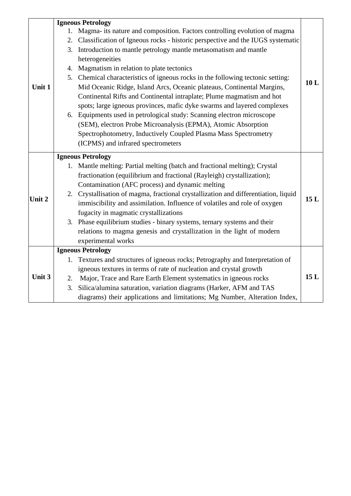|        |    | <b>Igneous Petrology</b>                                                            |     |
|--------|----|-------------------------------------------------------------------------------------|-----|
|        | 1. | Magma- its nature and composition. Factors controlling evolution of magma           |     |
|        | 2. | Classification of Igneous rocks - historic perspective and the IUGS systematic      |     |
|        |    | 3. Introduction to mantle petrology mantle metasomatism and mantle                  |     |
|        |    | heterogeneities                                                                     |     |
|        |    | 4. Magmatism in relation to plate tectonics                                         |     |
|        |    | 5. Chemical characteristics of igneous rocks in the following tectonic setting:     |     |
| Unit 1 |    | Mid Oceanic Ridge, Island Arcs, Oceanic plateaus, Continental Margins,              | 10L |
|        |    | Continental Rifts and Continental intraplate; Plume magmatism and hot               |     |
|        |    | spots; large igneous provinces, mafic dyke swarms and layered complexes             |     |
|        |    | 6. Equipments used in petrological study: Scanning electron microscope              |     |
|        |    | (SEM), electron Probe Microanalysis (EPMA), Atomic Absorption                       |     |
|        |    | Spectrophotometry, Inductively Coupled Plasma Mass Spectrometry                     |     |
|        |    | (ICPMS) and infrared spectrometers                                                  |     |
|        |    | <b>Igneous Petrology</b>                                                            |     |
|        | 1. | Mantle melting: Partial melting (batch and fractional melting); Crystal             |     |
|        |    | fractionation (equilibrium and fractional (Rayleigh) crystallization);              |     |
|        |    | Contamination (AFC process) and dynamic melting                                     |     |
|        |    | 2. Crystallisation of magma, fractional crystallization and differentiation, liquid |     |
| Unit 2 |    | immiscibility and assimilation. Influence of volatiles and role of oxygen           | 15L |
|        |    | fugacity in magmatic crystallizations                                               |     |
|        |    | 3. Phase equilibrium studies - binary systems, ternary systems and their            |     |
|        |    | relations to magma genesis and crystallization in the light of modern               |     |
|        |    | experimental works                                                                  |     |
|        |    | <b>Igneous Petrology</b>                                                            |     |
|        | 1. | Textures and structures of igneous rocks; Petrography and Interpretation of         |     |
|        |    | igneous textures in terms of rate of nucleation and crystal growth                  |     |
| Unit 3 | 2. | Major, Trace and Rare Earth Element systematics in igneous rocks                    | 15L |
|        | 3. | Silica/alumina saturation, variation diagrams (Harker, AFM and TAS                  |     |
|        |    | diagrams) their applications and limitations; Mg Number, Alteration Index,          |     |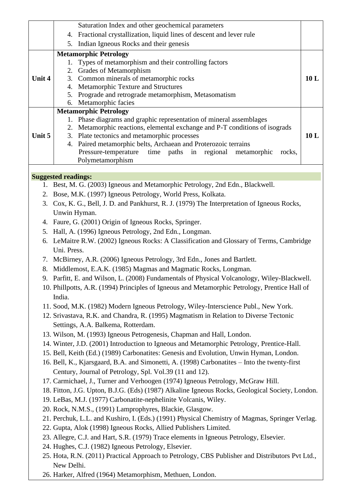| 4. Fractional crystallization, liquid lines of descent and lever rule<br>5. Indian Igneous Rocks and their genesis<br><b>Metamorphic Petrology</b><br>Types of metamorphism and their controlling factors<br>1.<br>Grades of Metamorphism<br>2.<br>Unit 4<br>3. Common minerals of metamorphic rocks<br>10L<br>4. Metamorphic Texture and Structures<br>Prograde and retrograde metamorphism, Metasomatism<br>5.<br>6. Metamorphic facies<br><b>Metamorphic Petrology</b><br>1. Phase diagrams and graphic representation of mineral assemblages<br>2. Metamorphic reactions, elemental exchange and P-T conditions of isograds |  |  |
|---------------------------------------------------------------------------------------------------------------------------------------------------------------------------------------------------------------------------------------------------------------------------------------------------------------------------------------------------------------------------------------------------------------------------------------------------------------------------------------------------------------------------------------------------------------------------------------------------------------------------------|--|--|
|                                                                                                                                                                                                                                                                                                                                                                                                                                                                                                                                                                                                                                 |  |  |
|                                                                                                                                                                                                                                                                                                                                                                                                                                                                                                                                                                                                                                 |  |  |
|                                                                                                                                                                                                                                                                                                                                                                                                                                                                                                                                                                                                                                 |  |  |
|                                                                                                                                                                                                                                                                                                                                                                                                                                                                                                                                                                                                                                 |  |  |
|                                                                                                                                                                                                                                                                                                                                                                                                                                                                                                                                                                                                                                 |  |  |
|                                                                                                                                                                                                                                                                                                                                                                                                                                                                                                                                                                                                                                 |  |  |
|                                                                                                                                                                                                                                                                                                                                                                                                                                                                                                                                                                                                                                 |  |  |
|                                                                                                                                                                                                                                                                                                                                                                                                                                                                                                                                                                                                                                 |  |  |
|                                                                                                                                                                                                                                                                                                                                                                                                                                                                                                                                                                                                                                 |  |  |
|                                                                                                                                                                                                                                                                                                                                                                                                                                                                                                                                                                                                                                 |  |  |
|                                                                                                                                                                                                                                                                                                                                                                                                                                                                                                                                                                                                                                 |  |  |
| 3. Plate tectonics and metamorphic processes<br>10L<br>Unit 5                                                                                                                                                                                                                                                                                                                                                                                                                                                                                                                                                                   |  |  |
| 4. Paired metamorphic belts, Archaean and Proterozoic terrains                                                                                                                                                                                                                                                                                                                                                                                                                                                                                                                                                                  |  |  |
| Pressure-temperature<br>time paths<br>in regional<br>metamorphic<br>rocks,                                                                                                                                                                                                                                                                                                                                                                                                                                                                                                                                                      |  |  |
| Polymetamorphism                                                                                                                                                                                                                                                                                                                                                                                                                                                                                                                                                                                                                |  |  |
|                                                                                                                                                                                                                                                                                                                                                                                                                                                                                                                                                                                                                                 |  |  |
| <b>Suggested readings:</b>                                                                                                                                                                                                                                                                                                                                                                                                                                                                                                                                                                                                      |  |  |
| 1. Best, M. G. (2003) Igneous and Metamorphic Petrology, 2nd Edn., Blackwell.                                                                                                                                                                                                                                                                                                                                                                                                                                                                                                                                                   |  |  |
| 2. Bose, M.K. (1997) Igneous Petrology, World Press, Kolkata.                                                                                                                                                                                                                                                                                                                                                                                                                                                                                                                                                                   |  |  |
| 3. Cox, K. G., Bell, J. D. and Pankhurst, R. J. (1979) The Interpretation of Igneous Rocks,                                                                                                                                                                                                                                                                                                                                                                                                                                                                                                                                     |  |  |
| Unwin Hyman.                                                                                                                                                                                                                                                                                                                                                                                                                                                                                                                                                                                                                    |  |  |
| 4. Faure, G. (2001) Origin of Igneous Rocks, Springer.                                                                                                                                                                                                                                                                                                                                                                                                                                                                                                                                                                          |  |  |
| 5. Hall, A. (1996) Igneous Petrology, 2nd Edn., Longman.                                                                                                                                                                                                                                                                                                                                                                                                                                                                                                                                                                        |  |  |
| LeMaitre R.W. (2002) Igneous Rocks: A Classification and Glossary of Terms, Cambridge<br>6.                                                                                                                                                                                                                                                                                                                                                                                                                                                                                                                                     |  |  |
| Uni. Press.                                                                                                                                                                                                                                                                                                                                                                                                                                                                                                                                                                                                                     |  |  |
| 7. McBirney, A.R. (2006) Igneous Petrology, 3rd Edn., Jones and Bartlett.                                                                                                                                                                                                                                                                                                                                                                                                                                                                                                                                                       |  |  |
| Middlemost, E.A.K. (1985) Magmas and Magmatic Rocks, Longman.<br>8.                                                                                                                                                                                                                                                                                                                                                                                                                                                                                                                                                             |  |  |
| 9. Parfitt, E. and Wilson, L. (2008) Fundamentals of Physical Volcanology, Wiley-Blackwell.                                                                                                                                                                                                                                                                                                                                                                                                                                                                                                                                     |  |  |
| 10. Phillpotts, A.R. (1994) Principles of Igneous and Metamorphic Petrology, Prentice Hall of<br>India.                                                                                                                                                                                                                                                                                                                                                                                                                                                                                                                         |  |  |
| 11. Sood, M.K. (1982) Modern Igneous Petrology, Wiley-Interscience Publ., New York.                                                                                                                                                                                                                                                                                                                                                                                                                                                                                                                                             |  |  |
| 12. Srivastava, R.K. and Chandra, R. (1995) Magmatism in Relation to Diverse Tectonic                                                                                                                                                                                                                                                                                                                                                                                                                                                                                                                                           |  |  |
| Settings, A.A. Balkema, Rotterdam.                                                                                                                                                                                                                                                                                                                                                                                                                                                                                                                                                                                              |  |  |
| 13. Wilson, M. (1993) Igneous Petrogenesis, Chapman and Hall, London.                                                                                                                                                                                                                                                                                                                                                                                                                                                                                                                                                           |  |  |
| 14. Winter, J.D. (2001) Introduction to Igneous and Metamorphic Petrology, Prentice-Hall.                                                                                                                                                                                                                                                                                                                                                                                                                                                                                                                                       |  |  |
| 15. Bell, Keith (Ed.) (1989) Carbonatites: Genesis and Evolution, Unwin Hyman, London.                                                                                                                                                                                                                                                                                                                                                                                                                                                                                                                                          |  |  |
| 16. Bell, K., Kjarsgaard, B.A. and Simonetti, A. (1998) Carbonatites – Into the twenty-first                                                                                                                                                                                                                                                                                                                                                                                                                                                                                                                                    |  |  |
| Century, Journal of Petrology, Spl. Vol.39 (11 and 12).                                                                                                                                                                                                                                                                                                                                                                                                                                                                                                                                                                         |  |  |
| 17. Carmichael, J., Turner and Verhoogen (1974) Igneous Petrology, McGraw Hill.                                                                                                                                                                                                                                                                                                                                                                                                                                                                                                                                                 |  |  |
| 18. Fitton, J.G. Upton, B.J.G. (Eds) (1987) Alkaline Igneous Rocks, Geological Society, London.                                                                                                                                                                                                                                                                                                                                                                                                                                                                                                                                 |  |  |
| 19. LeBas, M.J. (1977) Carbonatite-nephelinite Volcanis, Wiley.                                                                                                                                                                                                                                                                                                                                                                                                                                                                                                                                                                 |  |  |
| 20. Rock, N.M.S., (1991) Lamprophyres, Blackie, Glasgow.                                                                                                                                                                                                                                                                                                                                                                                                                                                                                                                                                                        |  |  |
| 21. Perchuk, L.L. and Kushiro, I. (Eds.) (1991) Physical Chemistry of Magmas, Springer Verlag.                                                                                                                                                                                                                                                                                                                                                                                                                                                                                                                                  |  |  |
| 22. Gupta, Alok (1998) Igneous Rocks, Allied Publishers Limited.                                                                                                                                                                                                                                                                                                                                                                                                                                                                                                                                                                |  |  |
| 23. Allegre, C.J. and Hart, S.R. (1979) Trace elements in Igneous Petrology, Elsevier.                                                                                                                                                                                                                                                                                                                                                                                                                                                                                                                                          |  |  |
| 24. Hughes, C.J. (1982) Igneous Petrology, Elsevier.                                                                                                                                                                                                                                                                                                                                                                                                                                                                                                                                                                            |  |  |
| 25. Hota, R.N. (2011) Practical Approach to Petrology, CBS Publisher and Distributors Pvt Ltd.,<br>New Delhi.                                                                                                                                                                                                                                                                                                                                                                                                                                                                                                                   |  |  |
| 26. Harker, Alfred (1964) Metamorphism, Methuen, London.                                                                                                                                                                                                                                                                                                                                                                                                                                                                                                                                                                        |  |  |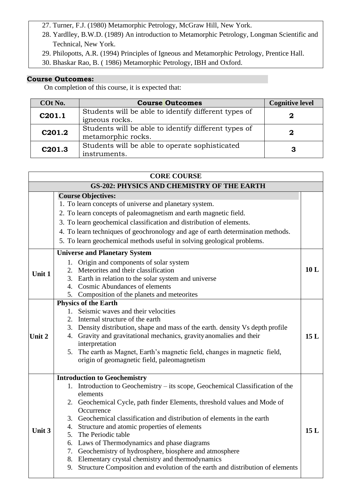- 27. Turner, F.J. (1980) Metamorphic Petrology, McGraw Hill, New York.
- 28. Yardlley, B.W.D. (1989) An introduction to Metamorphic Petrology, Longman Scientific and Technical, New York.
- 29. Philopotts, A.R. (1994) Principles of Igneous and Metamorphic Petrology, Prentice Hall.
- 30. Bhaskar Rao, B. ( 1986) Metamorphic Petrology, IBH and Oxford.

| COt No.            | <b>Course Outcomes</b>                               | <b>Cognitive level</b> |
|--------------------|------------------------------------------------------|------------------------|
| C201.1             | Students will be able to identify different types of |                        |
|                    | igneous rocks.                                       |                        |
| C <sub>201.2</sub> | Students will be able to identify different types of | 2                      |
|                    | metamorphic rocks.                                   |                        |
| C <sub>201.3</sub> | Students will be able to operate sophisticated       |                        |
|                    | instruments.                                         |                        |

| <b>CORE COURSE</b>                                |                                                                                                                                                                                                                                                                                                                                                                                                                                                                                                                                                                                                                                                              |      |
|---------------------------------------------------|--------------------------------------------------------------------------------------------------------------------------------------------------------------------------------------------------------------------------------------------------------------------------------------------------------------------------------------------------------------------------------------------------------------------------------------------------------------------------------------------------------------------------------------------------------------------------------------------------------------------------------------------------------------|------|
| <b>GS-202: PHYSICS AND CHEMISTRY OF THE EARTH</b> |                                                                                                                                                                                                                                                                                                                                                                                                                                                                                                                                                                                                                                                              |      |
| Unit 1                                            | <b>Course Objectives:</b><br>1. To learn concepts of universe and planetary system.<br>2. To learn concepts of paleomagnetism and earth magnetic field.<br>3. To learn geochemical classification and distribution of elements.<br>4. To learn techniques of geochronology and age of earth determination methods.<br>5. To learn geochemical methods useful in solving geological problems.<br><b>Universe and Planetary System</b><br>Origin and components of solar system<br>1.<br>Meteorites and their classification<br>2.<br>3. Earth in relation to the solar system and universe<br>4. Cosmic Abundances of elements                                | 10L  |
| Unit 2                                            | 5.<br>Composition of the planets and meteorites<br><b>Physics of the Earth</b><br>1. Seismic waves and their velocities<br>2. Internal structure of the earth<br>3. Density distribution, shape and mass of the earth. density Vs depth profile<br>4. Gravity and gravitational mechanics, gravity anomalies and their<br>interpretation<br>5. The earth as Magnet, Earth's magnetic field, changes in magnetic field,<br>origin of geomagnetic field, paleomagnetism                                                                                                                                                                                        | 15L  |
| Unit 3                                            | <b>Introduction to Geochemistry</b><br>1. Introduction to Geochemistry – its scope, Geochemical Classification of the<br>elements<br>2. Geochemical Cycle, path finder Elements, threshold values and Mode of<br>Occurrence<br>Geochemical classification and distribution of elements in the earth<br>3.<br>Structure and atomic properties of elements<br>4.<br>The Periodic table<br>5.<br>Laws of Thermodynamics and phase diagrams<br>6.<br>Geochemistry of hydrosphere, biosphere and atmosphere<br>7.<br>Elementary crystal chemistry and thermodynamics<br>8.<br>Structure Composition and evolution of the earth and distribution of elements<br>9. | 15 L |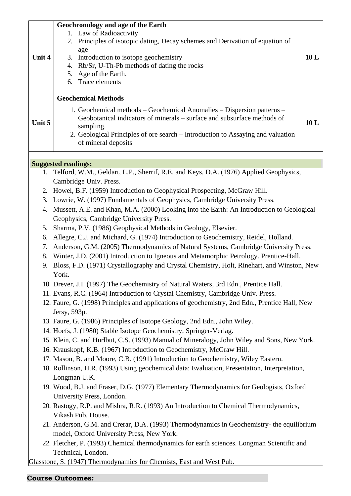| Unit 4                                 | Geochronology and age of the Earth<br>1. Law of Radioactivity<br>Principles of isotopic dating, Decay schemes and Derivation of equation of<br>2.<br>age<br>Introduction to isotope geochemistry<br>3.<br>Rb/Sr, U-Th-Pb methods of dating the rocks<br>4.<br>Age of the Earth.<br>5.<br>Trace elements<br>6.                                                                                                                                                                                                                                                                                                                                                                                                                                                                                                                                                                                                                                                                                                                                                                                                                                                                                                                                                                                                                                                                                                                                                                                                                                                                                                                                                                                                                    | 10L |
|----------------------------------------|----------------------------------------------------------------------------------------------------------------------------------------------------------------------------------------------------------------------------------------------------------------------------------------------------------------------------------------------------------------------------------------------------------------------------------------------------------------------------------------------------------------------------------------------------------------------------------------------------------------------------------------------------------------------------------------------------------------------------------------------------------------------------------------------------------------------------------------------------------------------------------------------------------------------------------------------------------------------------------------------------------------------------------------------------------------------------------------------------------------------------------------------------------------------------------------------------------------------------------------------------------------------------------------------------------------------------------------------------------------------------------------------------------------------------------------------------------------------------------------------------------------------------------------------------------------------------------------------------------------------------------------------------------------------------------------------------------------------------------|-----|
| Unit 5                                 | <b>Geochemical Methods</b><br>1. Geochemical methods – Geochemical Anomalies – Dispersion patterns –<br>Geobotanical indicators of minerals – surface and subsurface methods of<br>sampling.<br>2. Geological Principles of ore search – Introduction to Assaying and valuation<br>of mineral deposits                                                                                                                                                                                                                                                                                                                                                                                                                                                                                                                                                                                                                                                                                                                                                                                                                                                                                                                                                                                                                                                                                                                                                                                                                                                                                                                                                                                                                           | 10L |
|                                        | <b>Suggested readings:</b><br>1. Telford, W.M., Geldart, L.P., Sherrif, R.E. and Keys, D.A. (1976) Applied Geophysics,                                                                                                                                                                                                                                                                                                                                                                                                                                                                                                                                                                                                                                                                                                                                                                                                                                                                                                                                                                                                                                                                                                                                                                                                                                                                                                                                                                                                                                                                                                                                                                                                           |     |
| 3.<br>4.<br>5.<br>6.<br>7.<br>8.<br>9. | Cambridge Univ. Press.<br>2. Howel, B.F. (1959) Introduction to Geophysical Prospecting, McGraw Hill.<br>Lowrie, W. (1997) Fundamentals of Geophysics, Cambridge University Press.<br>Mussett, A.E. and Khan, M.A. (2000) Looking into the Earth: An Introduction to Geological<br>Geophysics, Cambridge University Press.<br>Sharma, P.V. (1986) Geophysical Methods in Geology, Elsevier.<br>Allegre, C.J. and Michard, G. (1974) Introduction to Geochemistry, Reidel, Holland.<br>Anderson, G.M. (2005) Thermodynamics of Natural Systems, Cambridge University Press.<br>Winter, J.D. (2001) Introduction to Igneous and Metamorphic Petrology. Prentice-Hall.<br>Bloss, F.D. (1971) Crystallography and Crystal Chemistry, Holt, Rinehart, and Winston, New<br>York.<br>10. Drever, J.I. (1997) The Geochemistry of Natural Waters, 3rd Edn., Prentice Hall.<br>11. Evans, R.C. (1964) Introduction to Crystal Chemistry, Cambridge Univ. Press.<br>12. Faure, G. (1998) Principles and applications of geochemistry, 2nd Edn., Prentice Hall, New<br>Jersy, 593p.<br>13. Faure, G. (1986) Principles of Isotope Geology, 2nd Edn., John Wiley.<br>14. Hoefs, J. (1980) Stable Isotope Geochemistry, Springer-Verlag.<br>15. Klein, C. and Hurlbut, C.S. (1993) Manual of Mineralogy, John Wiley and Sons, New York.<br>16. Krauskopf, K.B. (1967) Introduction to Geochemistry, McGraw Hill.<br>17. Mason, B. and Moore, C.B. (1991) Introduction to Geochemistry, Wiley Eastern.<br>18. Rollinson, H.R. (1993) Using geochemical data: Evaluation, Presentation, Interpretation,<br>Longman U.K.<br>19. Wood, B.J. and Fraser, D.G. (1977) Elementary Thermodynamics for Geologists, Oxford<br>University Press, London. |     |
|                                        | 20. Rastogy, R.P. and Mishra, R.R. (1993) An Introduction to Chemical Thermodynamics,<br>Vikash Pub. House.<br>21. Anderson, G.M. and Crerar, D.A. (1993) Thermodynamics in Geochemistry- the equilibrium<br>model, Oxford University Press, New York.<br>22. Fletcher, P. (1993) Chemical thermodynamics for earth sciences. Longman Scientific and                                                                                                                                                                                                                                                                                                                                                                                                                                                                                                                                                                                                                                                                                                                                                                                                                                                                                                                                                                                                                                                                                                                                                                                                                                                                                                                                                                             |     |
|                                        | Technical, London.<br>Glasstone, S. (1947) Thermodynamics for Chemists, East and West Pub.                                                                                                                                                                                                                                                                                                                                                                                                                                                                                                                                                                                                                                                                                                                                                                                                                                                                                                                                                                                                                                                                                                                                                                                                                                                                                                                                                                                                                                                                                                                                                                                                                                       |     |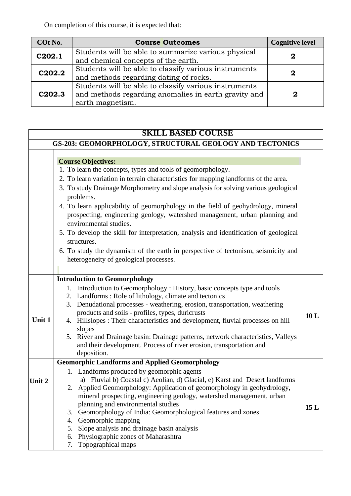On completion of this course, it is expected that:

| COt No.            | <b>Course Outcomes</b>                                                                                                            | <b>Cognitive level</b> |
|--------------------|-----------------------------------------------------------------------------------------------------------------------------------|------------------------|
| C202.1             | Students will be able to summarize various physical<br>and chemical concepts of the earth.                                        |                        |
| C202.2             | Students will be able to classify various instruments<br>and methods regarding dating of rocks.                                   |                        |
| C <sub>202.3</sub> | Students will be able to classify various instruments<br>and methods regarding anomalies in earth gravity and<br>earth magnetism. | 2                      |

## **SKILL BASED COURSE**

|        | GS-203: GEOMORPHOLOGY, STRUCTURAL GEOLOGY AND TECTONICS                                                                                                                                                                                                                                                                                                                                                                                                                                                                                                                                                                                                                                                               |     |
|--------|-----------------------------------------------------------------------------------------------------------------------------------------------------------------------------------------------------------------------------------------------------------------------------------------------------------------------------------------------------------------------------------------------------------------------------------------------------------------------------------------------------------------------------------------------------------------------------------------------------------------------------------------------------------------------------------------------------------------------|-----|
|        | <b>Course Objectives:</b><br>1. To learn the concepts, types and tools of geomorphology.<br>2. To learn variation in terrain characteristics for mapping landforms of the area.<br>3. To study Drainage Morphometry and slope analysis for solving various geological<br>problems.<br>4. To learn applicability of geomorphology in the field of geohydrology, mineral<br>prospecting, engineering geology, watershed management, urban planning and<br>environmental studies.<br>5. To develop the skill for interpretation, analysis and identification of geological<br>structures.<br>6. To study the dynamism of the earth in perspective of tectonism, seismicity and<br>heterogeneity of geological processes. |     |
| Unit 1 | <b>Introduction to Geomorphology</b><br>1. Introduction to Geomorphology : History, basic concepts type and tools<br>2. Landforms: Role of lithology, climate and tectonics<br>Denudational processes - weathering, erosion, transportation, weathering<br>3.<br>products and soils - profiles, types, duricrusts<br>4. Hillslopes : Their characteristics and development, fluvial processes on hill<br>slopes<br>5. River and Drainage basin: Drainage patterns, network characteristics, Valleys<br>and their development. Process of river erosion, transportation and<br>deposition.                                                                                                                             | 10L |
| Unit 2 | <b>Geomorphic Landforms and Applied Geomorphology</b><br>1. Landforms produced by geomorphic agents<br>a) Fluvial b) Coastal c) Aeolian, d) Glacial, e) Karst and Desert landforms<br>2. Applied Geomorphology: Application of geomorphology in geohydrology,<br>mineral prospecting, engineering geology, watershed management, urban<br>planning and environmental studies<br>Geomorphology of India: Geomorphological features and zones<br>3.<br>Geomorphic mapping<br>4.<br>Slope analysis and drainage basin analysis<br>5.<br>Physiographic zones of Maharashtra<br>6.<br>Topographical maps<br>7.                                                                                                             | 15L |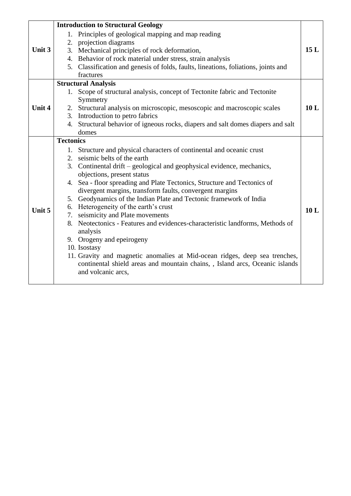|        |                  | <b>Introduction to Structural Geology</b>                                          |     |
|--------|------------------|------------------------------------------------------------------------------------|-----|
|        | 1.               | Principles of geological mapping and map reading                                   |     |
|        |                  | 2. projection diagrams                                                             |     |
| Unit 3 |                  | 3. Mechanical principles of rock deformation,                                      | 15L |
|        |                  | 4. Behavior of rock material under stress, strain analysis                         |     |
|        |                  | 5. Classification and genesis of folds, faults, lineations, foliations, joints and |     |
|        |                  | fractures                                                                          |     |
|        |                  | <b>Structural Analysis</b>                                                         |     |
|        | 1.               | Scope of structural analysis, concept of Tectonite fabric and Tectonite            |     |
|        |                  | Symmetry                                                                           |     |
| Unit 4 |                  | 2. Structural analysis on microscopic, mesoscopic and macroscopic scales           | 10L |
|        |                  | 3. Introduction to petro fabrics                                                   |     |
|        |                  | 4. Structural behavior of igneous rocks, diapers and salt domes diapers and salt   |     |
|        |                  | domes                                                                              |     |
|        | <b>Tectonics</b> |                                                                                    |     |
|        |                  | 1. Structure and physical characters of continental and oceanic crust              |     |
|        |                  | 2. seismic belts of the earth                                                      |     |
|        |                  | 3. Continental drift – geological and geophysical evidence, mechanics,             |     |
|        |                  | objections, present status                                                         |     |
|        |                  | 4. Sea - floor spreading and Plate Tectonics, Structure and Tectonics of           |     |
|        |                  | divergent margins, transform faults, convergent margins                            |     |
|        |                  | 5. Geodynamics of the Indian Plate and Tectonic framework of India                 |     |
|        |                  | 6. Heterogeneity of the earth's crust                                              |     |
| Unit 5 |                  | 7. seismicity and Plate movements                                                  | 10L |
|        |                  | 8. Neotectonics - Features and evidences-characteristic landforms, Methods of      |     |
|        |                  | analysis                                                                           |     |
|        |                  | 9. Orogeny and epeirogeny                                                          |     |
|        |                  | 10. Isostasy                                                                       |     |
|        |                  | 11. Gravity and magnetic anomalies at Mid-ocean ridges, deep sea trenches,         |     |
|        |                  | continental shield areas and mountain chains, , Island arcs, Oceanic islands       |     |
|        |                  | and volcanic arcs,                                                                 |     |
|        |                  |                                                                                    |     |
|        |                  |                                                                                    |     |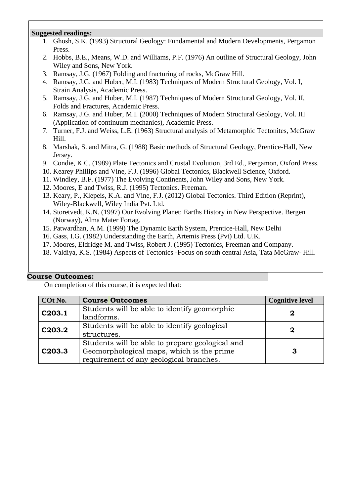#### **Suggested readings:**

- 1. Ghosh, S.K. (1993) Structural Geology: Fundamental and Modern Developments, Pergamon Press.
- 2. Hobbs, B.E., Means, W.D. and Williams, P.F. (1976) An outline of Structural Geology, John Wiley and Sons, New York.
- 3. Ramsay, J.G. (1967) Folding and fracturing of rocks, McGraw Hill.
- 4. Ramsay, J.G. and Huber, M.I. (1983) Techniques of Modern Structural Geology, Vol. I, Strain Analysis, Academic Press.
- 5. Ramsay, J.G. and Huber, M.I. (1987) Techniques of Modern Structural Geology, Vol. II, Folds and Fractures, Academic Press.
- 6. Ramsay, J.G. and Huber, M.I. (2000) Techniques of Modern Structural Geology, Vol. III (Application of continuum mechanics), Academic Press.
- 7. Turner, F.J. and Weiss, L.E. (1963) Structural analysis of Metamorphic Tectonites, McGraw Hill.
- 8. Marshak, S. and Mitra, G. (1988) Basic methods of Structural Geology, Prentice-Hall, New Jersey.
- 9. Condie, K.C. (1989) Plate Tectonics and Crustal Evolution, 3rd Ed., Pergamon, Oxford Press.
- 10. Kearey Phillips and Vine, F.J. (1996) Global Tectonics, Blackwell Science, Oxford.
- 11. Windley, B.F. (1977) The Evolving Continents, John Wiley and Sons, New York.
- 12. Moores, E and Twiss, R.J. (1995) Tectonics. Freeman.
- 13. Keary, P., Klepeis, K.A. and Vine, F.J. (2012) Global Tectonics. Third Edition (Reprint), Wiley-Blackwell, Wiley India Pvt. Ltd.
- 14. Storetvedt, K.N. (1997) Our Evolving Planet: Earths History in New Perspective. Bergen (Norway), Alma Mater Fortag.
- 15. Patwardhan, A.M. (1999) The Dynamic Earth System, Prentice-Hall, New Delhi
- 16. Gass, I.G. (1982) Understanding the Earth, Artemis Press (Pvt) Ltd. U.K.
- 17. Moores, Eldridge M. and Twiss, Robert J. (1995) Tectonics, Freeman and Company.
- 18. Valdiya, K.S. (1984) Aspects of Tectonics -Focus on south central Asia, Tata McGraw- Hill.

#### **Course Outcomes:**

| COt No. | <b>Course Outcomes</b>                          | <b>Cognitive level</b> |
|---------|-------------------------------------------------|------------------------|
| C203.1  | Students will be able to identify geomorphic    |                        |
|         | landforms.                                      |                        |
| C203.2  | Students will be able to identify geological    | 2                      |
|         | structures.                                     |                        |
|         | Students will be able to prepare geological and |                        |
| C203.3  | Geomorphological maps, which is the prime       | З                      |
|         | requirement of any geological branches.         |                        |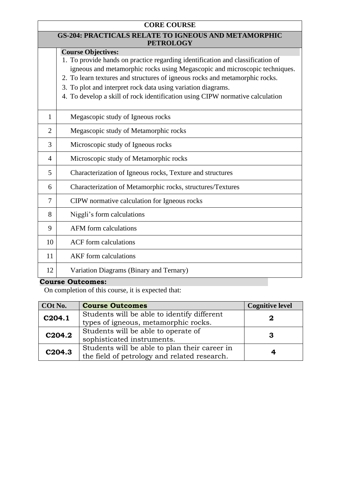| <b>CORE COURSE</b> |                                                                                                                                                                                                                                                                                                                                                                                                                           |  |  |
|--------------------|---------------------------------------------------------------------------------------------------------------------------------------------------------------------------------------------------------------------------------------------------------------------------------------------------------------------------------------------------------------------------------------------------------------------------|--|--|
|                    | <b>GS-204: PRACTICALS RELATE TO IGNEOUS AND METAMORPHIC</b><br><b>PETROLOGY</b>                                                                                                                                                                                                                                                                                                                                           |  |  |
|                    | <b>Course Objectives:</b><br>1. To provide hands on practice regarding identification and classification of<br>igneous and metamorphic rocks using Megascopic and microscopic techniques.<br>2. To learn textures and structures of igneous rocks and metamorphic rocks.<br>3. To plot and interpret rock data using variation diagrams.<br>4. To develop a skill of rock identification using CIPW normative calculation |  |  |
| $\mathbf{1}$       | Megascopic study of Igneous rocks                                                                                                                                                                                                                                                                                                                                                                                         |  |  |
| $\overline{2}$     | Megascopic study of Metamorphic rocks                                                                                                                                                                                                                                                                                                                                                                                     |  |  |
| 3                  | Microscopic study of Igneous rocks                                                                                                                                                                                                                                                                                                                                                                                        |  |  |
| $\overline{4}$     | Microscopic study of Metamorphic rocks                                                                                                                                                                                                                                                                                                                                                                                    |  |  |
| 5                  | Characterization of Igneous rocks, Texture and structures                                                                                                                                                                                                                                                                                                                                                                 |  |  |
| 6                  | Characterization of Metamorphic rocks, structures/Textures                                                                                                                                                                                                                                                                                                                                                                |  |  |
| 7                  | CIPW normative calculation for Igneous rocks                                                                                                                                                                                                                                                                                                                                                                              |  |  |
| 8                  | Niggli's form calculations                                                                                                                                                                                                                                                                                                                                                                                                |  |  |
| 9                  | <b>AFM</b> form calculations                                                                                                                                                                                                                                                                                                                                                                                              |  |  |
| 10                 | <b>ACF</b> form calculations                                                                                                                                                                                                                                                                                                                                                                                              |  |  |
| 11                 | <b>AKF</b> form calculations                                                                                                                                                                                                                                                                                                                                                                                              |  |  |
| 12                 | Variation Diagrams (Binary and Ternary)                                                                                                                                                                                                                                                                                                                                                                                   |  |  |

| COt No.            | <b>Course Outcomes</b>                                                                        | <b>Cognitive level</b> |
|--------------------|-----------------------------------------------------------------------------------------------|------------------------|
| C204.1             | Students will be able to identify different<br>types of igneous, metamorphic rocks.           | 2                      |
| C <sub>204.2</sub> | Students will be able to operate of<br>sophisticated instruments.                             | 3                      |
| C <sub>204.3</sub> | Students will be able to plan their career in<br>the field of petrology and related research. |                        |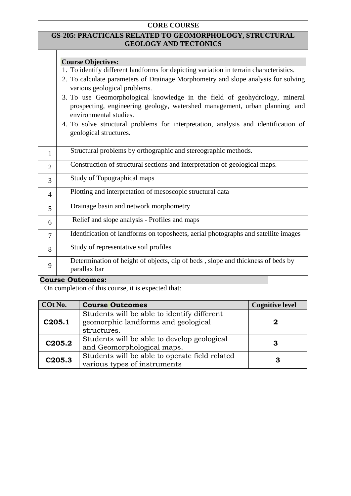#### **CORE COURSE**

#### **GS-205: PRACTICALS RELATED TO GEOMORPHOLOGY, STRUCTURAL GEOLOGY AND TECTONICS**

#### **Course Objectives:**

- 1. To identify different landforms for depicting variation in terrain characteristics.
- 2. To calculate parameters of Drainage Morphometry and slope analysis for solving various geological problems.
- 3. To use Geomorphological knowledge in the field of geohydrology, mineral prospecting, engineering geology, watershed management, urban planning and environmental studies.
- 4. To solve structural problems for interpretation, analysis and identification of geological structures.

|                | Structural problems by orthographic and stereographic methods.                                  |
|----------------|-------------------------------------------------------------------------------------------------|
| $\overline{2}$ | Construction of structural sections and interpretation of geological maps.                      |
| 3              | Study of Topographical maps                                                                     |
| 4              | Plotting and interpretation of mesoscopic structural data                                       |
| 5              | Drainage basin and network morphometry                                                          |
| 6              | Relief and slope analysis - Profiles and maps                                                   |
| $\overline{7}$ | Identification of landforms on toposheets, aerial photographs and satellite images              |
| 8              | Study of representative soil profiles                                                           |
| 9              | Determination of height of objects, dip of beds, slope and thickness of beds by<br>parallax bar |

### **Course Outcomes:**

| COt No.            | <b>Course Outcomes</b>                                                                            | <b>Cognitive level</b> |
|--------------------|---------------------------------------------------------------------------------------------------|------------------------|
| C205.1             | Students will be able to identify different<br>geomorphic landforms and geological<br>structures. | 2                      |
| C <sub>205.2</sub> | Students will be able to develop geological<br>and Geomorphological maps.                         | З                      |
| C205.3             | Students will be able to operate field related<br>various types of instruments                    | 3                      |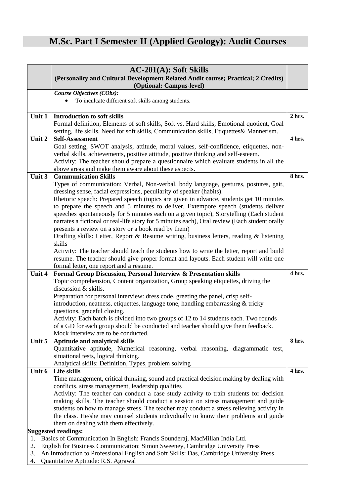## **M.Sc. Part I Semester II (Applied Geology): Audit Courses**

|        | $AC-201(A)$ : Soft Skills                                                                                                                                                               |        |  |  |
|--------|-----------------------------------------------------------------------------------------------------------------------------------------------------------------------------------------|--------|--|--|
|        | (Personality and Cultural Development Related Audit course; Practical; 2 Credits)                                                                                                       |        |  |  |
|        | (Optional: Campus-level)                                                                                                                                                                |        |  |  |
|        | Course Objectives (CObs):                                                                                                                                                               |        |  |  |
|        | To inculcate different soft skills among students.                                                                                                                                      |        |  |  |
|        |                                                                                                                                                                                         |        |  |  |
| Unit 1 | <b>Introduction to soft skills</b>                                                                                                                                                      | 2 hrs. |  |  |
|        | Formal definition, Elements of soft skills, Soft vs. Hard skills, Emotional quotient, Goal<br>setting, life skills, Need for soft skills, Communication skills, Etiquettes & Mannerism. |        |  |  |
| Unit 2 | <b>Self-Assessment</b>                                                                                                                                                                  | 4 hrs. |  |  |
|        | Goal setting, SWOT analysis, attitude, moral values, self-confidence, etiquettes, non-                                                                                                  |        |  |  |
|        | verbal skills, achievements, positive attitude, positive thinking and self-esteem.                                                                                                      |        |  |  |
|        | Activity: The teacher should prepare a questionnaire which evaluate students in all the                                                                                                 |        |  |  |
|        | above areas and make them aware about these aspects.                                                                                                                                    |        |  |  |
| Unit 3 | <b>Communication Skills</b>                                                                                                                                                             | 8 hrs. |  |  |
|        | Types of communication: Verbal, Non-verbal, body language, gestures, postures, gait,                                                                                                    |        |  |  |
|        | dressing sense, facial expressions, peculiarity of speaker (habits).                                                                                                                    |        |  |  |
|        | Rhetoric speech: Prepared speech (topics are given in advance, students get 10 minutes                                                                                                  |        |  |  |
|        | to prepare the speech and 5 minutes to deliver, Extempore speech (students deliver                                                                                                      |        |  |  |
|        | speeches spontaneously for 5 minutes each on a given topic), Storytelling (Each student                                                                                                 |        |  |  |
|        | narrates a fictional or real-life story for 5 minutes each), Oral review (Each student orally                                                                                           |        |  |  |
|        | presents a review on a story or a book read by them)                                                                                                                                    |        |  |  |
|        | Drafting skills: Letter, Report & Resume writing, business letters, reading & listening                                                                                                 |        |  |  |
|        | skills                                                                                                                                                                                  |        |  |  |
|        | Activity: The teacher should teach the students how to write the letter, report and build                                                                                               |        |  |  |
|        | resume. The teacher should give proper format and layouts. Each student will write one                                                                                                  |        |  |  |
| Unit 4 | formal letter, one report and a resume.<br>Formal Group Discussion, Personal Interview & Presentation skills                                                                            | 4 hrs. |  |  |
|        | Topic comprehension, Content organization, Group speaking etiquettes, driving the                                                                                                       |        |  |  |
|        | discussion & skills.                                                                                                                                                                    |        |  |  |
|        | Preparation for personal interview: dress code, greeting the panel, crisp self-                                                                                                         |        |  |  |
|        | introduction, neatness, etiquettes, language tone, handling embarrassing & tricky                                                                                                       |        |  |  |
|        | questions, graceful closing.                                                                                                                                                            |        |  |  |
|        | Activity: Each batch is divided into two groups of 12 to 14 students each. Two rounds                                                                                                   |        |  |  |
|        | of a GD for each group should be conducted and teacher should give them feedback.                                                                                                       |        |  |  |
|        | Mock interview are to be conducted.                                                                                                                                                     |        |  |  |
| Unit 5 | Aptitude and analytical skills                                                                                                                                                          | 8 hrs. |  |  |
|        | Quantitative aptitude, Numerical reasoning, verbal reasoning, diagrammatic test,                                                                                                        |        |  |  |
|        | situational tests, logical thinking.                                                                                                                                                    |        |  |  |
|        | Analytical skills: Definition, Types, problem solving                                                                                                                                   |        |  |  |
| Unit 6 | Life skills                                                                                                                                                                             | 4 hrs. |  |  |
|        | Time management, critical thinking, sound and practical decision making by dealing with                                                                                                 |        |  |  |
|        | conflicts, stress management, leadership qualities                                                                                                                                      |        |  |  |
|        | Activity: The teacher can conduct a case study activity to train students for decision<br>making skills. The teacher should conduct a session on stress management and guide            |        |  |  |
|        | students on how to manage stress. The teacher may conduct a stress relieving activity in                                                                                                |        |  |  |
|        | the class. He/she may counsel students individually to know their problems and guide                                                                                                    |        |  |  |
|        | them on dealing with them effectively.                                                                                                                                                  |        |  |  |
|        | <b>Suggested readings:</b>                                                                                                                                                              |        |  |  |
| 1.     | Basics of Communication In English: Francis Sounderaj, MacMillan India Ltd.                                                                                                             |        |  |  |
| 2.     | English for Business Communication: Simon Sweeney, Cambridge University Press                                                                                                           |        |  |  |

- 3. An Introduction to Professional English and Soft Skills: Das, Cambridge University Press
- 4. Quantitative Aptitude: R.S. Agrawal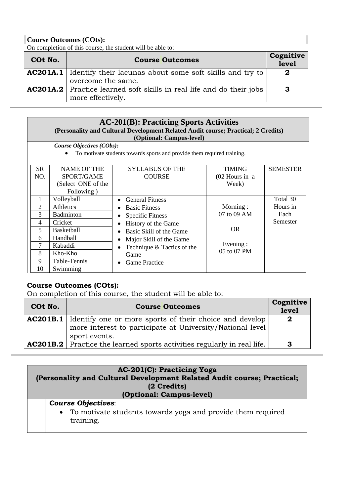On completion of this course, the student will be able to:

| COt No. | <b>Course Outcomes</b>                                                                           | Cognitive<br>level |
|---------|--------------------------------------------------------------------------------------------------|--------------------|
|         | <b>AC201A.1</b> Identify their lacunas about some soft skills and try to<br>overcome the same.   | $\bf{2}$           |
|         | <b>AC201A.2</b> Practice learned soft skills in real life and do their jobs<br>more effectively. | 3                  |

|                                                         | <b>AC-201(B): Practicing Sports Activities</b><br>(Personality and Cultural Development Related Audit course; Practical; 2 Credits)<br>(Optional: Campus-level) |                                                                                                                                                                                                                      |                                                           |                                          |  |
|---------------------------------------------------------|-----------------------------------------------------------------------------------------------------------------------------------------------------------------|----------------------------------------------------------------------------------------------------------------------------------------------------------------------------------------------------------------------|-----------------------------------------------------------|------------------------------------------|--|
|                                                         | Course Objectives (CObs):<br>To motivate students towards sports and provide them required training.                                                            |                                                                                                                                                                                                                      |                                                           |                                          |  |
| <b>SR</b><br>NO.                                        | <b>NAME OF THE</b><br>SPORT/GAME<br>(Select ONE of the<br>Following)                                                                                            | <b>SYLLABUS OF THE</b><br><b>COURSE</b>                                                                                                                                                                              | <b>TIMING</b><br>$(02$ Hours in a<br>Week)                | <b>SEMESTER</b>                          |  |
| 1<br>$\overline{2}$<br>3<br>4<br>5<br>6<br>8<br>9<br>10 | Volleyball<br>Athletics<br><b>Badminton</b><br>Cricket<br>Basketball<br>Handball<br>Kabaddi<br>Kho-Kho<br>Table-Tennis<br>Swimming                              | <b>General Fitness</b><br><b>Basic Fitness</b><br><b>Specific Fitness</b><br>History of the Game<br>Basic Skill of the Game<br>Major Skill of the Game<br>Technique & Tactics of the<br>Game<br><b>Game Practice</b> | Morning:<br>07 to 09 AM<br>OR.<br>Evening:<br>05 to 07 PM | Total 30<br>Hours in<br>Each<br>Semester |  |

## **Course Outcomes (COts):**

On completion of this course, the student will be able to:

| COt No. | <b>Course Outcomes</b>                                                                                                                                | Cognitive<br><b>level</b> |
|---------|-------------------------------------------------------------------------------------------------------------------------------------------------------|---------------------------|
|         | <b>AC201B.1</b> Identify one or more sports of their choice and develop<br>more interest to participate at University/National level<br>sport events. | -2                        |
|         | <b>AC201B.2</b> Practice the learned sports activities regularly in real life.                                                                        | -3                        |

| AC-201(C): Practicing Yoga<br>(Personality and Cultural Development Related Audit course; Practical;<br>(2 Credits)<br>(Optional: Campus-level) |  |
|-------------------------------------------------------------------------------------------------------------------------------------------------|--|
| <b>Course Objectives:</b><br>• To motivate students towards yoga and provide them required<br>training.                                         |  |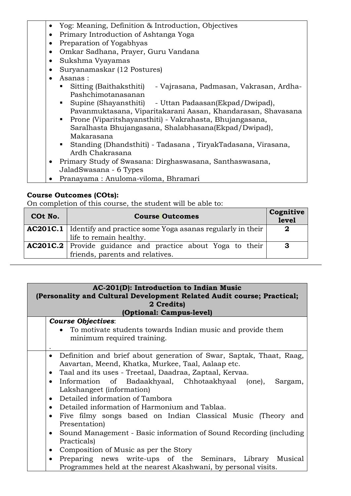- Yog: Meaning, Definition & Introduction, Objectives
- Primary Introduction of Ashtanga Yoga
- Preparation of Yogabhyas
- Omkar Sadhana, Prayer, Guru Vandana
- Sukshma Vyayamas
- Suryanamaskar (12 Postures)
- Asanas :
	- Sitting (Baithaksthiti) Vajrasana, Padmasan, Vakrasan, Ardha-Pashchimotanasanan
	- Supine (Shayansthiti) Uttan Padaasan(Ekpad/Dwipad), Pavanmuktasana, Viparitakarani Aasan, Khandarasan, Shavasana
	- Prone (Viparitshayansthiti) Vakrahasta, Bhujangasana, Saralhasta Bhujangasana, Shalabhasana(Ekpad/Dwipad), Makarasana
	- Standing (Dhandsthiti) Tadasana , TiryakTadasana, Virasana, Ardh Chakrasana
- Primary Study of Swasana: Dirghaswasana, Santhaswasana, JaladSwasana - 6 Types
- Pranayama : Anuloma-viloma, Bhramari

On completion of this course, the student will be able to:

| COt No. | <b>Course Outcomes</b>                                                                               |              |
|---------|------------------------------------------------------------------------------------------------------|--------------|
|         | <b>AC201C.1</b> Identify and practice some Yoga asanas regularly in their<br>life to remain healthy. | $\bf{2}$     |
|         | <b>AC201C.2</b> Provide guidance and practice about Yoga to their<br>friends, parents and relatives. | $\mathbf{3}$ |

| AC-201(D): Introduction to Indian Music<br>(Personality and Cultural Development Related Audit course; Practical;<br>2 Credits)<br>(Optional: Campus-level)                                                                                                                                                                                                                                                              |  |
|--------------------------------------------------------------------------------------------------------------------------------------------------------------------------------------------------------------------------------------------------------------------------------------------------------------------------------------------------------------------------------------------------------------------------|--|
| <b>Course Objectives:</b><br>• To motivate students towards Indian music and provide them<br>minimum required training.                                                                                                                                                                                                                                                                                                  |  |
| Definition and brief about generation of Swar, Saptak, Thaat, Raag,<br>$\bullet$<br>Aavartan, Meend, Khatka, Murkee, Taal, Aalaap etc.<br>Taal and its uses - Treetaal, Daadraa, Zaptaal, Kervaa.<br>$\bullet$<br>Information of Badaakhyaal, Chhotaakhyaal (one),<br>Sargam,<br>$\bullet$<br>Lakshangeet (information)<br>Detailed information of Tambora<br>$\bullet$<br>Detailed information of Harmonium and Tablaa. |  |
| Five filmy songs based on Indian Classical Music (Theory and<br>$\bullet$<br>Presentation)<br>Sound Management - Basic information of Sound Recording (including<br>$\bullet$<br>Practicals)<br>Composition of Music as per the Story<br>٠<br>Preparing news write-ups of the Seminars,<br>Library<br>Musical                                                                                                            |  |

Programmes held at the nearest Akashwani, by personal visits.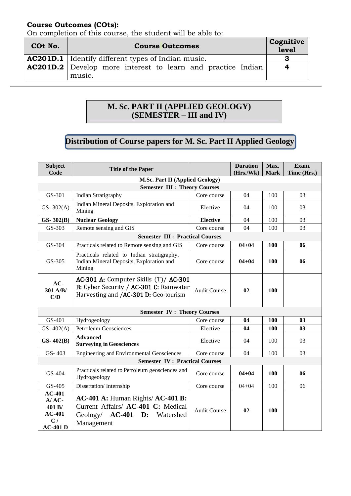On completion of this course, the student will be able to:

| COt No. | <b>Course Outcomes</b>                                                       | Cognitive<br>level |
|---------|------------------------------------------------------------------------------|--------------------|
|         | <b>AC201D.1</b>   Identify different types of Indian music.                  | З                  |
|         | <b>AC201D.2</b> Develop more interest to learn and practice Indian<br>music. | $\mathbf 4$        |

## **M. Sc. PART II (APPLIED GEOLOGY) (SEMESTER – III and IV)**

## **Distribution of Course papers for M. Sc. Part II Applied Geology**

| <b>Subject</b><br>Code                                              | <b>Title of the Paper</b>                                                                                                        |                     | <b>Duration</b><br>(Hrs./Wk) | Max.<br><b>Mark</b> | Exam.<br>Time (Hrs.) |  |  |
|---------------------------------------------------------------------|----------------------------------------------------------------------------------------------------------------------------------|---------------------|------------------------------|---------------------|----------------------|--|--|
|                                                                     | <b>M.Sc. Part II (Applied Geology)</b>                                                                                           |                     |                              |                     |                      |  |  |
|                                                                     | <b>Semester III : Theory Courses</b>                                                                                             |                     |                              |                     |                      |  |  |
| GS-301                                                              | <b>Indian Stratigraphy</b>                                                                                                       | Core course         | 04                           | 100                 | 03                   |  |  |
| $GS-302(A)$                                                         | Indian Mineral Deposits, Exploration and<br>Mining                                                                               | Elective            | 04                           | 100                 | 03                   |  |  |
| $GS-302(B)$                                                         | <b>Nuclear Geology</b>                                                                                                           | <b>Elective</b>     | 04                           | 100                 | 03                   |  |  |
| GS-303                                                              | Remote sensing and GIS                                                                                                           | Core course         | 04                           | 100                 | 03                   |  |  |
|                                                                     | <b>Semester III : Practical Courses</b>                                                                                          |                     |                              |                     |                      |  |  |
| GS-304                                                              | Practicals related to Remote sensing and GIS                                                                                     | Core course         | $04 + 04$                    | <b>100</b>          | 06                   |  |  |
| GS-305                                                              | Practicals related to Indian stratigraphy,<br>Indian Mineral Deposits, Exploration and<br>Mining                                 | Core course         | $04 + 04$                    | 100                 | 06                   |  |  |
| AC-<br>301 A/B/<br>C/D                                              | AC-301 A: Computer Skills (T)/AC-301<br>B: Cyber Security / AC-301 C: Rainwater<br>Harvesting and / <b>AC-301 D:</b> Geo-tourism | <b>Audit Course</b> | 02                           | 100                 |                      |  |  |
|                                                                     | <b>Semester IV: Theory Courses</b>                                                                                               |                     |                              |                     |                      |  |  |
| GS-401                                                              | Hydrogeology                                                                                                                     | Core course         | 04                           | 100                 | 03                   |  |  |
| GS- $402(A)$                                                        | <b>Petroleum Geosciences</b>                                                                                                     | Elective            | 04                           | <b>100</b>          | 0 <sub>3</sub>       |  |  |
| $GS-402(B)$                                                         | <b>Advanced</b><br><b>Surveying in Geosciences</b>                                                                               | Elective            | 04                           | 100                 | 03                   |  |  |
| GS-403                                                              | <b>Engineering and Environmental Geosciences</b>                                                                                 | Core course         | 04                           | 100                 | 03                   |  |  |
|                                                                     | <b>Semester IV: Practical Courses</b>                                                                                            |                     |                              |                     |                      |  |  |
| GS-404                                                              | Practicals related to Petroleum geosciences and<br>Hydrogeology                                                                  | Core course         | $04 + 04$                    | 100                 | 06                   |  |  |
| GS-405                                                              | Dissertation/Internship                                                                                                          | Core course         | $04 + 04$                    | 100                 | 06                   |  |  |
| $AC-401$<br>$A/AC$ -<br>401 B/<br>$AC-401$<br>C/<br><b>AC-401 D</b> | $AC-401$ A: Human Rights/ $AC-401$ B:<br>Current Affairs/ AC-401 C: Medical<br>Geology/ $AC-401$ D:<br>Watershed<br>Management   | <b>Audit Course</b> | 02                           | 100                 |                      |  |  |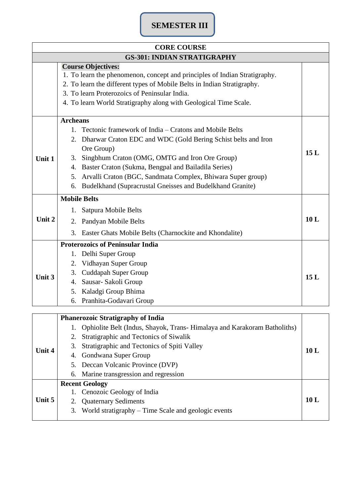## **SEMESTER III**

|        | <b>CORE COURSE</b>                                                                                                                                                                                                                                                                                                                                                                                                                |     |
|--------|-----------------------------------------------------------------------------------------------------------------------------------------------------------------------------------------------------------------------------------------------------------------------------------------------------------------------------------------------------------------------------------------------------------------------------------|-----|
|        | <b>GS-301: INDIAN STRATIGRAPHY</b>                                                                                                                                                                                                                                                                                                                                                                                                |     |
|        | <b>Course Objectives:</b><br>1. To learn the phenomenon, concept and principles of Indian Stratigraphy.<br>2. To learn the different types of Mobile Belts in Indian Stratigraphy.<br>3. To learn Proterozoics of Peninsular India.<br>4. To learn World Stratigraphy along with Geological Time Scale.                                                                                                                           |     |
| Unit 1 | <b>Archeans</b><br>Tectonic framework of India – Cratons and Mobile Belts<br>1.<br>Dharwar Craton EDC and WDC (Gold Bering Schist belts and Iron<br>2.<br>Ore Group)<br>Singbhum Craton (OMG, OMTG and Iron Ore Group)<br>3.<br>Baster Craton (Sukma, Bengpal and Bailadila Series)<br>4.<br>Arvalli Craton (BGC, Sandmata Complex, Bhiwara Super group)<br>5.<br>Budelkhand (Supracrustal Gneisses and Budelkhand Granite)<br>6. | 15L |
| Unit 2 | <b>Mobile Belts</b><br>Satpura Mobile Belts<br>1.<br>Pandyan Mobile Belts<br>2.<br>3.<br>Easter Ghats Mobile Belts (Charnockite and Khondalite)                                                                                                                                                                                                                                                                                   | 10L |
| Unit 3 | <b>Proterozoics of Peninsular India</b><br>Delhi Super Group<br>1.<br>Vidhayan Super Group<br>2.<br><b>Cuddapah Super Group</b><br>3.<br>Sausar- Sakoli Group<br>4.<br>Kaladgi Group Bhima<br>5.<br>Pranhita-Godavari Group<br>6.                                                                                                                                                                                                 | 15L |
|        |                                                                                                                                                                                                                                                                                                                                                                                                                                   |     |
| Unit 4 | <b>Phanerozoic Stratigraphy of India</b><br>Ophiolite Belt (Indus, Shayok, Trans-Himalaya and Karakoram Batholiths)<br>1.<br>Stratigraphic and Tectonics of Siwalik<br>2.<br>Stratigraphic and Tectonics of Spiti Valley<br>3.<br>Gondwana Super Group<br>4.<br>Deccan Volcanic Province (DVP)<br>5.                                                                                                                              | 10L |

|          | 5. Deccan Volcanic Province (DVP)                      |                 |
|----------|--------------------------------------------------------|-----------------|
|          | 6. Marine transgression and regression                 |                 |
|          | <b>Recent Geology</b>                                  |                 |
|          | 1. Cenozoic Geology of India                           |                 |
| Unit $5$ | 2. Quaternary Sediments                                | 10 <sub>L</sub> |
|          | 3. World stratigraphy – Time Scale and geologic events |                 |
|          |                                                        |                 |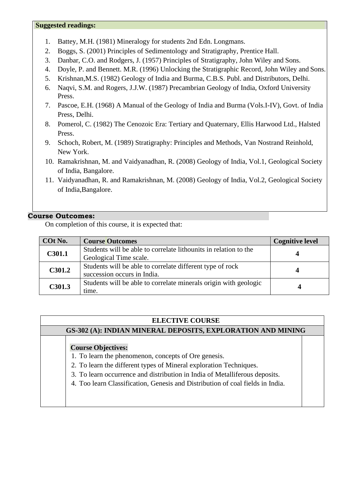#### **Suggested readings:**

- 1. Battey, M.H. (1981) Mineralogy for students 2nd Edn. Longmans.
- 2. Boggs, S. (2001) Principles of Sedimentology and Stratigraphy, Prentice Hall.
- 3. Danbar, C.O. and Rodgers, J. (1957) Principles of Stratigraphy, John Wiley and Sons.
- 4. Doyle, P. and Bennett. M.R. (1996) Unlocking the Stratigraphic Record, John Wiley and Sons.
- 5. Krishnan,M.S. (1982) Geology of India and Burma, C.B.S. Publ. and Distributors, Delhi.
- 6. Naqvi, S.M. and Rogers, J.J.W. (1987) Precambrian Geology of India, Oxford University Press.
- 7. Pascoe, E.H. (1968) A Manual of the Geology of India and Burma (Vols.I-IV), Govt. of India Press, Delhi.
- 8. Pomerol, C. (1982) The Cenozoic Era: Tertiary and Quaternary, Ellis Harwood Ltd., Halsted Press.
- 9. Schoch, Robert, M. (1989) Stratigraphy: Principles and Methods, Van Nostrand Reinhold, New York.
- 10. Ramakrishnan, M. and Vaidyanadhan, R. (2008) Geology of India, Vol.1, Geological Society of India, Bangalore.
- 11. Vaidyanadhan, R. and Ramakrishnan, M. (2008) Geology of India, Vol.2, Geological Society of India,Bangalore.

#### **Course Outcomes:**

On completion of this course, it is expected that:

| COt No. | <b>Course Outcomes</b>                                                                     | <b>Cognitive level</b> |
|---------|--------------------------------------------------------------------------------------------|------------------------|
| C301.1  | Students will be able to correlate lithounits in relation to the<br>Geological Time scale. |                        |
| C301.2  | Students will be able to correlate different type of rock<br>succession occurs in India.   |                        |
| C301.3  | Students will be able to correlate minerals origin with geologic<br>time.                  |                        |

#### **ELECTIVE COURSE**

**GS-302 (A): INDIAN MINERAL DEPOSITS, EXPLORATION AND MINING**

### **Course Objectives:**

- 1. To learn the phenomenon, concepts of Ore genesis.
- 2. To learn the different types of Mineral exploration Techniques.
- 3. To learn occurrence and distribution in India of Metalliferous deposits.
- 4. Too learn Classification, Genesis and Distribution of coal fields in India.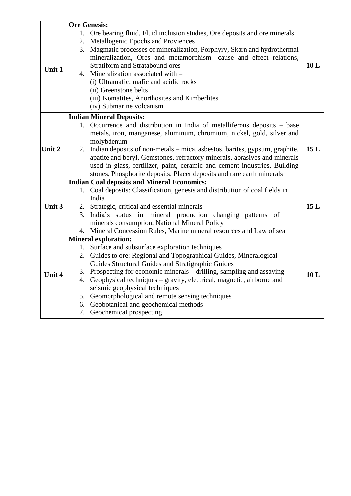|        |    | <b>Ore Genesis:</b>                                                                 |     |
|--------|----|-------------------------------------------------------------------------------------|-----|
| Unit 1 |    | 1. Ore bearing fluid, Fluid inclusion studies, Ore deposits and ore minerals        |     |
|        |    | 2. Metallogenic Epochs and Proviences                                               |     |
|        |    | 3. Magmatic processes of mineralization, Porphyry, Skarn and hydrothermal           |     |
|        |    | mineralization, Ores and metamorphism- cause and effect relations,                  |     |
|        |    | <b>Stratiform and Stratabound ores</b>                                              | 10L |
|        |    | 4. Mineralization associated with -                                                 |     |
|        |    | (i) Ultramafic, mafic and acidic rocks                                              |     |
|        |    | (ii) Greenstone belts                                                               |     |
|        |    | (iii) Komatites, Anorthosites and Kimberlites                                       |     |
|        |    | (iv) Submarine volcanism                                                            |     |
|        |    | <b>Indian Mineral Deposits:</b>                                                     |     |
|        |    | 1. Occurrence and distribution in India of metalliferous deposits – base            |     |
|        |    | metals, iron, manganese, aluminum, chromium, nickel, gold, silver and               |     |
|        |    | molybdenum                                                                          |     |
| Unit 2 | 2. | Indian deposits of non-metals – mica, asbestos, barites, gypsum, graphite,          | 15L |
|        |    | apatite and beryl, Gemstones, refractory minerals, abrasives and minerals           |     |
|        |    | used in glass, fertilizer, paint, ceramic and cement industries, Building           |     |
|        |    | stones, Phosphorite deposits, Placer deposits and rare earth minerals               |     |
|        |    | <b>Indian Coal deposits and Mineral Economics:</b>                                  |     |
|        |    | 1. Coal deposits: Classification, genesis and distribution of coal fields in        |     |
|        |    | India                                                                               |     |
| Unit 3 |    | 2. Strategic, critical and essential minerals                                       | 15L |
|        |    | 3. India's status in mineral production changing patterns of                        |     |
|        |    | minerals consumption, National Mineral Policy                                       |     |
|        |    | 4. Mineral Concession Rules, Marine mineral resources and Law of sea                |     |
|        |    | <b>Mineral exploration:</b>                                                         |     |
|        |    | 1. Surface and subsurface exploration techniques                                    |     |
|        |    | 2. Guides to ore: Regional and Topographical Guides, Mineralogical                  |     |
|        |    | Guides Structural Guides and Stratigraphic Guides                                   |     |
| Unit 4 |    | 3. Prospecting for economic minerals – drilling, sampling and assaying              | 10L |
|        |    | 4. Geophysical techniques – gravity, electrical, magnetic, airborne and             |     |
|        |    | seismic geophysical techniques<br>5. Geomorphological and remote sensing techniques |     |
|        |    | 6. Geobotanical and geochemical methods                                             |     |
|        |    | 7. Geochemical prospecting                                                          |     |
|        |    |                                                                                     |     |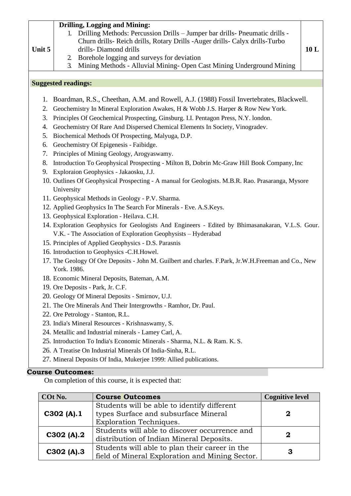| Unit 5                                                                                                                                                                                                           | 1.<br>$\mathbf{2}$<br>3.          | <b>Drilling, Logging and Mining:</b><br>Drilling Methods: Percussion Drills - Jumper bar drills- Pneumatic drills -<br>Churn drills- Reich drills, Rotary Drills - Auger drills- Calyx drills-Turbo<br>drills-Diamond drills<br>Borehole logging and surveys for deviation<br>Mining Methods - Alluvial Mining- Open Cast Mining Underground Mining                                                                                                                                                                                                                                                                                                                                                                                                                                             |                        | 10L |
|------------------------------------------------------------------------------------------------------------------------------------------------------------------------------------------------------------------|-----------------------------------|-------------------------------------------------------------------------------------------------------------------------------------------------------------------------------------------------------------------------------------------------------------------------------------------------------------------------------------------------------------------------------------------------------------------------------------------------------------------------------------------------------------------------------------------------------------------------------------------------------------------------------------------------------------------------------------------------------------------------------------------------------------------------------------------------|------------------------|-----|
|                                                                                                                                                                                                                  |                                   |                                                                                                                                                                                                                                                                                                                                                                                                                                                                                                                                                                                                                                                                                                                                                                                                 |                        |     |
|                                                                                                                                                                                                                  | <b>Suggested readings:</b>        |                                                                                                                                                                                                                                                                                                                                                                                                                                                                                                                                                                                                                                                                                                                                                                                                 |                        |     |
| 1.<br>2.<br>3.<br>4.<br>5.<br>6.<br>7.<br>8.<br>9.                                                                                                                                                               | University                        | Boardman, R.S., Cheethan, A.M. and Rowell, A.J. (1988) Fossil Invertebrates, Blackwell.<br>Geochemistry In Mineral Exploration Awakes, H & Wobb J.S. Harper & Row New York.<br>Principles Of Geochemical Prospecting, Ginsburg. I.I. Pentagon Press, N.Y. london.<br>Geochemistry Of Rare And Dispersed Chemical Elements In Society, Vinogradev.<br>Biochemical Methods Of Prospecting, Malyuga, D.P.<br>Geochemistry Of Epigenesis - Faibidge.<br>Principles of Mining Geology, Arogyaswamy.<br>Introduction To Geophysical Prospecting - Milton B, Dobrin Mc-Graw Hill Book Company, Inc<br>Exploraion Geophysics - Jakaosku, J.J.<br>10. Outlines Of Geophysical Prospecting - A manual for Geologists. M.B.R. Rao. Prasaranga, Mysore<br>11. Geophysical Methods in Geology - P.V. Sharma. |                        |     |
|                                                                                                                                                                                                                  |                                   |                                                                                                                                                                                                                                                                                                                                                                                                                                                                                                                                                                                                                                                                                                                                                                                                 |                        |     |
| 12. Applied Geophysics In The Search For Minerals - Eve. A.S. Keys.                                                                                                                                              |                                   |                                                                                                                                                                                                                                                                                                                                                                                                                                                                                                                                                                                                                                                                                                                                                                                                 |                        |     |
| 13. Geophysical Exploration - Heilava. C.H.<br>14. Exploration Geophysics for Geologists And Engineers - Edited by Bhimasanakaran, V.L.S. Gour.<br>V.K. - The Association of Exploration Geophysists - Hyderabad |                                   |                                                                                                                                                                                                                                                                                                                                                                                                                                                                                                                                                                                                                                                                                                                                                                                                 |                        |     |
| 15. Principles of Applied Geophysics - D.S. Parasnis                                                                                                                                                             |                                   |                                                                                                                                                                                                                                                                                                                                                                                                                                                                                                                                                                                                                                                                                                                                                                                                 |                        |     |
| 16. Introduction to Geophysics -C.H.Howel.                                                                                                                                                                       |                                   |                                                                                                                                                                                                                                                                                                                                                                                                                                                                                                                                                                                                                                                                                                                                                                                                 |                        |     |
| 17. The Geology Of Ore Deposits - John M. Guilbert and charles. F.Park, Jr.W.H.Freeman and Co., New<br>York. 1986.                                                                                               |                                   |                                                                                                                                                                                                                                                                                                                                                                                                                                                                                                                                                                                                                                                                                                                                                                                                 |                        |     |
|                                                                                                                                                                                                                  |                                   | 18. Economic Mineral Deposits, Bateman, A.M.                                                                                                                                                                                                                                                                                                                                                                                                                                                                                                                                                                                                                                                                                                                                                    |                        |     |
|                                                                                                                                                                                                                  | 19. Ore Deposits - Park, Jr. C.F. |                                                                                                                                                                                                                                                                                                                                                                                                                                                                                                                                                                                                                                                                                                                                                                                                 |                        |     |
|                                                                                                                                                                                                                  |                                   | 20. Geology Of Mineral Deposits - Smirnov, U.J.                                                                                                                                                                                                                                                                                                                                                                                                                                                                                                                                                                                                                                                                                                                                                 |                        |     |
|                                                                                                                                                                                                                  |                                   | 21. The Ore Minerals And Their Intergrowths - Ramhor, Dr. Paul.                                                                                                                                                                                                                                                                                                                                                                                                                                                                                                                                                                                                                                                                                                                                 |                        |     |
|                                                                                                                                                                                                                  |                                   | 22. Ore Petrology - Stanton, R.L.                                                                                                                                                                                                                                                                                                                                                                                                                                                                                                                                                                                                                                                                                                                                                               |                        |     |
|                                                                                                                                                                                                                  |                                   | 23. India's Mineral Resources - Krishnaswamy, S.                                                                                                                                                                                                                                                                                                                                                                                                                                                                                                                                                                                                                                                                                                                                                |                        |     |
|                                                                                                                                                                                                                  |                                   | 24. Metallic and Industrial minerals - Lamey Carl, A.                                                                                                                                                                                                                                                                                                                                                                                                                                                                                                                                                                                                                                                                                                                                           |                        |     |
|                                                                                                                                                                                                                  |                                   | 25. Introduction To India's Economic Minerals - Sharma, N.L. & Ram. K. S.                                                                                                                                                                                                                                                                                                                                                                                                                                                                                                                                                                                                                                                                                                                       |                        |     |
|                                                                                                                                                                                                                  |                                   | 26. A Treatise On Industrial Minerals Of India-Sinha, R.L.                                                                                                                                                                                                                                                                                                                                                                                                                                                                                                                                                                                                                                                                                                                                      |                        |     |
|                                                                                                                                                                                                                  |                                   | 27. Mineral Deposits Of India, Mukerjee 1999: Allied publications.                                                                                                                                                                                                                                                                                                                                                                                                                                                                                                                                                                                                                                                                                                                              |                        |     |
|                                                                                                                                                                                                                  | <b>Course Outcomes:</b>           |                                                                                                                                                                                                                                                                                                                                                                                                                                                                                                                                                                                                                                                                                                                                                                                                 |                        |     |
|                                                                                                                                                                                                                  |                                   | On completion of this course, it is expected that:                                                                                                                                                                                                                                                                                                                                                                                                                                                                                                                                                                                                                                                                                                                                              |                        |     |
|                                                                                                                                                                                                                  | COt No.                           | <b>Course Outcomes</b>                                                                                                                                                                                                                                                                                                                                                                                                                                                                                                                                                                                                                                                                                                                                                                          | <b>Cognitive level</b> |     |
|                                                                                                                                                                                                                  |                                   | Students will be able to identify different                                                                                                                                                                                                                                                                                                                                                                                                                                                                                                                                                                                                                                                                                                                                                     |                        |     |
|                                                                                                                                                                                                                  | C302 (A).1                        | types Surface and subsurface Mineral                                                                                                                                                                                                                                                                                                                                                                                                                                                                                                                                                                                                                                                                                                                                                            | 2                      |     |
|                                                                                                                                                                                                                  |                                   | <b>Exploration Techniques.</b>                                                                                                                                                                                                                                                                                                                                                                                                                                                                                                                                                                                                                                                                                                                                                                  |                        |     |
|                                                                                                                                                                                                                  | C302 (A).2                        | Students will able to discover occurrence and<br>distribution of Indian Mineral Deposits.                                                                                                                                                                                                                                                                                                                                                                                                                                                                                                                                                                                                                                                                                                       | $\mathbf 2$            |     |
|                                                                                                                                                                                                                  |                                   | Students will able to plan their career in the                                                                                                                                                                                                                                                                                                                                                                                                                                                                                                                                                                                                                                                                                                                                                  |                        |     |
|                                                                                                                                                                                                                  | $C302$ (A).3                      | field of Mineral Exploration and Mining Sector.                                                                                                                                                                                                                                                                                                                                                                                                                                                                                                                                                                                                                                                                                                                                                 | 3                      |     |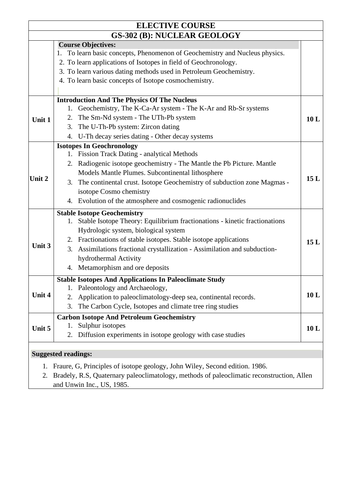|        | <b>ELECTIVE COURSE</b>                                                                    |     |
|--------|-------------------------------------------------------------------------------------------|-----|
|        | <b>GS-302 (B): NUCLEAR GEOLOGY</b>                                                        |     |
|        | <b>Course Objectives:</b>                                                                 |     |
|        | 1. To learn basic concepts, Phenomenon of Geochemistry and Nucleus physics.               |     |
|        | 2. To learn applications of Isotopes in field of Geochronology.                           |     |
|        | 3. To learn various dating methods used in Petroleum Geochemistry.                        |     |
|        | 4. To learn basic concepts of Isotope cosmochemistry.                                     |     |
|        |                                                                                           |     |
|        | <b>Introduction And The Physics Of The Nucleus</b>                                        |     |
|        | Geochemistry, The K-Ca-Ar system - The K-Ar and Rb-Sr systems<br>1.                       |     |
| Unit 1 | The Sm-Nd system - The UTh-Pb system<br>2.                                                | 10L |
|        | The U-Th-Pb system: Zircon dating<br>3.                                                   |     |
|        | U-Th decay series dating - Other decay systems<br>4.                                      |     |
|        | <b>Isotopes In Geochronology</b>                                                          |     |
|        | <b>Fission Track Dating - analytical Methods</b>                                          |     |
|        | Radiogenic isotope geochemistry - The Mantle the Pb Picture. Mantle<br>2.                 |     |
|        | Models Mantle Plumes. Subcontinental lithosphere                                          |     |
| Unit 2 | 3. The continental crust. Isotope Geochemistry of subduction zone Magmas -                | 15L |
|        | isotope Cosmo chemistry                                                                   |     |
|        | 4. Evolution of the atmosphere and cosmogenic radionuclides                               |     |
|        | <b>Stable Isotope Geochemistry</b>                                                        |     |
|        | Stable Isotope Theory: Equilibrium fractionations - kinetic fractionations<br>1.          |     |
|        | Hydrologic system, biological system                                                      |     |
|        | 2. Fractionations of stable isotopes. Stable isotope applications                         | 15L |
| Unit 3 | Assimilations fractional crystallization - Assimilation and subduction-<br>3.             |     |
|        | hydrothermal Activity                                                                     |     |
|        | 4. Metamorphism and ore deposits                                                          |     |
|        | <b>Stable Isotopes And Applications In Paleoclimate Study</b>                             |     |
|        | Paleontology and Archaeology,<br>1.                                                       |     |
| Unit 4 | Application to paleoclimatology-deep sea, continental records.<br>2.                      | 10L |
|        | The Carbon Cycle, Isotopes and climate tree ring studies<br>3.                            |     |
|        | <b>Carbon Isotope And Petroleum Geochemistry</b>                                          |     |
| Unit 5 | Sulphur isotopes<br>1.                                                                    | 10L |
|        | Diffusion experiments in isotope geology with case studies<br>2.                          |     |
|        |                                                                                           |     |
|        | <b>Suggested readings:</b>                                                                |     |
| 1.     | Fraure, G, Principles of isotope geology, John Wiley, Second edition. 1986.               |     |
| 2.     | Bradely, R.S. Quaternary paleoclimatology, methods of paleoclimatic reconstruction, Allen |     |
|        | and Unwin Inc., US, 1985.                                                                 |     |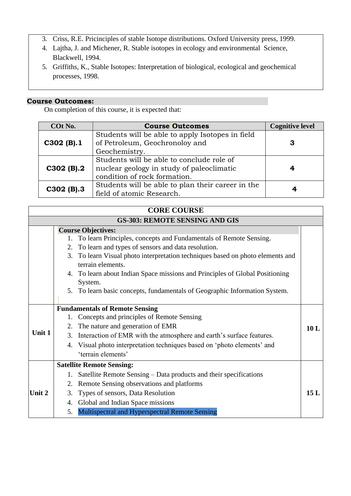- 3. Criss, R.E. Pricinciples of stable Isotope distributions. Oxford University press, 1999.
- 4. Lajtha, J. and Michener, R. Stable isotopes in ecology and environmental Science, Blackwell, 1994.
- 5. Griffiths, K., Stable Isotopes: Interpretation of biological, ecological and geochemical processes, 1998.

On completion of this course, it is expected that:

| COt No.      | <b>Course Outcomes</b>                            | <b>Cognitive level</b> |
|--------------|---------------------------------------------------|------------------------|
|              | Students will be able to apply Isotopes in field  |                        |
| $C302$ (B).1 | of Petroleum, Geochronoloy and                    | 3                      |
|              | Geochemistry.                                     |                        |
|              | Students will be able to conclude role of         |                        |
| $C302$ (B).2 | nuclear geology in study of paleoclimatic         | 4                      |
|              | condition of rock formation.                      |                        |
|              | Students will be able to plan their career in the |                        |
| $C302$ (B).3 | field of atomic Research.                         |                        |

## **CORE COURSE**

### **GS-303: REMOTE SENSING AND GIS**

|        |    | <b>Course Objectives:</b>                                                      |     |
|--------|----|--------------------------------------------------------------------------------|-----|
|        |    | To learn Principles, concepts and Fundamentals of Remote Sensing.              |     |
|        | 2. | To learn and types of sensors and data resolution.                             |     |
|        |    | 3. To learn Visual photo interpretation techniques based on photo elements and |     |
|        |    | terrain elements.                                                              |     |
|        |    | 4. To learn about Indian Space missions and Principles of Global Positioning   |     |
|        |    | System.                                                                        |     |
|        |    | 5. To learn basic concepts, fundamentals of Geographic Information System.     |     |
|        |    |                                                                                |     |
|        |    | <b>Fundamentals of Remote Sensing</b>                                          |     |
|        | 1. | Concepts and principles of Remote Sensing                                      |     |
|        |    | 2. The nature and generation of EMR                                            | 10L |
| Unit 1 | 3. | Interaction of EMR with the atmosphere and earth's surface features.           |     |
|        |    | 4. Visual photo interpretation techniques based on 'photo elements' and        |     |
|        |    | 'terrain elements'                                                             |     |
|        |    | <b>Satellite Remote Sensing:</b>                                               |     |
|        |    | Satellite Remote Sensing – Data products and their specifications              |     |
|        | 2. | Remote Sensing observations and platforms                                      |     |
| Unit 2 | 3. | Types of sensors, Data Resolution                                              | 15L |
|        |    | 4. Global and Indian Space missions                                            |     |
|        | 5. | Multispectral and Hyperspectral Remote Sensing                                 |     |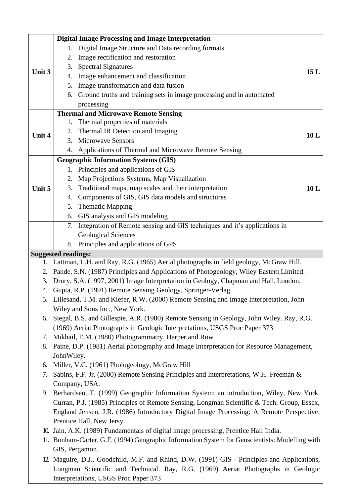| 15L                                                                                                                                                                               |
|-----------------------------------------------------------------------------------------------------------------------------------------------------------------------------------|
|                                                                                                                                                                                   |
| Ground truths and training sets in image processing and in automated                                                                                                              |
|                                                                                                                                                                                   |
|                                                                                                                                                                                   |
|                                                                                                                                                                                   |
|                                                                                                                                                                                   |
| 10 L                                                                                                                                                                              |
| 4. Applications of Thermal and Microwave Remote Sensing                                                                                                                           |
|                                                                                                                                                                                   |
|                                                                                                                                                                                   |
|                                                                                                                                                                                   |
|                                                                                                                                                                                   |
| 10L                                                                                                                                                                               |
|                                                                                                                                                                                   |
|                                                                                                                                                                                   |
|                                                                                                                                                                                   |
| Integration of Remote sensing and GIS techniques and it's applications in                                                                                                         |
|                                                                                                                                                                                   |
|                                                                                                                                                                                   |
|                                                                                                                                                                                   |
| Lattman, L.H. and Ray, R.G. (1965) Aerial photographs in field geology, McGraw Hill.                                                                                              |
| Pande, S.N. (1987) Principles and Applications of Photogeology, Wiley Eastern Limited.                                                                                            |
| Drury, S.A. (1997, 2001) Image Interpretation in Geology, Chapman and Hall, London.                                                                                               |
|                                                                                                                                                                                   |
| 5. Lillesand, T.M. and Kiefer, R.W. (2000) Remote Sensing and Image Interpretation, John                                                                                          |
|                                                                                                                                                                                   |
|                                                                                                                                                                                   |
| Siegal, B.S. and Gillespie, A.R. (1980) Remote Sensing in Geology, John Wiley. Ray, R.G.                                                                                          |
| (1969) Aeriat Photographs in Geologic Interpretations, USGS Proc Paper 373                                                                                                        |
|                                                                                                                                                                                   |
| Paine, D.P. (1981) Aerial photography and Image Interpretation for Resource Management,                                                                                           |
|                                                                                                                                                                                   |
|                                                                                                                                                                                   |
| Sabins, F.F. Jr. (2000) Remote Sensing Principles and Interpretations, W.H. Freeman &                                                                                             |
|                                                                                                                                                                                   |
| Berhardsen, T. (1999) Geographic Information System: an introduction, Wiley, New York.                                                                                            |
| Curran, P.J. (1985) Principles of Remote Sensing, Longman Scientific & Tech. Group, Essex,                                                                                        |
| England Jensen, J.R. (1986) Introductory Digital Image Processing: A Remote Perspective.                                                                                          |
|                                                                                                                                                                                   |
|                                                                                                                                                                                   |
| 10. Jain, A.K. (1989) Fundamentals of digital image processing, Prentice Hall India.                                                                                              |
|                                                                                                                                                                                   |
| 11. Bonham-Carter, G.F. (1994) Geographic Information System for Geoscientists: Modelling with                                                                                    |
| 12. Maguire, D.J., Goodchild, M.F. and Rhind, D.W. (1991) GIS - Principles and Applications,<br>Longman Scientific and Technical. Ray, R.G. (1969) Aeriat Photographs in Geologic |
|                                                                                                                                                                                   |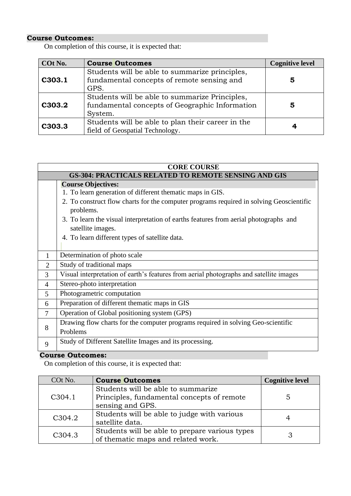On completion of this course, it is expected that:

| COt No. | <b>Course Outcomes</b>                                                                                      | <b>Cognitive level</b> |
|---------|-------------------------------------------------------------------------------------------------------------|------------------------|
| C303.1  | Students will be able to summarize principles,<br>fundamental concepts of remote sensing and<br>GPS.        | 5                      |
| C303.2  | Students will be able to summarize Principles,<br>fundamental concepts of Geographic Information<br>System. | 5                      |
| C303.3  | Students will be able to plan their career in the<br>field of Geospatial Technology.                        |                        |

|                | <b>CORE COURSE</b>                                                                                        |  |
|----------------|-----------------------------------------------------------------------------------------------------------|--|
|                | <b>GS-304: PRACTICALS RELATED TO REMOTE SENSING AND GIS</b>                                               |  |
|                | <b>Course Objectives:</b>                                                                                 |  |
|                | 1. To learn generation of different thematic maps in GIS.                                                 |  |
|                | 2. To construct flow charts for the computer programs required in solving Geoscientific<br>problems.      |  |
|                | 3. To learn the visual interpretation of earths features from aerial photographs and<br>satellite images. |  |
|                | 4. To learn different types of satellite data.                                                            |  |
| $\mathbf{1}$   | Determination of photo scale                                                                              |  |
| $\overline{2}$ | Study of traditional maps                                                                                 |  |
| 3              | Visual interpretation of earth's features from aerial photographs and satellite images                    |  |
| 4              | Stereo-photo interpretation                                                                               |  |
| 5              | Photogrametric computation                                                                                |  |
| 6              | Preparation of different thematic maps in GIS                                                             |  |
| 7              | Operation of Global positioning system (GPS)                                                              |  |
|                | Drawing flow charts for the computer programs required in solving Geo-scientific                          |  |
| 8              | Problems                                                                                                  |  |
| 9              | Study of Different Satellite Images and its processing.                                                   |  |

### **Course Outcomes:**

| COt No.             | <b>Course Outcomes</b>                                                                               | <b>Cognitive level</b> |
|---------------------|------------------------------------------------------------------------------------------------------|------------------------|
| C <sub>3</sub> 04.1 | Students will be able to summarize<br>Principles, fundamental concepts of remote<br>sensing and GPS. | 5                      |
| C304.2              | Students will be able to judge with various<br>satellite data.                                       |                        |
| C <sub>3</sub> 04.3 | Students will be able to prepare various types<br>of thematic maps and related work.                 |                        |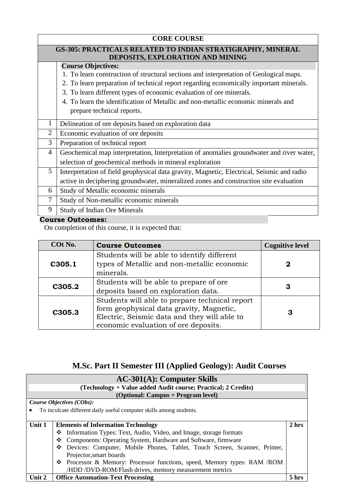|                | <b>CORE COURSE</b>                                                                        |  |  |
|----------------|-------------------------------------------------------------------------------------------|--|--|
|                | GS-305: PRACTICALS RELATED TO INDIAN STRATIGRAPHY, MINERAL                                |  |  |
|                | DEPOSITS, EXPLORATION AND MINING                                                          |  |  |
|                | <b>Course Objectives:</b>                                                                 |  |  |
|                | 1. To learn construction of structural sections and interpretation of Geological maps.    |  |  |
|                | 2. To learn preparation of technical report regarding economically important minerals.    |  |  |
|                | 3. To learn different types of economic evaluation of ore minerals.                       |  |  |
|                | 4. To learn the identification of Metallic and non-metallic economic minerals and         |  |  |
|                | prepare technical reports.                                                                |  |  |
| 1              | Delineation of ore deposits based on exploration data                                     |  |  |
| $\overline{2}$ | Economic evaluation of ore deposits                                                       |  |  |
| 3              | Preparation of technical report                                                           |  |  |
| $\overline{4}$ | Geochemical map interpretation, Interpretation of anomalies groundwater and river water,  |  |  |
|                | selection of geochemical methods in mineral exploration                                   |  |  |
| 5              | Interpretation of field geophysical data gravity, Magnetic, Electrical, Seismic and radio |  |  |
|                | active in deciphering groundwater, mineralized zones and construction site evaluation     |  |  |
| 6              | Study of Metallic economic minerals                                                       |  |  |
| 7              | Study of Non-metallic economic minerals                                                   |  |  |
| 9              | Study of Indian Ore Minerals                                                              |  |  |

On completion of this course, it is expected that:

| COt No. | <b>Course Outcomes</b>                                                                                                                                                             | <b>Cognitive level</b> |
|---------|------------------------------------------------------------------------------------------------------------------------------------------------------------------------------------|------------------------|
| C305.1  | Students will be able to identify different<br>types of Metallic and non-metallic economic<br>minerals.                                                                            |                        |
| C305.2  | Students will be able to prepare of ore<br>deposits based on exploration data.                                                                                                     | З                      |
| C305.3  | Students will able to prepare technical report<br>form geophysical data gravity, Magnetic,<br>Electric, Seismic data and they will able to<br>economic evaluation of ore deposits. | 3                      |

## **M.Sc. Part II Semester III (Applied Geology): Audit Courses**

| $AC-301(A)$ : Computer Skills |                                                                           |       |
|-------------------------------|---------------------------------------------------------------------------|-------|
|                               | (Technology + Value added Audit course; Practical; 2 Credits)             |       |
|                               | (Optional: Campus + Program level)                                        |       |
|                               | Course Objectives (CObs):                                                 |       |
|                               | To inculcate different daily useful computer skills among students.       |       |
|                               |                                                                           |       |
| Unit 1                        | <b>Elements of Information Technology</b>                                 | 2 hrs |
|                               | The Information Types: Text, Audio, Video, and Image, storage formats     |       |
|                               | Components: Operating System, Hardware and Software, firmware<br>❖        |       |
|                               | Devices: Computer, Mobile Phones, Tablet, Touch Screen, Scanner, Printer, |       |
|                               | Projector, smart boards                                                   |       |
|                               | ❖ Processor & Memory: Processor functions, speed, Memory types: RAM /ROM  |       |
|                               | /HDD /DVD-ROM/Flash drives, memory measurement metrics                    |       |
| Unit 2                        | <b>Office Automation-Text Processing</b>                                  | 5 hrs |
|                               |                                                                           |       |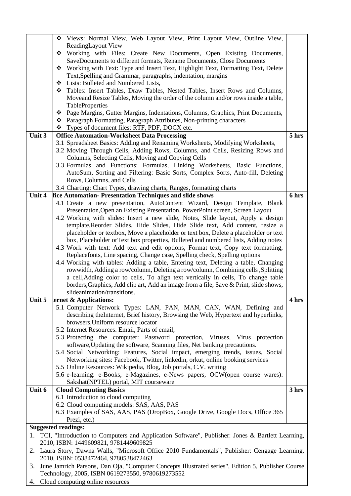|                                                                                                     | Views: Normal View, Web Layout View, Print Layout View, Outline View,<br>❖                                                                                      |       |  |
|-----------------------------------------------------------------------------------------------------|-----------------------------------------------------------------------------------------------------------------------------------------------------------------|-------|--|
|                                                                                                     | ReadingLayout View                                                                                                                                              |       |  |
|                                                                                                     | Working with Files: Create New Documents, Open Existing Documents,<br>❖                                                                                         |       |  |
|                                                                                                     | SaveDocuments to different formats, Rename Documents, Close Documents                                                                                           |       |  |
|                                                                                                     | ❖ Working with Text: Type and Insert Text, Highlight Text, Formatting Text, Delete                                                                              |       |  |
|                                                                                                     | Text, Spelling and Grammar, paragraphs, indentation, margins                                                                                                    |       |  |
|                                                                                                     | Lists: Bulleted and Numbered Lists,<br>❖                                                                                                                        |       |  |
|                                                                                                     | Tables: Insert Tables, Draw Tables, Nested Tables, Insert Rows and Columns,<br>❖                                                                                |       |  |
|                                                                                                     | Moveand Resize Tables, Moving the order of the column and/or rows inside a table,                                                                               |       |  |
|                                                                                                     | TableProperties<br>Page Margins, Gutter Margins, Indentations, Columns, Graphics, Print Documents,                                                              |       |  |
|                                                                                                     | ❖<br>❖ Paragraph Formatting, Paragraph Attributes, Non-printing characters                                                                                      |       |  |
|                                                                                                     | Types of document files: RTF, PDF, DOCX etc.                                                                                                                    |       |  |
| Unit 3                                                                                              | <b>Office Automation-Worksheet Data Processing</b>                                                                                                              | 5 hrs |  |
|                                                                                                     | 3.1 Spreadsheet Basics: Adding and Renaming Worksheets, Modifying Worksheets,                                                                                   |       |  |
|                                                                                                     | 3.2 Moving Through Cells, Adding Rows, Columns, and Cells, Resizing Rows and                                                                                    |       |  |
|                                                                                                     | Columns, Selecting Cells, Moving and Copying Cells                                                                                                              |       |  |
|                                                                                                     | 3.3 Formulas and Functions: Formulas, Linking Worksheets, Basic Functions,                                                                                      |       |  |
|                                                                                                     | AutoSum, Sorting and Filtering: Basic Sorts, Complex Sorts, Auto-fill, Deleting                                                                                 |       |  |
|                                                                                                     | Rows, Columns, and Cells                                                                                                                                        |       |  |
|                                                                                                     | 3.4 Charting: Chart Types, drawing charts, Ranges, formatting charts                                                                                            |       |  |
| Unit 4                                                                                              | fice Automation-Presentation Techniques and slide shows                                                                                                         | 6 hrs |  |
|                                                                                                     | 4.1 Create a new presentation, AutoContent Wizard, Design Template, Blank                                                                                       |       |  |
|                                                                                                     | Presentation, Open an Existing Presentation, PowerPoint screen, Screen Layout                                                                                   |       |  |
|                                                                                                     | 4.2 Working with slides: Insert a new slide, Notes, Slide layout, Apply a design                                                                                |       |  |
|                                                                                                     | template, Reorder Slides, Hide Slides, Hide Slide text, Add content, resize a                                                                                   |       |  |
|                                                                                                     | placeholder or textbox, Move a placeholder or text box, Delete a placeholder or text                                                                            |       |  |
|                                                                                                     | box, Placeholder or Text box properties, Bulleted and numbered lists, Adding notes                                                                              |       |  |
|                                                                                                     | 4.3 Work with text: Add text and edit options, Format text, Copy text formatting,                                                                               |       |  |
|                                                                                                     | Replacefonts, Line spacing, Change case, Spelling check, Spelling options<br>4.4 Working with tables: Adding a table, Entering text, Deleting a table, Changing |       |  |
|                                                                                                     | rowwidth, Adding a row/column, Deleting a row/column, Combining cells , Splitting                                                                               |       |  |
|                                                                                                     | a cell, Adding color to cells, To align text vertically in cells, To change table                                                                               |       |  |
|                                                                                                     | borders, Graphics, Add clip art, Add an image from a file, Save & Print, slide shows,                                                                           |       |  |
|                                                                                                     | slideanimation/transitions.                                                                                                                                     |       |  |
| Unit 5                                                                                              | ternet $\&$ Applications:                                                                                                                                       | 4 hrs |  |
|                                                                                                     | 5.1 Computer Network Types: LAN, PAN, MAN, CAN, WAN, Defining and                                                                                               |       |  |
|                                                                                                     | describing the Internet, Brief history, Browsing the Web, Hypertext and hyperlinks,                                                                             |       |  |
|                                                                                                     | browsers, Uniform resource locator                                                                                                                              |       |  |
|                                                                                                     | 5.2 Internet Resources: Email, Parts of email,                                                                                                                  |       |  |
|                                                                                                     | 5.3 Protecting the computer: Password protection, Viruses, Virus protection                                                                                     |       |  |
|                                                                                                     | software, Updating the software, Scanning files, Net banking precautions.                                                                                       |       |  |
|                                                                                                     | 5.4 Social Networking: Features, Social impact, emerging trends, issues, Social                                                                                 |       |  |
|                                                                                                     | Networking sites: Facebook, Twitter, linkedin, orkut, online booking services                                                                                   |       |  |
|                                                                                                     | 5.5 Online Resources: Wikipedia, Blog, Job portals, C.V. writing                                                                                                |       |  |
|                                                                                                     | 5.6 e-learning: e-Books, e-Magazines, e-News papers, OCW(open course wares):                                                                                    |       |  |
| Unit 6                                                                                              | Sakshat(NPTEL) portal, MIT courseware<br><b>Cloud Computing Basics</b>                                                                                          | 3 hrs |  |
|                                                                                                     | 6.1 Introduction to cloud computing                                                                                                                             |       |  |
|                                                                                                     | 6.2 Cloud computing models: SAS, AAS, PAS                                                                                                                       |       |  |
|                                                                                                     | 6.3 Examples of SAS, AAS, PAS (DropBox, Google Drive, Google Docs, Office 365                                                                                   |       |  |
|                                                                                                     | Prezi, etc.)                                                                                                                                                    |       |  |
|                                                                                                     | <b>Suggested readings:</b>                                                                                                                                      |       |  |
| 1. TCI, "Introduction to Computers and Application Software", Publisher: Jones & Bartlett Learning, |                                                                                                                                                                 |       |  |
| 2010, ISBN: 1449609821, 9781449609825                                                               |                                                                                                                                                                 |       |  |
| Laura Story, Dawna Walls, "Microsoft Office 2010 Fundamentals", Publisher: Cengage Learning,<br>2.  |                                                                                                                                                                 |       |  |
|                                                                                                     | 2010, ISBN: 0538472464, 9780538472463                                                                                                                           |       |  |
| 3.                                                                                                  | June Jamrich Parsons, Dan Oja, "Computer Concepts Illustrated series", Edition 5, Publisher Course                                                              |       |  |
| Technology, 2005, ISBN 0619273550, 9780619273552                                                    |                                                                                                                                                                 |       |  |

4. Cloud computing online resources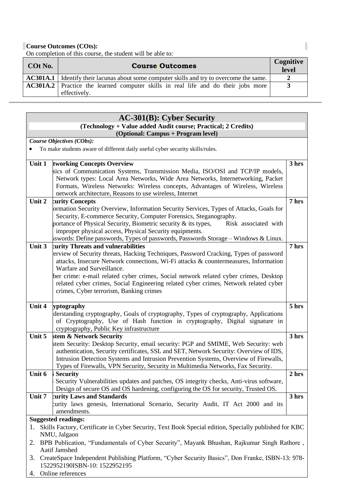On completion of this course, the student will be able to:

| COt No. | <b>Course Outcomes</b>                                                                                   | Cognitive<br>level |
|---------|----------------------------------------------------------------------------------------------------------|--------------------|
|         | <b>AC301A.1</b> Identify their lacunas about some computer skills and try to overcome the same.          |                    |
|         | <b>AC301A.2</b> Practice the learned computer skills in real life and do their jobs more<br>effectively. | 3                  |

#### **AC-301(B): Cyber Security (Technology + Value added Audit course; Practical; 2 Credits) (Optional: Campus + Program level)** *Course Objectives (CObs):*  • To make students aware of different daily useful cyber security skills/rules. **Unit 1 tworking Concepts Overview** sics of Communication Systems, Transmission Media, ISO/OSI and TCP/IP models, Network types: Local Area Networks, Wide Area Networks, Internetworking, Packet Formats, Wireless Networks: Wireless concepts, Advantages of Wireless, Wireless network architecture, Reasons to use wireless, Internet **3 hrs Unit 2 curity Concepts Information Security Overview, Information Security Services, Types of Attacks, Goals for** Security, E-commerce Security, Computer Forensics, Steganography. portance of Physical Security, Biometric security  $\&$  its types, Risk associated with improper physical access, Physical Security equipments. swords: Define passwords, Types of passwords, Passwords Storage – Windows  $\&$  Linux. **7 hrs Unit 3** curity Threats and vulnerabilities erview of Security threats, Hacking Techniques, Password Cracking, Types of password attacks, Insecure Network connections, Wi-Fi attacks & countermeasures, Information Warfare and Surveillance. ber crime: e-mail related cyber crimes, Social network related cyber crimes, Desktop related cyber crimes, Social Engineering related cyber crimes, Network related cyber crimes, Cyber terrorism, Banking crimes **7 hrs** Unit 4 yptography derstanding cryptography, Goals of cryptography, Types of cryptography, Applications of Cryptography, Use of Hash function in cryptography, Digital signature in cryptography, Public Key infrastructure **5 hrs Unit 5** stem & Network Security stem Security: Desktop Security, email security: PGP and SMIME, Web Security: web authentication, Security certificates, SSL and SET, Network Security: Overview of IDS, Intrusion Detection Systems and Intrusion Prevention Systems, Overview of Firewalls, Types of Firewalls, VPN Security, Security in Multimedia Networks, Fax Security. **3 hrs Unit 6 Security** Security Vulnerabilities updates and patches, OS integrity checks, Anti-virus software, Design of secure OS and OS hardening, configuring the OS for security, Trusted OS. **2 hrs Unit 7 curity Laws and Standards** Security laws genesis, International Scenario, Security Audit, IT Act 2000 and its amendments. **3 hrs Suggested readings:** 1. Skills Factory, Certificate in Cyber Security, Text Book Special edition, Specially published for KBC NMU, Jalgaon 2. BPB Publication, "Fundamentals of Cyber Security", Mayank Bhushan, Rajkumar Singh Rathore , Aatif Jamshed 3. CreateSpace Independent Publishing Platform, "Cyber Security Basics", Don Franke, ISBN-13: 978-

- 1522952190ISBN-10: 1522952195
- 4. Online references

П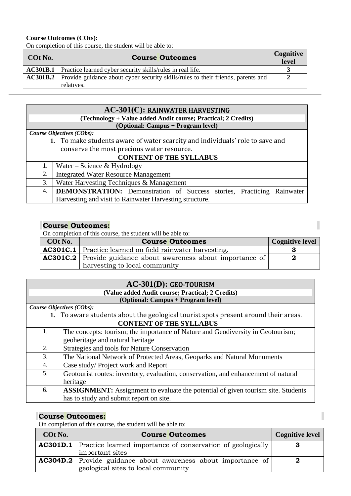On completion of this course, the student will be able to:

| COt No. | <b>Course Outcomes</b>                                                                                         | Cognitive<br>level |
|---------|----------------------------------------------------------------------------------------------------------------|--------------------|
|         | <b>AC301B.1</b> Practice learned cyber security skills/rules in real life.                                     |                    |
|         | <b>AC301B.2</b> Provide guidance about cyber security skills/rules to their friends, parents and<br>relatives. |                    |

| $AC-301(C)$ : RAINWATER HARVESTING         |                                                                               |  |  |
|--------------------------------------------|-------------------------------------------------------------------------------|--|--|
|                                            | (Technology + Value added Audit course; Practical; 2 Credits)                 |  |  |
|                                            | (Optional: Campus + Program level)                                            |  |  |
| Course Objectives (CObs):                  |                                                                               |  |  |
|                                            | 1. To make students aware of water scarcity and individuals' role to save and |  |  |
| conserve the most precious water resource. |                                                                               |  |  |
| <b>CONTENT OF THE SYLLABUS</b>             |                                                                               |  |  |
| 1.                                         | Water – Science & Hydrology                                                   |  |  |
| 2.                                         | <b>Integrated Water Resource Management</b>                                   |  |  |
| 3.                                         | Water Harvesting Techniques & Management                                      |  |  |
| 4.                                         | <b>DEMONSTRATION:</b> Demonstration of Success stories, Practicing Rainwater  |  |  |
|                                            | Harvesting and visit to Rainwater Harvesting structure.                       |  |  |

### **Course Outcomes:**

On completion of this course, the student will be able to:

| COt No. | <b>Course Outcomes</b>                                               | <b>Cognitive level</b> |
|---------|----------------------------------------------------------------------|------------------------|
|         | $\Delta$ AC301C.1   Practice learned on field rainwater harvesting.  |                        |
|         | <b>AC301C.2</b> Provide guidance about awareness about importance of |                        |
|         | harvesting to local community                                        |                        |

I

I

| AC-301(D): GEO-TOURISM |                                                                                         |
|------------------------|-----------------------------------------------------------------------------------------|
|                        | (Value added Audit course; Practical; 2 Credits)                                        |
|                        | (Optional: Campus + Program level)                                                      |
|                        | Course Objectives (CObs):                                                               |
|                        | 1. To aware students about the geological tourist spots present around their areas.     |
|                        | <b>CONTENT OF THE SYLLABUS</b>                                                          |
| 1.                     | The concepts: tourism; the importance of Nature and Geodiversity in Geotourism;         |
|                        | geoheritage and natural heritage                                                        |
| 2.                     | Strategies and tools for Nature Conservation                                            |
| 3.                     | The National Network of Protected Areas, Geoparks and Natural Monuments                 |
| 4.                     | Case study/Project work and Report                                                      |
| 5.                     | Geotourist routes: inventory, evaluation, conservation, and enhancement of natural      |
|                        | heritage                                                                                |
| 6.                     | <b>ASSIGNMENT:</b> Assignment to evaluate the potential of given tourism site. Students |
|                        | has to study and submit report on site.                                                 |

### **Course Outcomes:**

On completion of this course, the student will be able to:

| COt No. | <b>Course Outcomes</b>                                                      | <b>Cognitive level</b> |
|---------|-----------------------------------------------------------------------------|------------------------|
|         | <b>AC301D.1</b> Practice learned importance of conservation of geologically |                        |
|         | important sites                                                             |                        |
|         | <b>AC304D.2</b> Provide guidance about awareness about importance of        |                        |
|         | geological sites to local community                                         |                        |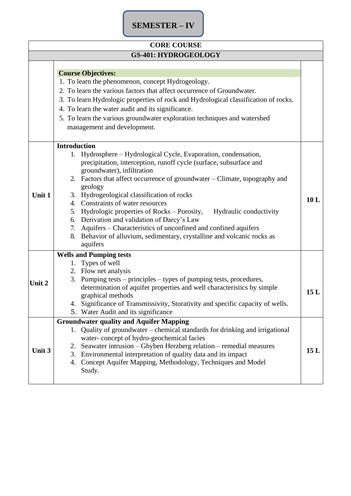## **SEMESTER – IV**

| <b>CORE COURSE</b>          |                                                                                                                                                                                                                                                                                                                                                                                                                                                                                                                                                                                                                                                                 |     |
|-----------------------------|-----------------------------------------------------------------------------------------------------------------------------------------------------------------------------------------------------------------------------------------------------------------------------------------------------------------------------------------------------------------------------------------------------------------------------------------------------------------------------------------------------------------------------------------------------------------------------------------------------------------------------------------------------------------|-----|
| <b>GS-401: HYDROGEOLOGY</b> |                                                                                                                                                                                                                                                                                                                                                                                                                                                                                                                                                                                                                                                                 |     |
|                             | <b>Course Objectives:</b><br>1. To learn the phenomenon, concept Hydrogeology.<br>2. To learn the various factors that affect occurrence of Groundwater.<br>3. To learn Hydrologic properties of rock and Hydrological classification of rocks.<br>4. To learn the water audit and its significance.<br>5. To learn the various groundwater exploration techniques and watershed<br>management and development.                                                                                                                                                                                                                                                 |     |
| Unit 1                      | <b>Introduction</b><br>Hydrosphere – Hydrological Cycle, Evaporation, condensation,<br>1.<br>precipitation, interception, runoff cycle (surface, subsurface and<br>groundwater), infiltration<br>2. Factors that affect occurrence of groundwater – Climate, topography and<br>geology<br>3. Hydrogeological classification of rocks<br>4. Constraints of water resources<br>5. Hydrologic properties of Rocks – Porosity,<br>Hydraulic conductivity<br>6. Derivation and validation of Darcy's Law<br>7. Aquifers - Characteristics of unconfined and confined aquifers<br>8. Behavior of alluvium, sedimentary, crystalline and volcanic rocks as<br>aquifers | 10L |
| Unit 2                      | <b>Wells and Pumping tests</b><br>1. Types of well<br>2. Flow net analysis<br>Pumping tests – principles – types of pumping tests, procedures,<br>3.<br>determination of aquifer properties and well characteristics by simple<br>graphical methods<br>4. Significance of Transmissivity, Storativity and specific capacity of wells.<br>5. Water Audit and its significance                                                                                                                                                                                                                                                                                    | 15L |
| Unit 3                      | <b>Groundwater quality and Aquifer Mapping</b><br>1. Quality of groundwater – chemical standards for drinking and irrigational<br>water-concept of hydro-geochemical facies<br>Seawater intrusion – Ghyben Herzberg relation – remedial measures<br>2.<br>3. Environmental interpretation of quality data and its impact<br>4. Concept Aquifer Mapping, Methodology, Techniques and Model<br>Study.                                                                                                                                                                                                                                                             | 15L |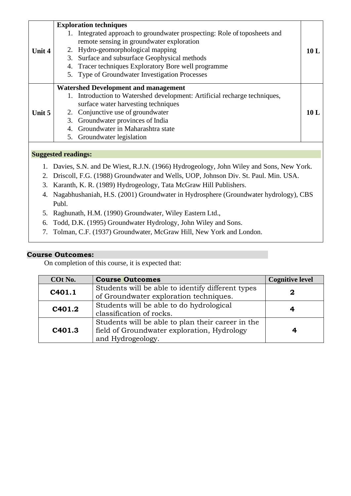|                            |    | <b>Exploration techniques</b>                                          |      |  |  |
|----------------------------|----|------------------------------------------------------------------------|------|--|--|
|                            |    | Integrated approach to groundwater prospecting: Role of toposheets and |      |  |  |
|                            |    | remote sensing in groundwater exploration                              |      |  |  |
| Unit 4                     |    | 2. Hydro-geomorphological mapping                                      | 10 L |  |  |
|                            |    | 3. Surface and subsurface Geophysical methods                          |      |  |  |
|                            | 4. | Tracer techniques Exploratory Bore well programme                      |      |  |  |
|                            |    | 5. Type of Groundwater Investigation Processes                         |      |  |  |
|                            |    | <b>Watershed Development and management</b>                            |      |  |  |
|                            |    | Introduction to Watershed development: Artificial recharge techniques, |      |  |  |
|                            |    | surface water harvesting techniques                                    |      |  |  |
| Unit $5$                   |    | 2. Conjunctive use of groundwater                                      | 10 L |  |  |
|                            |    | 3. Groundwater provinces of India                                      |      |  |  |
|                            |    | Groundwater in Maharashtra state                                       |      |  |  |
|                            |    | 5. Groundwater legislation                                             |      |  |  |
|                            |    |                                                                        |      |  |  |
| <b>Suggested readings:</b> |    |                                                                        |      |  |  |

- 1. Davies, S.N. and De Wiest, R.J.N. (1966) Hydrogeology, John Wiley and Sons, New York.
- 2. Driscoll, F.G. (1988) Groundwater and Wells, UOP, Johnson Div. St. Paul. Min. USA.
- 3. Karanth, K. R. (1989) Hydrogeology, Tata McGraw Hill Publishers.
- 4. Nagabhushaniah, H.S. (2001) Groundwater in Hydrosphere (Groundwater hydrology), CBS Publ.
- 5. Raghunath, H.M. (1990) Groundwater, Wiley Eastern Ltd.,
- 6. Todd, D.K. (1995) Groundwater Hydrology, John Wiley and Sons.
- 7. Tolman, C.F. (1937) Groundwater, McGraw Hill, New York and London.

| COt No.            | <b>Course Outcomes</b>                                                                                                | <b>Cognitive level</b> |
|--------------------|-----------------------------------------------------------------------------------------------------------------------|------------------------|
| C401.1             | Students will be able to identify different types<br>of Groundwater exploration techniques.                           | 2                      |
| C401.2             | Students will be able to do hydrological<br>classification of rocks.                                                  |                        |
| C <sub>401.3</sub> | Students will be able to plan their career in the<br>field of Groundwater exploration, Hydrology<br>and Hydrogeology. |                        |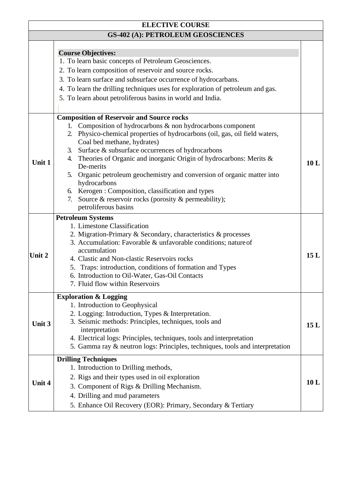|        | <b>ELECTIVE COURSE</b>                                                                                                                                                                                                                                                                                                                                                                                                                                                                                                                                                                                                      |      |
|--------|-----------------------------------------------------------------------------------------------------------------------------------------------------------------------------------------------------------------------------------------------------------------------------------------------------------------------------------------------------------------------------------------------------------------------------------------------------------------------------------------------------------------------------------------------------------------------------------------------------------------------------|------|
|        | <b>GS-402 (A): PETROLEUM GEOSCIENCES</b>                                                                                                                                                                                                                                                                                                                                                                                                                                                                                                                                                                                    |      |
|        | <b>Course Objectives:</b><br>1. To learn basic concepts of Petroleum Geosciences.<br>2. To learn composition of reservoir and source rocks.<br>3. To learn surface and subsurface occurrence of hydrocarbans.<br>4. To learn the drilling techniques uses for exploration of petroleum and gas.<br>5. To learn about petroliferous basins in world and India.                                                                                                                                                                                                                                                               |      |
| Unit 1 | <b>Composition of Reservoir and Source rocks</b><br>Composition of hydrocarbons & non hydrocarbons component<br>1.<br>2. Physico-chemical properties of hydrocarbons (oil, gas, oil field waters,<br>Coal bed methane, hydrates)<br>Surface & subsurface occurrences of hydrocarbons<br>3.<br>4. Theories of Organic and inorganic Origin of hydrocarbons: Merits &<br>De-merits<br>5. Organic petroleum geochemistry and conversion of organic matter into<br>hydrocarbons<br>6. Kerogen: Composition, classification and types<br>Source $\&$ reservoir rocks (porosity $\&$ permeability);<br>7.<br>petroliferous basins | 10L  |
| Unit 2 | <b>Petroleum Systems</b><br>1. Limestone Classification<br>2. Migration-Primary & Secondary, characteristics & processes<br>3. Accumulation: Favorable & unfavorable conditions; nature of<br>accumulation<br>4. Clastic and Non-clastic Reservoirs rocks<br>5. Traps: introduction, conditions of formation and Types<br>6. Introduction to Oil-Water, Gas-Oil Contacts<br>7. Fluid flow within Reservoirs                                                                                                                                                                                                                 | 15L  |
| Unit 3 | <b>Exploration &amp; Logging</b><br>1. Introduction to Geophysical<br>2. Logging: Introduction, Types & Interpretation.<br>3. Seismic methods: Principles, techniques, tools and<br>interpretation<br>4. Electrical logs: Principles, techniques, tools and interpretation<br>5. Gamma ray & neutron logs: Principles, techniques, tools and interpretation                                                                                                                                                                                                                                                                 | 15L  |
| Unit 4 | <b>Drilling Techniques</b><br>1. Introduction to Drilling methods,<br>2. Rigs and their types used in oil exploration<br>3. Component of Rigs & Drilling Mechanism.<br>4. Drilling and mud parameters<br>5. Enhance Oil Recovery (EOR): Primary, Secondary & Tertiary                                                                                                                                                                                                                                                                                                                                                       | 10 L |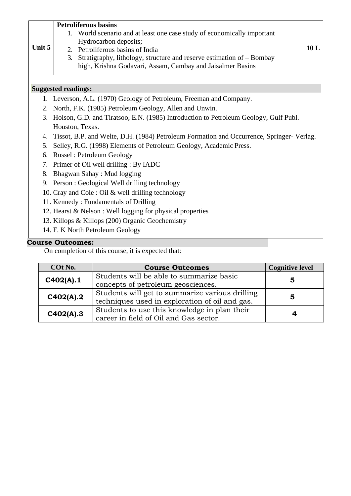|        | <b>Petroliferous basins</b>                                                                                                         |     |  |
|--------|-------------------------------------------------------------------------------------------------------------------------------------|-----|--|
|        | 1. World scenario and at least one case study of economically important                                                             |     |  |
| Unit 5 | Hydrocarbon deposits;                                                                                                               | 10L |  |
|        | Petroliferous basins of India<br>$2^{\circ}$<br>3.                                                                                  |     |  |
|        | Stratigraphy, lithology, structure and reserve estimation of – Bombay<br>high, Krishna Godavari, Assam, Cambay and Jaisalmer Basins |     |  |
|        |                                                                                                                                     |     |  |
|        |                                                                                                                                     |     |  |
|        | <b>Suggested readings:</b>                                                                                                          |     |  |
|        | 1. Leverson, A.L. (1970) Geology of Petroleum, Freeman and Company.                                                                 |     |  |
|        | 2. North, F.K. (1985) Petroleum Geology, Allen and Unwin.                                                                           |     |  |
|        | 3. Holson, G.D. and Tiratsoo, E.N. (1985) Introduction to Petroleum Geology, Gulf Publ.                                             |     |  |
|        | Houston, Texas.                                                                                                                     |     |  |
| 4.     | Tissot, B.P. and Welte, D.H. (1984) Petroleum Formation and Occurrence, Springer- Verlag.                                           |     |  |
| 5.     | Selley, R.G. (1998) Elements of Petroleum Geology, Academic Press.                                                                  |     |  |
| 6.     | <b>Russel: Petroleum Geology</b>                                                                                                    |     |  |
| 7.     | Primer of Oil well drilling : By IADC                                                                                               |     |  |
| 8.     | Bhagwan Sahay: Mud logging                                                                                                          |     |  |
|        | 9. Person: Geological Well drilling technology                                                                                      |     |  |
|        | 10. Cray and Cole : Oil & well drilling technology                                                                                  |     |  |
|        | 11. Kennedy: Fundamentals of Drilling                                                                                               |     |  |
|        | 12. Hearst & Nelson : Well logging for physical properties                                                                          |     |  |
|        | 13. Killops & Killops (200) Organic Geochemistry                                                                                    |     |  |
|        | 14. F. K North Petroleum Geology                                                                                                    |     |  |
|        |                                                                                                                                     |     |  |

| COt No.   | <b>Course Outcomes</b>                          | <b>Cognitive level</b> |
|-----------|-------------------------------------------------|------------------------|
| C402(A).1 | Students will be able to summarize basic        | 5                      |
|           | concepts of petroleum geosciences.              |                        |
| C402(A).2 | Students will get to summarize various drilling | 5                      |
|           | techniques used in exploration of oil and gas.  |                        |
|           | Students to use this knowledge in plan their    |                        |
| C402(A).3 | career in field of Oil and Gas sector.          | 4                      |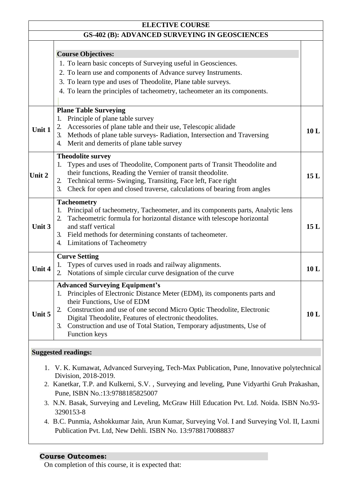|        | <b>ELECTIVE COURSE</b>                                                                                                                                                                                                                                                                                                    |     |
|--------|---------------------------------------------------------------------------------------------------------------------------------------------------------------------------------------------------------------------------------------------------------------------------------------------------------------------------|-----|
|        | <b>GS-402 (B): ADVANCED SURVEYING IN GEOSCIENCES</b>                                                                                                                                                                                                                                                                      |     |
|        | <b>Course Objectives:</b>                                                                                                                                                                                                                                                                                                 |     |
|        | 1. To learn basic concepts of Surveying useful in Geosciences.                                                                                                                                                                                                                                                            |     |
|        | 2. To learn use and components of Advance survey Instruments.                                                                                                                                                                                                                                                             |     |
|        | 3. To learn type and uses of Theodolite, Plane table surveys.                                                                                                                                                                                                                                                             |     |
|        | 4. To learn the principles of tacheometry, tacheometer an its components.                                                                                                                                                                                                                                                 |     |
|        | <b>Plane Table Surveying</b>                                                                                                                                                                                                                                                                                              |     |
| Unit 1 | Principle of plane table survey<br>1.<br>Accessories of plane table and their use, Telescopic alidade<br>2.<br>Methods of plane table surveys- Radiation, Intersection and Traversing<br>3.<br>Merit and demerits of plane table survey<br>4.                                                                             | 10L |
| Unit 2 | <b>Theodolite survey</b><br>Types and uses of Theodolite, Component parts of Transit Theodolite and<br>their functions, Reading the Vernier of transit theodolite.<br>Technical terms- Swinging, Transiting, Face left, Face right<br>2.<br>Check for open and closed traverse, calculations of bearing from angles<br>3. | 15L |
|        | <b>Tacheometry</b><br>Principal of tacheometry, Tacheometer, and its components parts, Analytic lens<br>1.                                                                                                                                                                                                                |     |
| Unit 3 | Tacheometric formula for horizontal distance with telescope horizontal<br>and staff vertical                                                                                                                                                                                                                              | 15L |
|        | 3. Field methods for determining constants of tacheometer.                                                                                                                                                                                                                                                                |     |
|        | 4. Limitations of Tacheometry                                                                                                                                                                                                                                                                                             |     |
|        | <b>Curve Setting</b>                                                                                                                                                                                                                                                                                                      |     |
| Unit 4 | Types of curves used in roads and railway alignments.<br>1.<br>Notations of simple circular curve designation of the curve<br>2.                                                                                                                                                                                          | 10L |
|        | <b>Advanced Surveying Equipment's</b>                                                                                                                                                                                                                                                                                     |     |
|        | Principles of Electronic Distance Meter (EDM), its components parts and<br>1.                                                                                                                                                                                                                                             |     |
|        | their Functions, Use of EDM                                                                                                                                                                                                                                                                                               |     |
| Unit 5 | Construction and use of one second Micro Optic Theodolite, Electronic<br>2.<br>Digital Theodolite, Features of electronic theodolites.                                                                                                                                                                                    | 10L |
|        | Construction and use of Total Station, Temporary adjustments, Use of<br>3.<br>Function keys                                                                                                                                                                                                                               |     |
|        | <b>Suggested readings:</b>                                                                                                                                                                                                                                                                                                |     |

- 1. V. K. Kumawat, Advanced Surveying, Tech-Max Publication, Pune, Innovative polytechnical Division, 2018-2019.
- 2. Kanetkar, T.P. and Kulkerni, S.V. , Surveying and leveling, Pune Vidyarthi Gruh Prakashan, Pune, ISBN No.:13:9788185825007
- 3. N.N. Basak, Surveying and Leveling, McGraw Hill Education Pvt. Ltd. Noida. ISBN No.93- 3290153-8
- 4. B.C. Punmia, Ashokkumar Jain, Arun Kumar, Surveying Vol. I and Surveying Vol. II, Laxmi Publication Pvt. Ltd, New Dehli. ISBN No. 13:9788170088837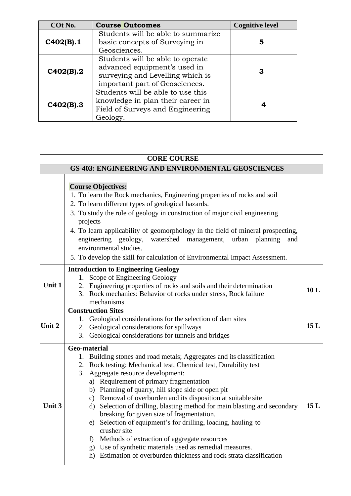| COt No.   | <b>Course Outcomes</b>                                                                                                                 | <b>Cognitive level</b> |
|-----------|----------------------------------------------------------------------------------------------------------------------------------------|------------------------|
| C402(B).1 | Students will be able to summarize<br>basic concepts of Surveying in                                                                   | 5                      |
|           | Geosciences.                                                                                                                           |                        |
| C402(B).2 | Students will be able to operate<br>advanced equipment's used in<br>surveying and Levelling which is<br>important part of Geosciences. | З                      |
| C402(B).3 | Students will be able to use this<br>knowledge in plan their career in<br>Field of Surveys and Engineering<br>Geology.                 |                        |

#### **CORE COURSE GS-403: ENGINEERING AND ENVIRONMENTAL GEOSCIENCES Course Objectives:** 1. To learn the Rock mechanics, Engineering properties of rocks and soil 2. To learn different types of geological hazards. 3. To study the role of geology in construction of major civil engineering projects 4. To learn applicability of geomorphology in the field of mineral prospecting, engineering geology, watershed management, urban planning and environmental studies. 5. To develop the skill for calculation of Environmental Impact Assessment. **Unit 1 Introduction to Engineering Geology** 1. Scope of Engineering Geology 2. Engineering properties of rocks and soils and their determination 3. Rock mechanics: Behavior of rocks under stress, Rock failure mechanisms **10 L Unit 2 Construction Sites** 1. Geological considerations for the selection of dam sites 2. Geological considerations for spillways 3. Geological considerations for tunnels and bridges **15 L Unit 3 Geo-material** 1. Building stones and road metals; Aggregates and its classification 2. Rock testing: Mechanical test, Chemical test, Durability test 3. Aggregate resource development: a) Requirement of primary fragmentation b) Planning of quarry, hill slope side or open pit c) Removal of overburden and its disposition at suitable site d) Selection of drilling, blasting method for main blasting and secondary breaking for given size of fragmentation. e) Selection of equipment's for drilling, loading, hauling to crusher site f) Methods of extraction of aggregate resources g) Use of synthetic materials used as remedial measures. h) Estimation of overburden thickness and rock strata classification **15 L**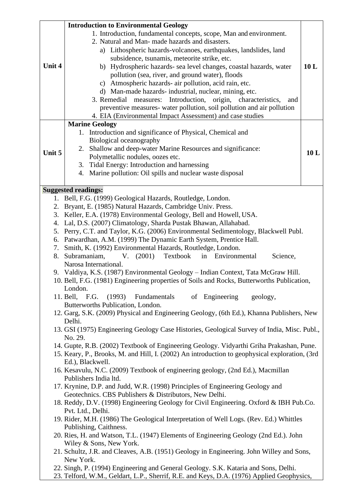|        | <b>Introduction to Environmental Geology</b>                                                                    |     |  |
|--------|-----------------------------------------------------------------------------------------------------------------|-----|--|
|        | 1. Introduction, fundamental concepts, scope, Man and environment.                                              |     |  |
|        | 2. Natural and Man- made hazards and disasters.                                                                 |     |  |
|        | a) Lithospheric hazards-volcanoes, earthquakes, landslides, land                                                |     |  |
|        | subsidence, tsunamis, meteorite strike, etc.                                                                    |     |  |
| Unit 4 | b) Hydrospheric hazards- sea level changes, coastal hazards, water                                              | 10L |  |
|        | pollution (sea, river, and ground water), floods                                                                |     |  |
|        | c) Atmospheric hazards- air pollution, acid rain, etc.                                                          |     |  |
|        | d) Man-made hazards-industrial, nuclear, mining, etc.                                                           |     |  |
|        | 3. Remedial<br>measures: Introduction,<br>origin,<br>characteristics,<br>and                                    |     |  |
|        | preventive measures- water pollution, soil pollution and air pollution                                          |     |  |
|        | 4. EIA (Environmental Impact Assessment) and case studies                                                       |     |  |
|        | <b>Marine Geology</b>                                                                                           |     |  |
|        | 1. Introduction and significance of Physical, Chemical and                                                      |     |  |
|        | Biological oceanography                                                                                         |     |  |
| Unit 5 | 2. Shallow and deep-water Marine Resources and significance:                                                    | 10L |  |
|        | Polymetallic nodules, oozes etc.                                                                                |     |  |
|        | 3. Tidal Energy: Introduction and harnessing                                                                    |     |  |
|        | 4. Marine pollution: Oil spills and nuclear waste disposal                                                      |     |  |
|        | <b>Suggested readings:</b>                                                                                      |     |  |
| 1.     | Bell, F.G. (1999) Geological Hazards, Routledge, London.                                                        |     |  |
|        | 2. Bryant, E. (1985) Natural Hazards, Cambridge Univ. Press.                                                    |     |  |
| 3.     | Keller, E.A. (1978) Environmental Geology, Bell and Howell, USA.                                                |     |  |
| 4.     | Lal, D.S. (2007) Climatology, Sharda Pustak Bhawan, Allahabad.                                                  |     |  |
| 5.     | Perry, C.T. and Taylor, K.G. (2006) Environmental Sedimentology, Blackwell Publ.                                |     |  |
| 6.     | Patwardhan, A.M. (1999) The Dynamic Earth System, Prentice Hall.                                                |     |  |
| 7.     | Smith, K. (1992) Environmental Hazards, Routledge, London.                                                      |     |  |
| 8.     | Textbook<br>Subramaniam.<br>V. (2001)<br>in Environmental<br>Science,<br>Narosa International.                  |     |  |
|        | 9. Valdiya, K.S. (1987) Environmental Geology - Indian Context, Tata McGraw Hill.                               |     |  |
|        | 10. Bell, F.G. (1981) Engineering properties of Soils and Rocks, Butterworths Publication,                      |     |  |
|        | London.                                                                                                         |     |  |
|        | 11. Bell, F.G. (1993) Fundamentals<br>of Engineering geology,                                                   |     |  |
|        | Butterworths Publication, London.                                                                               |     |  |
|        | 12. Garg, S.K. (2009) Physical and Engineering Geology, (6th Ed.), Khanna Publishers, New<br>Delhi.             |     |  |
|        | 13. GSI (1975) Engineering Geology Case Histories, Geological Survey of India, Misc. Publ.,                     |     |  |
|        | No. 29.                                                                                                         |     |  |
|        | 14. Gupte, R.B. (2002) Textbook of Engineering Geology. Vidyarthi Griha Prakashan, Pune.                        |     |  |
|        | 15. Keary, P., Brooks, M. and Hill, I. (2002) An introduction to geophysical exploration, (3rd                  |     |  |
|        | Ed.), Blackwell.                                                                                                |     |  |
|        | 16. Kesavulu, N.C. (2009) Textbook of engineering geology, (2nd Ed.), Macmillan<br>Publishers India ltd.        |     |  |
|        | 17. Krynine, D.P. and Judd, W.R. (1998) Principles of Engineering Geology and                                   |     |  |
|        | Geotechnics. CBS Publishers & Distributors, New Delhi.                                                          |     |  |
|        | 18. Reddy, D.V. (1998) Engineering Geology for Civil Engineering. Oxford & IBH Pub.Co.                          |     |  |
|        | Pvt. Ltd., Delhi.                                                                                               |     |  |
|        | 19. Rider, M.H. (1986) The Geological Interpretation of Well Logs. (Rev. Ed.) Whittles                          |     |  |
|        | Publishing, Caithness.                                                                                          |     |  |
|        | 20. Ries, H. and Watson, T.L. (1947) Elements of Engineering Geology (2nd Ed.). John<br>Wiley & Sons, New York. |     |  |
|        | 21. Schultz, J.R. and Cleaves, A.B. (1951) Geology in Engineering. John Willey and Sons,                        |     |  |
|        | New York.                                                                                                       |     |  |
|        | 22. Singh, P. (1994) Engineering and General Geology. S.K. Kataria and Sons, Delhi.                             |     |  |
|        | 23. Telford, W.M., Geldart, L.P., Sherrif, R.E. and Keys, D.A. (1976) Applied Geophysics,                       |     |  |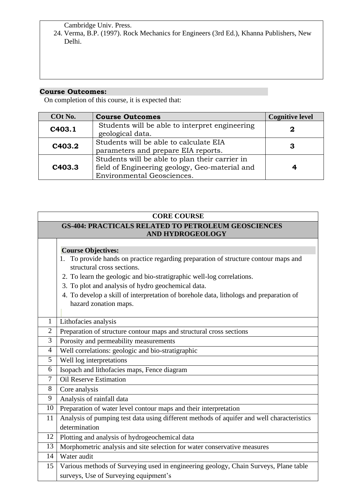Cambridge Univ. Press.

24. Verma, B.P. (1997). Rock Mechanics for Engineers (3rd Ed.), Khanna Publishers, New Delhi.

## **Course Outcomes:**

| COt No. | <b>Course Outcomes</b>                                                                                                         | <b>Cognitive level</b> |
|---------|--------------------------------------------------------------------------------------------------------------------------------|------------------------|
| C403.1  | Students will be able to interpret engineering<br>geological data.                                                             | 2                      |
| C403.2  | Students will be able to calculate EIA<br>parameters and prepare EIA reports.                                                  | 3                      |
| C403.3  | Students will be able to plan their carrier in<br>field of Engineering geology, Geo-material and<br>Environmental Geosciences. |                        |

| <b>CORE COURSE</b> |                                                                                                                   |  |  |
|--------------------|-------------------------------------------------------------------------------------------------------------------|--|--|
|                    | <b>GS-404: PRACTICALS RELATED TO PETROLEUM GEOSCIENCES</b>                                                        |  |  |
|                    | <b>AND HYDROGEOLOGY</b>                                                                                           |  |  |
|                    |                                                                                                                   |  |  |
|                    | <b>Course Objectives:</b>                                                                                         |  |  |
|                    | 1. To provide hands on practice regarding preparation of structure contour maps and<br>structural cross sections. |  |  |
|                    | 2. To learn the geologic and bio-stratigraphic well-log correlations.                                             |  |  |
|                    | 3. To plot and analysis of hydro geochemical data.                                                                |  |  |
|                    | 4. To develop a skill of interpretation of borehole data, lithologs and preparation of                            |  |  |
|                    | hazard zonation maps.                                                                                             |  |  |
|                    |                                                                                                                   |  |  |
| 1                  | Lithofacies analysis                                                                                              |  |  |
| $\overline{2}$     | Preparation of structure contour maps and structural cross sections                                               |  |  |
| 3                  | Porosity and permeability measurements                                                                            |  |  |
| 4                  | Well correlations: geologic and bio-stratigraphic                                                                 |  |  |
| 5                  | Well log interpretations                                                                                          |  |  |
| 6                  | Isopach and lithofacies maps, Fence diagram                                                                       |  |  |
| 7                  | <b>Oil Reserve Estimation</b>                                                                                     |  |  |
| 8                  | Core analysis                                                                                                     |  |  |
| 9                  | Analysis of rainfall data                                                                                         |  |  |
| 10                 | Preparation of water level contour maps and their interpretation                                                  |  |  |
| 11                 | Analysis of pumping test data using different methods of aquifer and well characteristics                         |  |  |
|                    | determination                                                                                                     |  |  |
| 12                 | Plotting and analysis of hydrogeochemical data                                                                    |  |  |
| 13                 | Morphometric analysis and site selection for water conservative measures                                          |  |  |
| 14                 | Water audit                                                                                                       |  |  |
| 15                 | Various methods of Surveying used in engineering geology, Chain Surveys, Plane table                              |  |  |
|                    | surveys, Use of Surveying equipment's                                                                             |  |  |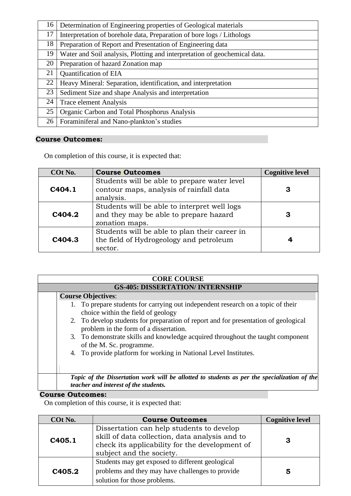| 16 | Determination of Engineering properties of Geological materials           |
|----|---------------------------------------------------------------------------|
| 17 | Interpretation of borehole data, Preparation of bore logs / Lithologs     |
| 18 | Preparation of Report and Presentation of Engineering data                |
| 19 | Water and Soil analysis, Plotting and interpretation of geochemical data. |
| 20 | Preparation of hazard Zonation map                                        |
| 21 | <b>Quantification of EIA</b>                                              |
| 22 | Heavy Mineral: Separation, identification, and interpretation             |
| 23 | Sediment Size and shape Analysis and interpretation                       |
| 24 | <b>Trace element Analysis</b>                                             |
| 25 | Organic Carbon and Total Phosphorus Analysis                              |
| 26 | Foraminiferal and Nano-plankton's studies                                 |

On completion of this course, it is expected that:

| COt No.            | <b>Course Outcomes</b>                                                                                   | <b>Cognitive level</b> |
|--------------------|----------------------------------------------------------------------------------------------------------|------------------------|
| C <sub>404.1</sub> | Students will be able to prepare water level<br>contour maps, analysis of rainfall data<br>analysis.     | З                      |
| C404.2             | Students will be able to interpret well logs<br>and they may be able to prepare hazard<br>zonation maps. | З                      |
| C <sub>404.3</sub> | Students will be able to plan their career in<br>the field of Hydrogeology and petroleum<br>sector.      |                        |

| <b>CORE COURSE</b>                                                                                                                    |  |  |  |  |
|---------------------------------------------------------------------------------------------------------------------------------------|--|--|--|--|
| <b>GS-405: DISSERTATION/ INTERNSHIP</b>                                                                                               |  |  |  |  |
| <b>Course Objectives:</b>                                                                                                             |  |  |  |  |
| 1. To prepare students for carrying out independent research on a topic of their<br>choice within the field of geology                |  |  |  |  |
| 2. To develop students for preparation of report and for presentation of geological<br>problem in the form of a dissertation.         |  |  |  |  |
| 3. To demonstrate skills and knowledge acquired throughout the taught component<br>of the M. Sc. programme.                           |  |  |  |  |
| 4. To provide platform for working in National Level Institutes.                                                                      |  |  |  |  |
|                                                                                                                                       |  |  |  |  |
| Topic of the Dissertation work will be allotted to students as per the specialization of the<br>teacher and interest of the students. |  |  |  |  |

### **Course Outcomes:**

| COt No.            | <b>Course Outcomes</b>                                                                                                                                                    | <b>Cognitive level</b> |
|--------------------|---------------------------------------------------------------------------------------------------------------------------------------------------------------------------|------------------------|
| C <sub>405.1</sub> | Dissertation can help students to develop<br>skill of data collection, data analysis and to<br>check its applicability for the development of<br>subject and the society. | З                      |
| C405.2             | Students may get exposed to different geological<br>problems and they may have challenges to provide<br>solution for those problems.                                      | 5                      |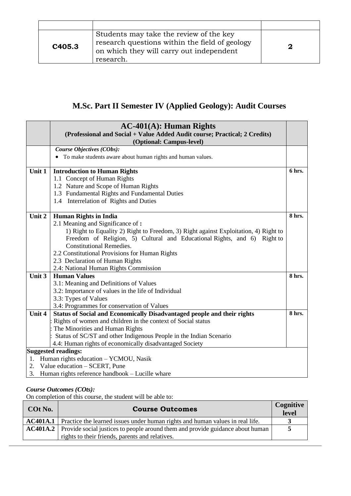| C405.3 | Students may take the review of the key<br>research questions within the field of geology<br>on which they will carry out independent<br>research. | 2 |
|--------|----------------------------------------------------------------------------------------------------------------------------------------------------|---|

## **M.Sc. Part II Semester IV (Applied Geology): Audit Courses**

|                                                         | $AC-401(A)$ : Human Rights<br>(Professional and Social + Value Added Audit course; Practical; 2 Credits) |        |
|---------------------------------------------------------|----------------------------------------------------------------------------------------------------------|--------|
|                                                         | (Optional: Campus-level)                                                                                 |        |
|                                                         | Course Objectives (CObs):                                                                                |        |
|                                                         | • To make students aware about human rights and human values.                                            |        |
| Unit 1                                                  | <b>Introduction to Human Rights</b>                                                                      | 6 hrs. |
|                                                         | 1.1 Concept of Human Rights                                                                              |        |
|                                                         | 1.2 Nature and Scope of Human Rights                                                                     |        |
|                                                         | 1.3 Fundamental Rights and Fundamental Duties                                                            |        |
|                                                         | 1.4 Interrelation of Rights and Duties                                                                   |        |
| Unit 2                                                  | <b>Human Rights in India</b>                                                                             | 8 hrs. |
|                                                         | 2.1 Meaning and Significance of:                                                                         |        |
|                                                         | 1) Right to Equality 2) Right to Freedom, 3) Right against Exploitation, 4) Right to                     |        |
|                                                         | Freedom of Religion, 5) Cultural and Educational Rights, and 6)<br>Right to                              |        |
|                                                         | <b>Constitutional Remedies.</b>                                                                          |        |
|                                                         | 2.2 Constitutional Provisions for Human Rights                                                           |        |
|                                                         | 2.3 Declaration of Human Rights                                                                          |        |
|                                                         | 2.4: National Human Rights Commission                                                                    |        |
| Unit 3                                                  | <b>Human Values</b>                                                                                      | 8 hrs. |
|                                                         | 3.1: Meaning and Definitions of Values                                                                   |        |
|                                                         | 3.2: Importance of values in the life of Individual                                                      |        |
|                                                         | 3.3: Types of Values                                                                                     |        |
|                                                         | 3.4: Programmes for conservation of Values                                                               |        |
| Unit 4                                                  | Status of Social and Economically Disadvantaged people and their rights                                  | 8 hrs. |
|                                                         | Rights of women and children in the context of Social status                                             |        |
|                                                         | The Minorities and Human Rights                                                                          |        |
|                                                         | Status of SC/ST and other Indigenous People in the Indian Scenario                                       |        |
| 4.4: Human rights of economically disadvantaged Society |                                                                                                          |        |
|                                                         | <b>Suggested readings:</b>                                                                               |        |
| 1.                                                      | Human rights education - YCMOU, Nasik                                                                    |        |
| 2.                                                      | Value education – SCERT, Pune                                                                            |        |
| 3.                                                      | Human rights reference handbook – Lucille whare                                                          |        |

#### *Course Outcomes (COts):*

On completion of this course, the student will be able to:

| COt No. | <b>Course Outcomes</b>                                                                                                                            | <b>Cognitive</b><br>level |
|---------|---------------------------------------------------------------------------------------------------------------------------------------------------|---------------------------|
|         | <b>AC401A.1</b> Practice the learned issues under human rights and human values in real life.                                                     |                           |
|         | <b>AC401A.2</b> Provide social justices to people around them and provide guidance about human<br>rights to their friends, parents and relatives. | 5                         |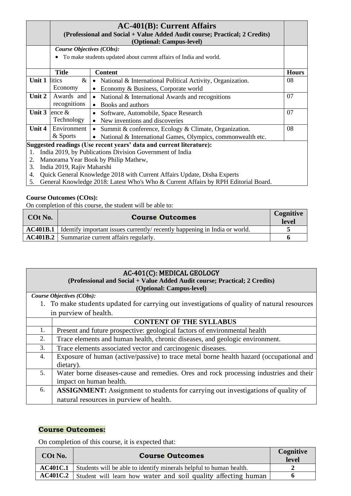|        |                           | $AC-401(B)$ : Current Affairs<br>(Professional and Social + Value Added Audit course; Practical; 2 Credits)<br>(Optional: Campus-level) |              |
|--------|---------------------------|-----------------------------------------------------------------------------------------------------------------------------------------|--------------|
|        | Course Objectives (CObs): |                                                                                                                                         |              |
|        |                           | • To make students updated about current affairs of India and world.                                                                    |              |
|        | <b>Title</b>              | <b>Content</b>                                                                                                                          | <b>Hours</b> |
| Unit 1 | litics<br>$\&$            | • National & International Political Activity, Organization.                                                                            | 08           |
|        | Economy                   | Economy & Business, Corporate world                                                                                                     |              |
| Unit 2 | Awards and                | National & International Awards and recognitions<br>$\bullet$                                                                           | 07           |
|        | recognitions              | Books and authors<br>$\bullet$                                                                                                          |              |
| Unit 3 | ence $\&$                 | Software, Automobile, Space Research                                                                                                    | 07           |
|        | Technology                | New inventions and discoveries<br>$\bullet$                                                                                             |              |
| Unit 4 | Environment               | Summit & conference, Ecology & Climate, Organization.<br>$\bullet$                                                                      | 08           |
|        | & Sports                  | National & International Games, Olympics, commonwealth etc.<br>$\bullet$                                                                |              |
|        |                           | Suggested readings (Use recent years' data and current literature):                                                                     |              |
| 1.     |                           | India 2019, by Publications Division Government of India<br>$\mathbf{Y}$                                                                |              |

- 2. Manorama Year Book by Philip Mathew,
- 3. India 2019, Rajiv Maharshi
- 4. Quick General Knowledge 2018 with Current Affairs Update, Disha Experts
- 5. General Knowledge 2018: Latest Who's Who & Current Affairs by RPH Editorial Board.

On completion of this course, the student will be able to:

| COt No.         | <b>Course Outcomes</b>                                                       | Cognitive<br>level |
|-----------------|------------------------------------------------------------------------------|--------------------|
| <b>AC401B.1</b> | I Identify important issues currently/ recently happening in India or world. |                    |
|                 | <b>AC401B.2</b> Summarize current affairs regularly.                         |                    |
|                 |                                                                              |                    |

| AC-401(C): MEDICAL GEOLOGY |                                                                                             |  |  |  |
|----------------------------|---------------------------------------------------------------------------------------------|--|--|--|
|                            | (Professional and Social + Value Added Audit course; Practical; 2 Credits)                  |  |  |  |
|                            | (Optional: Campus-level)                                                                    |  |  |  |
|                            | Course Objectives (CObs):                                                                   |  |  |  |
|                            | 1. To make students updated for carrying out investigations of quality of natural resources |  |  |  |
|                            | in purview of health.                                                                       |  |  |  |
|                            | <b>CONTENT OF THE SYLLABUS</b>                                                              |  |  |  |
| 1.                         | Present and future prospective: geological factors of environmental health                  |  |  |  |
| 2.                         | Trace elements and human health, chronic diseases, and geologic environment.                |  |  |  |
| 3.                         | Trace elements associated vector and carcinogenic diseases.                                 |  |  |  |
| $\overline{4}$ .           | Exposure of human (active/passive) to trace metal borne health hazard (occupational and     |  |  |  |
|                            | dietary).                                                                                   |  |  |  |
| 5.                         | Water borne diseases-cause and remedies. Ores and rock processing industries and their      |  |  |  |
|                            | impact on human health.                                                                     |  |  |  |
| 6.                         | <b>ASSIGNMENT:</b> Assignment to students for carrying out investigations of quality of     |  |  |  |
|                            | natural resources in purview of health.                                                     |  |  |  |

#### **Course Outcomes:**

| COt No.         | <b>Course Outcomes</b>                                              | Cognitive<br><b>level</b> |
|-----------------|---------------------------------------------------------------------|---------------------------|
| AC401C.1        | Students will be able to identify minerals helpful to human health. |                           |
| <b>AC401C.2</b> | Student will learn how water and soil quality affecting human       |                           |